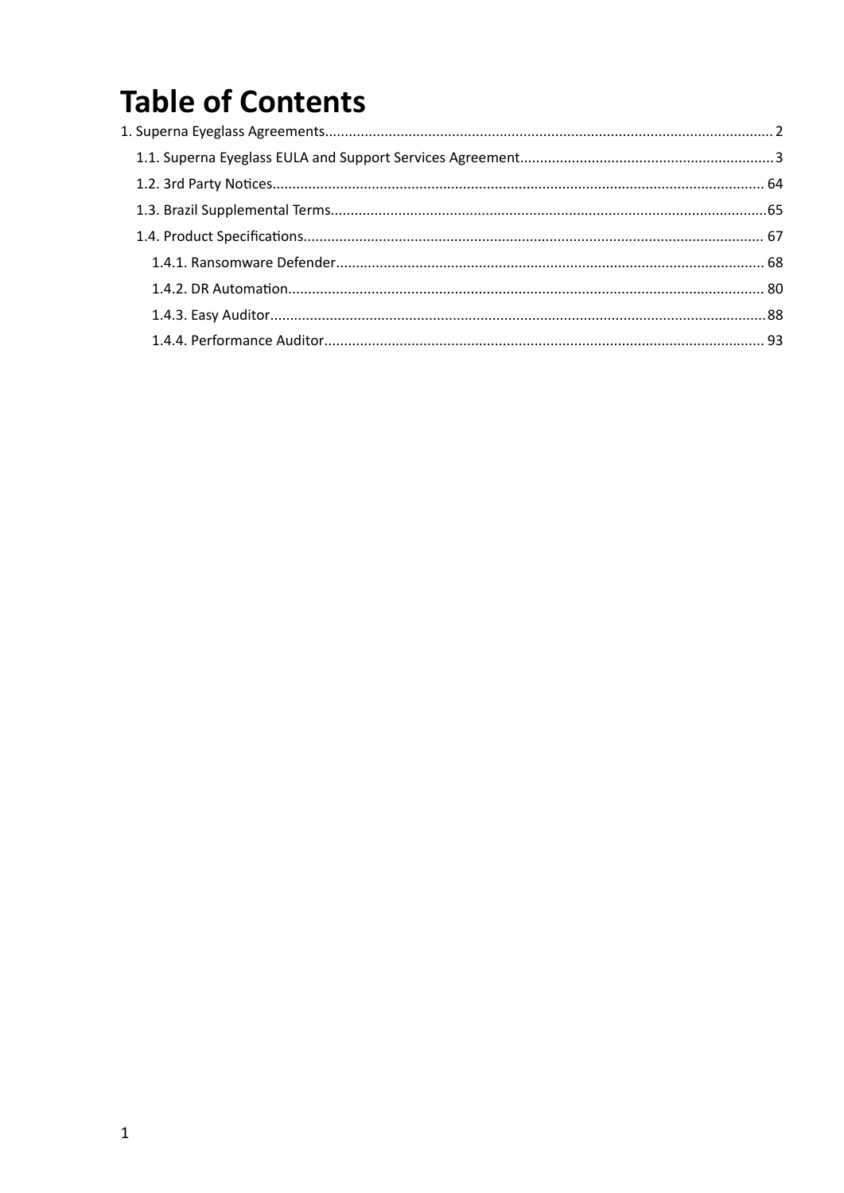# **Table of Contents**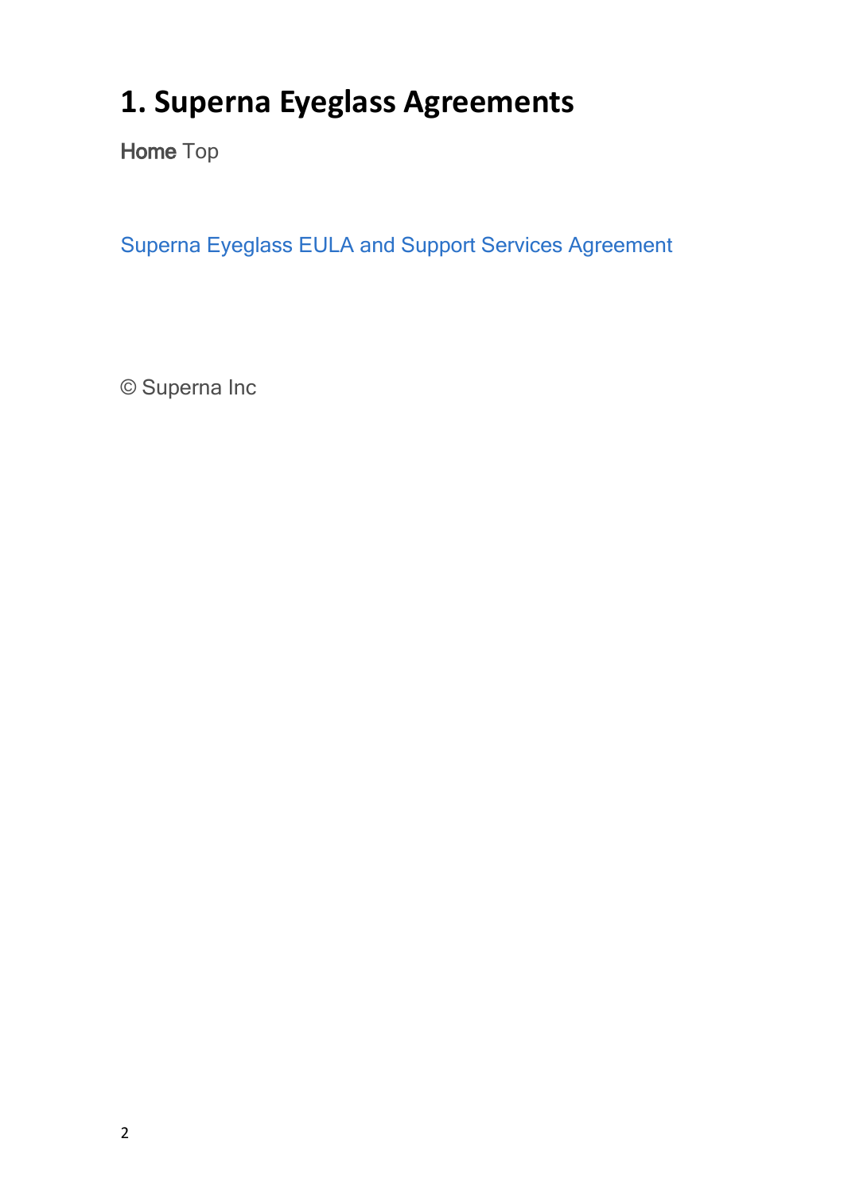# <span id="page-1-0"></span>**1. Superna Eyeglass Agreements**

**Home** Top

[Superna](#page-2-0) [Eyeglass](#page-2-0) [EULA](#page-2-0) [and](#page-2-0) [Support](#page-2-0) [Services](#page-2-0) [Agreement](#page-2-0)

© Superna Inc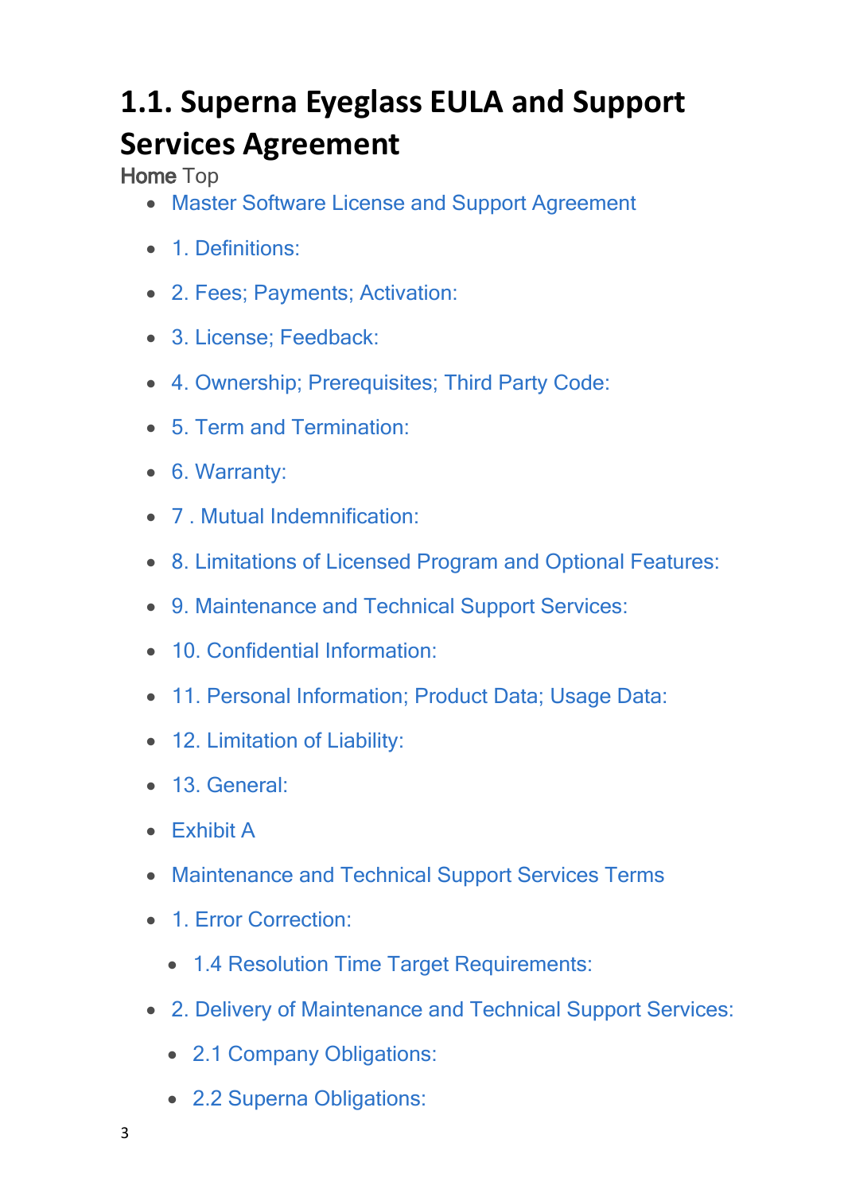# <span id="page-2-0"></span>**1.1. Superna Eyeglass EULA and Support Services Agreement**

**Home** Top

- · [Master](#page-3-0) [Software](#page-3-0) [License](#page-3-0) [and Support](#page-3-0) [Agreement](#page-3-0)
- 1 [Definitions:](#page-4-0)
- · [2.](#page-8-0) [Fees;](#page-8-0) [Payments;](#page-8-0) [Activation:](#page-8-0)
- · [3.](#page-11-0) [License;](#page-11-0) [Feedback:](#page-11-0)
- · [4.](#page-15-0) [Ownership;](#page-15-0) [Prerequisites;](#page-15-0) [Third](#page-15-0) [Party](#page-15-0) [Code:](#page-15-0)
- · [5.](#page-16-0) [Term](#page-16-0) [and](#page-16-0) [Termination:](#page-16-0)
- · [6.](#page-18-0) [Warranty:](#page-18-0)
- [7](#page-21-0) [Mutual](#page-21-0) [Indemnification:](#page-21-0)
- · [8.](#page-24-0) [Limitations](#page-24-0) [of](#page-24-0) [Licensed](#page-24-0) [Program](#page-24-0) [and](#page-24-0) [Optional](#page-24-0) [Features:](#page-24-0)
- · [9.](#page-28-0) [Maintenance](#page-28-0) [and](#page-28-0) [Technical](#page-28-0) [Support](#page-28-0) [Services:](#page-28-0)
- · [10.](#page-30-0) [Confidential](#page-30-0) [Information:](#page-30-0)
- · [11.](#page-32-0) [Personal](#page-32-0) [Information;](#page-32-0) [Product](#page-32-0) [Data;](#page-32-0) [Usage](#page-32-0) [Data:](#page-32-0)
- [12.](#page-33-0) [Limitation](#page-33-0) [of](#page-33-0) [Liability:](#page-33-0)
- · [13.](#page-34-0) [General:](#page-34-0)
- · [Exhibit](#page-41-0) [A](#page-41-0)
- · [Maintenance](#page-41-1) [and](#page-41-1) [Technical](#page-41-1) [Support](#page-41-1) [Services](#page-41-1) [Terms](#page-41-1)
- · [1.](#page-42-0) [Error](#page-42-0) [Correction:](#page-42-0)
	- · [1.4](#page-46-0) [Resolution](#page-46-0) [Time](#page-46-0) [Target](#page-46-0) [Requirements:](#page-46-0)
- · [2.](#page-47-0) [Delivery](#page-47-0) [of](#page-47-0) [Maintenance](#page-47-0) [and](#page-47-0) [Technical](#page-47-0) [Support](#page-47-0) [Services:](#page-47-0)
	- · [2.1](#page-47-1) [Company](#page-47-1) [Obligations:](#page-47-1)
	- · [2.2](#page-50-0) [Superna](#page-50-0) [Obligations:](#page-50-0)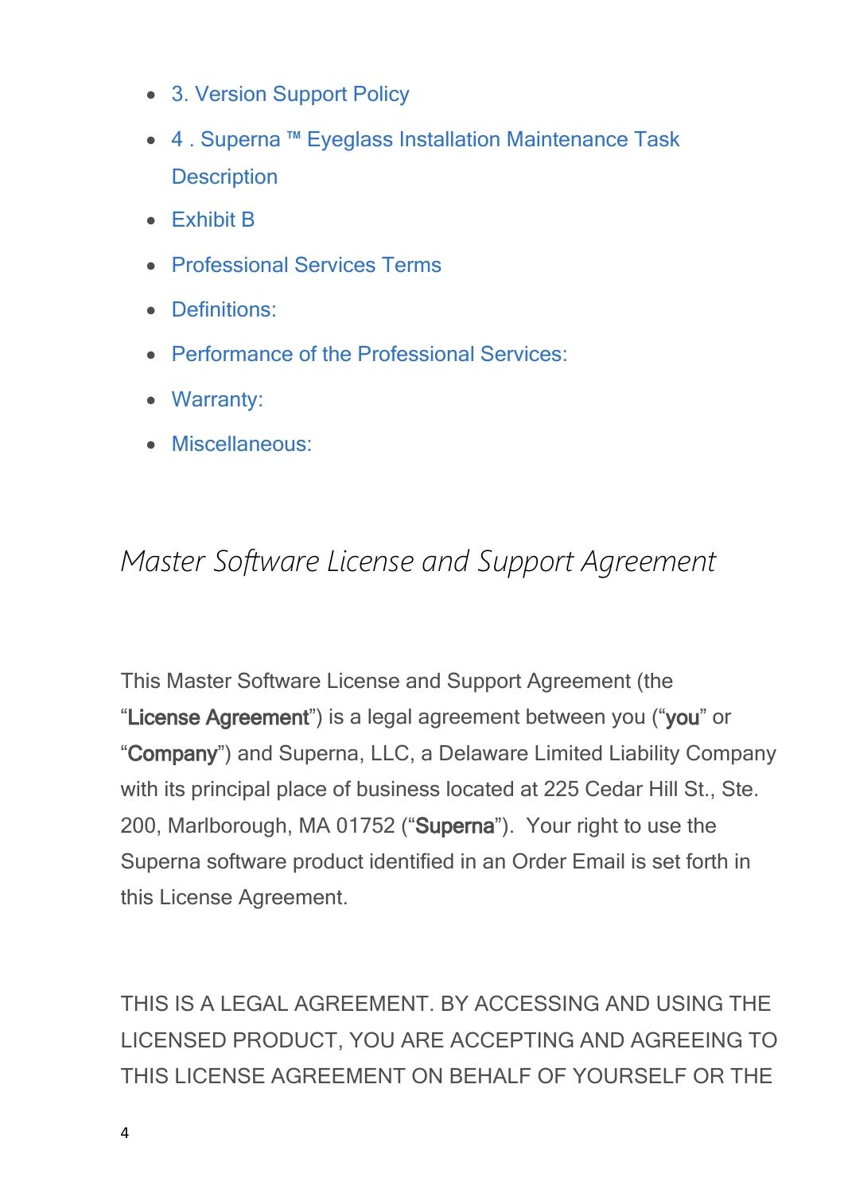- · [3.](#page-52-0) [Version](#page-52-0) [Support](#page-52-0) [Policy](#page-52-0)
- · [4](#page-53-0) [.](#page-53-0) [Superna](#page-53-0) [™](#page-53-0) [Eyeglass](#page-53-0) [Installation](#page-53-0) [Maintenance](#page-53-0) [Task](#page-53-0) **[Description](#page-53-0)**
- · [Exhibit](#page-53-1) [B](#page-53-1)
- · [Professional](#page-53-2) [Services](#page-53-2) [Terms](#page-53-2)
- · [Definitions:](#page-53-3)
- · [Performance](#page-55-0) [of](#page-55-0) [the](#page-55-0) [Professional](#page-55-0) [Services:](#page-55-0)
- · [Warranty:](#page-58-0)
- · [Miscellaneous:](#page-61-0)

### <span id="page-3-0"></span>*Master Software License and Support Agreement*

This Master Software License and Support Agreement (the "**License Agreement**") is a legal agreement between you ("**you**" or "**Company**") and Superna, LLC, a Delaware Limited Liability Company with its principal place of business located at 225 Cedar Hill St., Ste. 200, Marlborough, MA 01752 ("**Superna**"). Your right to use the Superna software product identified in an Order Email is set forth in this License Agreement.

THIS IS A LEGAL AGREEMENT. BY ACCESSING AND USING THE LICENSED PRODUCT, YOU ARE ACCEPTING AND AGREEING TO THIS LICENSE AGREEMENT ON BEHALF OF YOURSELF OR THE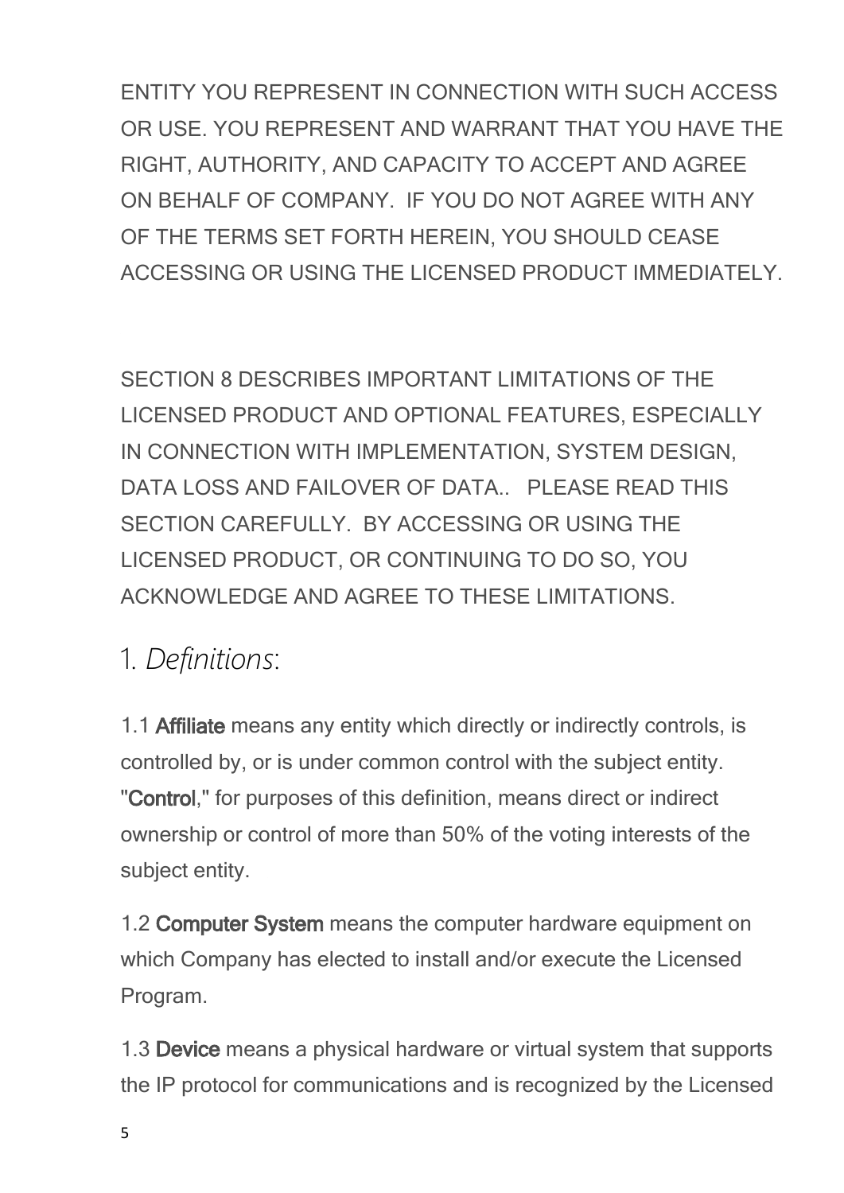ENTITY YOU REPRESENT IN CONNECTION WITH SUCH ACCESS OR USE. YOU REPRESENT AND WARRANT THAT YOU HAVE THE RIGHT, AUTHORITY, AND CAPACITY TO ACCEPT AND AGREE ON BEHALF OF COMPANY. IF YOU DO NOT AGREE WITH ANY OF THE TERMS SET FORTH HEREIN, YOU SHOULD CEASE ACCESSING OR USING THE LICENSED PRODUCT IMMEDIATELY.

SECTION 8 DESCRIBES IMPORTANT LIMITATIONS OF THE LICENSED PRODUCT AND OPTIONAL FEATURES, ESPECIALLY IN CONNECTION WITH IMPLEMENTATION, SYSTEM DESIGN, DATA LOSS AND FAILOVER OF DATA.. PLEASE READ THIS SECTION CAREFULLY. BY ACCESSING OR USING THE LICENSED PRODUCT, OR CONTINUING TO DO SO, YOU ACKNOWLEDGE AND AGREE TO THESE LIMITATIONS.

## <span id="page-4-0"></span>1. *Definitions*:

1.1 **Affiliate** means any entity which directly or indirectly controls, is controlled by, or is under common control with the subject entity. "**Control**," for purposes of this definition, means direct or indirect ownership or control of more than 50% of the voting interests of the subject entity.

1.2 **Computer System** means the computer hardware equipment on which Company has elected to install and/or execute the Licensed Program.

1.3 **Device** means a physical hardware or virtual system that supports the IP protocol for communications and is recognized by the Licensed

5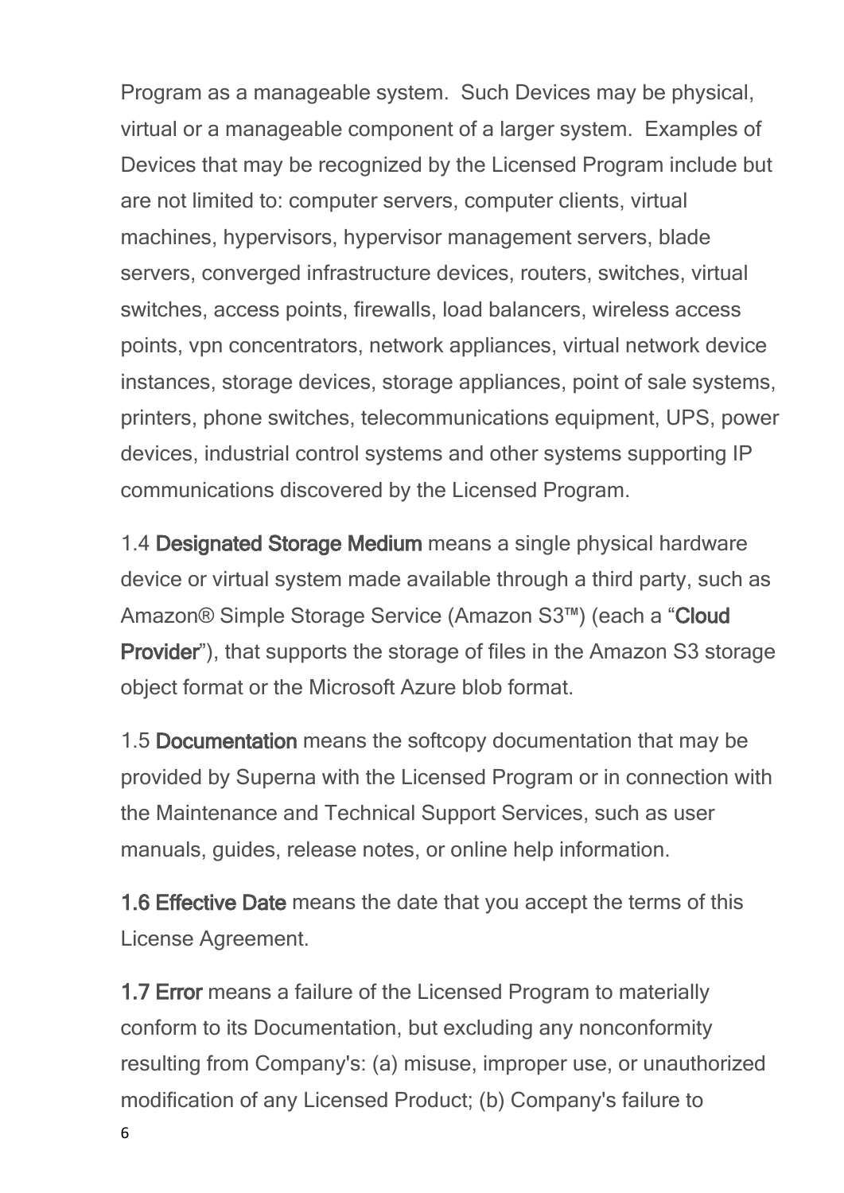Program as a manageable system. Such Devices may be physical, virtual or a manageable component of a larger system. Examples of Devices that may be recognized by the Licensed Program include but are not limited to: computer servers, computer clients, virtual machines, hypervisors, hypervisor management servers, blade servers, converged infrastructure devices, routers, switches, virtual switches, access points, firewalls, load balancers, wireless access points, vpn concentrators, network appliances, virtual network device instances, storage devices, storage appliances, point of sale systems, printers, phone switches, telecommunications equipment, UPS, power devices, industrial control systems and other systems supporting IP communications discovered by the Licensed Program.

1.4 **Designated Storage Medium** means a single physical hardware device or virtual system made available through a third party, such as Amazon® Simple Storage Service (Amazon S3™) (each a "**Cloud Provider**"), that supports the storage of files in the Amazon S3 storage object format or the Microsoft Azure blob format.

1.5 **Documentation** means the softcopy documentation that may be provided by Superna with the Licensed Program or in connection with the Maintenance and Technical Support Services, such as user manuals, guides, release notes, or online help information.

**1.6 Effective Date** means the date that you accept the terms of this License Agreement.

**1.7 Error** means a failure of the Licensed Program to materially conform to its Documentation, but excluding any nonconformity resulting from Company's: (a) misuse, improper use, or unauthorized modification of any Licensed Product; (b) Company's failure to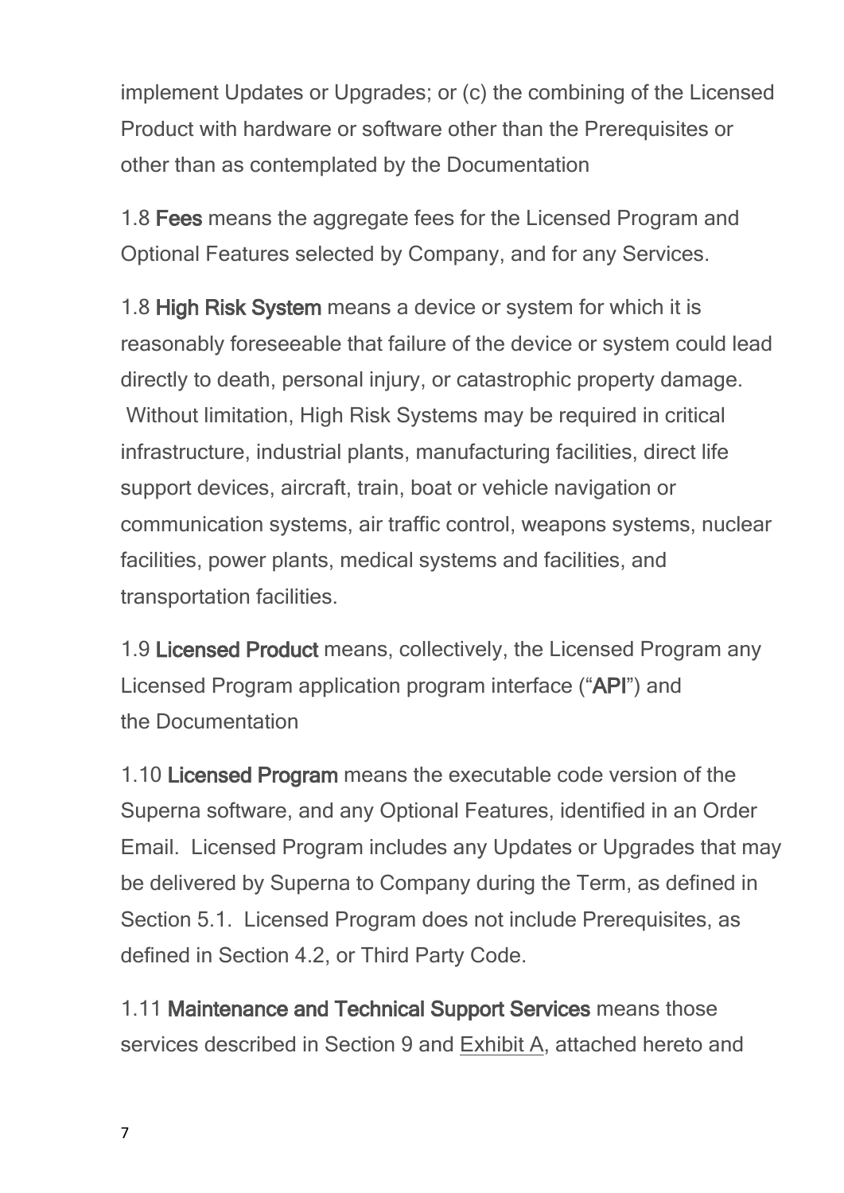implement Updates or Upgrades; or (c) the combining of the Licensed Product with hardware or software other than the Prerequisites or other than as contemplated by the Documentation

1.8 **Fees** means the aggregate fees for the Licensed Program and Optional Features selected by Company, and for any Services.

1.8 **High Risk System** means a device or system for which it is reasonably foreseeable that failure of the device or system could lead directly to death, personal injury, or catastrophic property damage. Without limitation, High Risk Systems may be required in critical infrastructure, industrial plants, manufacturing facilities, direct life support devices, aircraft, train, boat or vehicle navigation or communication systems, air traffic control, weapons systems, nuclear facilities, power plants, medical systems and facilities, and transportation facilities.

1.9 **Licensed Product** means, collectively, the Licensed Program any Licensed Program application program interface ("**API**") and the Documentation

1.10 **Licensed Program** means the executable code version of the Superna software, and any Optional Features, identified in an Order Email. Licensed Program includes any Updates or Upgrades that may be delivered by Superna to Company during the Term, as defined in Section 5.1. Licensed Program does not include Prerequisites, as defined in Section 4.2, or Third Party Code.

1.11 **Maintenance and Technical Support Services** means those services described in Section 9 and Exhibit A, attached hereto and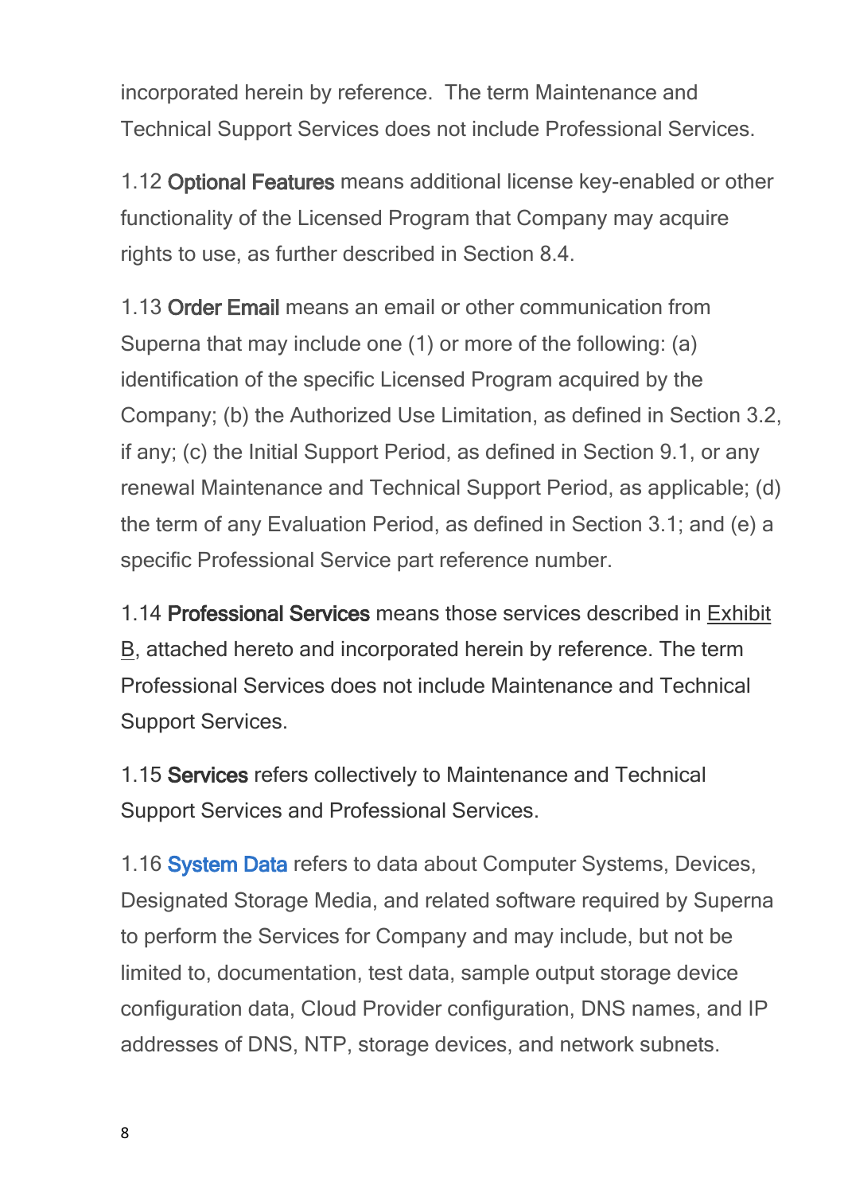incorporated herein by reference. The term Maintenance and Technical Support Services does not include Professional Services.

1.12 **Optional Features** means additional license key-enabled or other functionality of the Licensed Program that Company may acquire rights to use, as further described in Section 8.4.

1.13 **Order Email** means an email or other communication from Superna that may include one (1) or more of the following: (a) identification of the specific Licensed Program acquired by the Company; (b) the Authorized Use Limitation, as defined in Section 3.2, if any; (c) the Initial Support Period, as defined in Section 9.1, or any renewal Maintenance and Technical Support Period, as applicable; (d) the term of any Evaluation Period, as defined in Section 3.1; and (e) a specific Professional Service part reference number.

1.14 **Professional Services** means those services described in Exhibit B, attached hereto and incorporated herein by reference. The term Professional Services does not include Maintenance and Technical Support Services.

1.15 **Services** refers collectively to Maintenance and Technical Support Services and Professional Services.

1.16 **[System](file:///C:/Windows/TEMP/ysl3oxbc.qvw/Storage/superna-eyeglass-agreements/Eyelgass and ECA log content definitions - Support Data.pdf) [Data](file:///C:/Windows/TEMP/ysl3oxbc.qvw/Storage/superna-eyeglass-agreements/Eyelgass and ECA log content definitions - Support Data.pdf)** refers to data about Computer Systems, Devices, Designated Storage Media, and related software required by Superna to perform the Services for Company and may include, but not be limited to, documentation, test data, sample output storage device configuration data, Cloud Provider configuration, DNS names, and IP addresses of DNS, NTP, storage devices, and network subnets.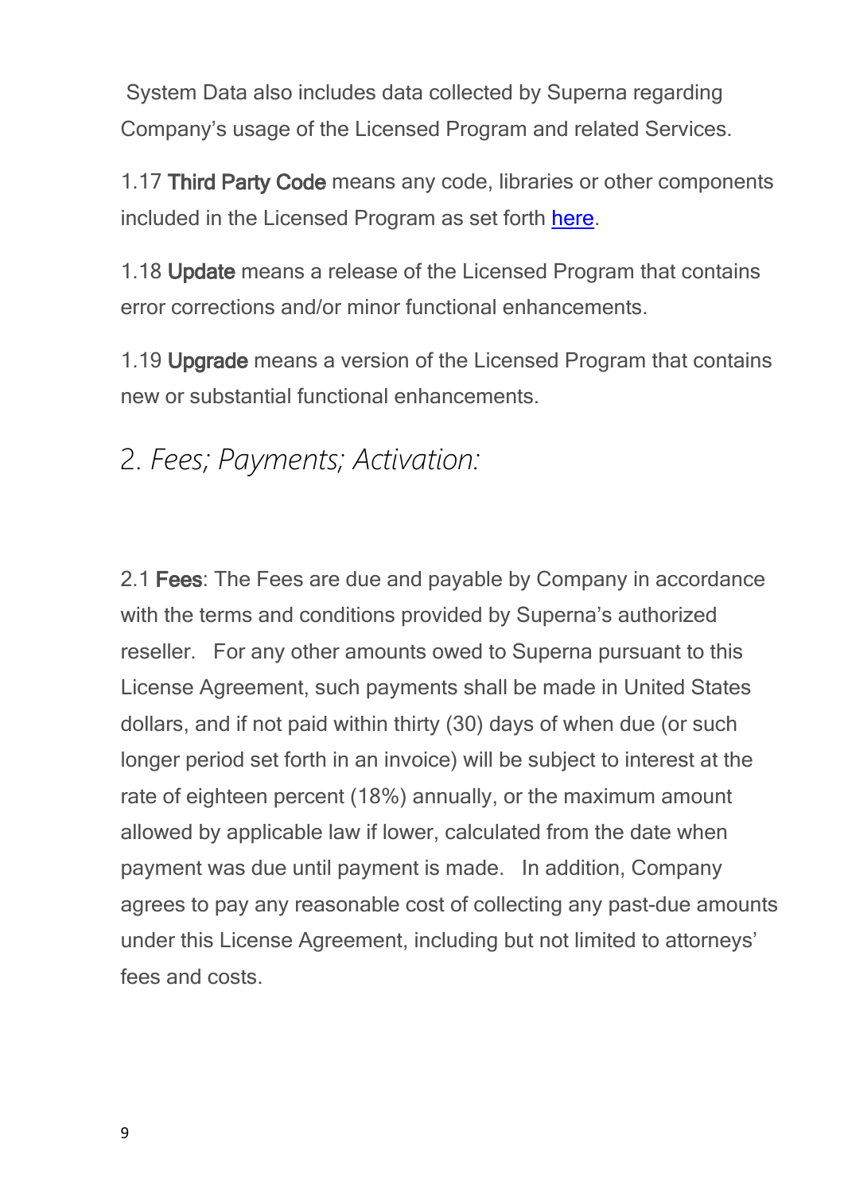System Data also includes data collected by Superna regarding Company's usage of the Licensed Program and related Services.

1.17 **Third Party Code** means any code, libraries or other components included in the Licensed Program as set forth [here](#page-63-0).

1.18 **Update** means a release of the Licensed Program that contains error corrections and/or minor functional enhancements.

1.19 **Upgrade** means a version of the Licensed Program that contains new or substantial functional enhancements.

#### <span id="page-8-0"></span>2. *Fees; Payments; Activation:*

2.1 **Fees**: The Fees are due and payable by Company in accordance with the terms and conditions provided by Superna's authorized reseller. For any other amounts owed to Superna pursuant to this License Agreement, such payments shall be made in United States dollars, and if not paid within thirty (30) days of when due (or such longer period set forth in an invoice) will be subject to interest at the rate of eighteen percent (18%) annually, or the maximum amount allowed by applicable law if lower, calculated from the date when payment was due until payment is made. In addition, Company agrees to pay any reasonable cost of collecting any past-due amounts under this License Agreement, including but not limited to attorneys' fees and costs.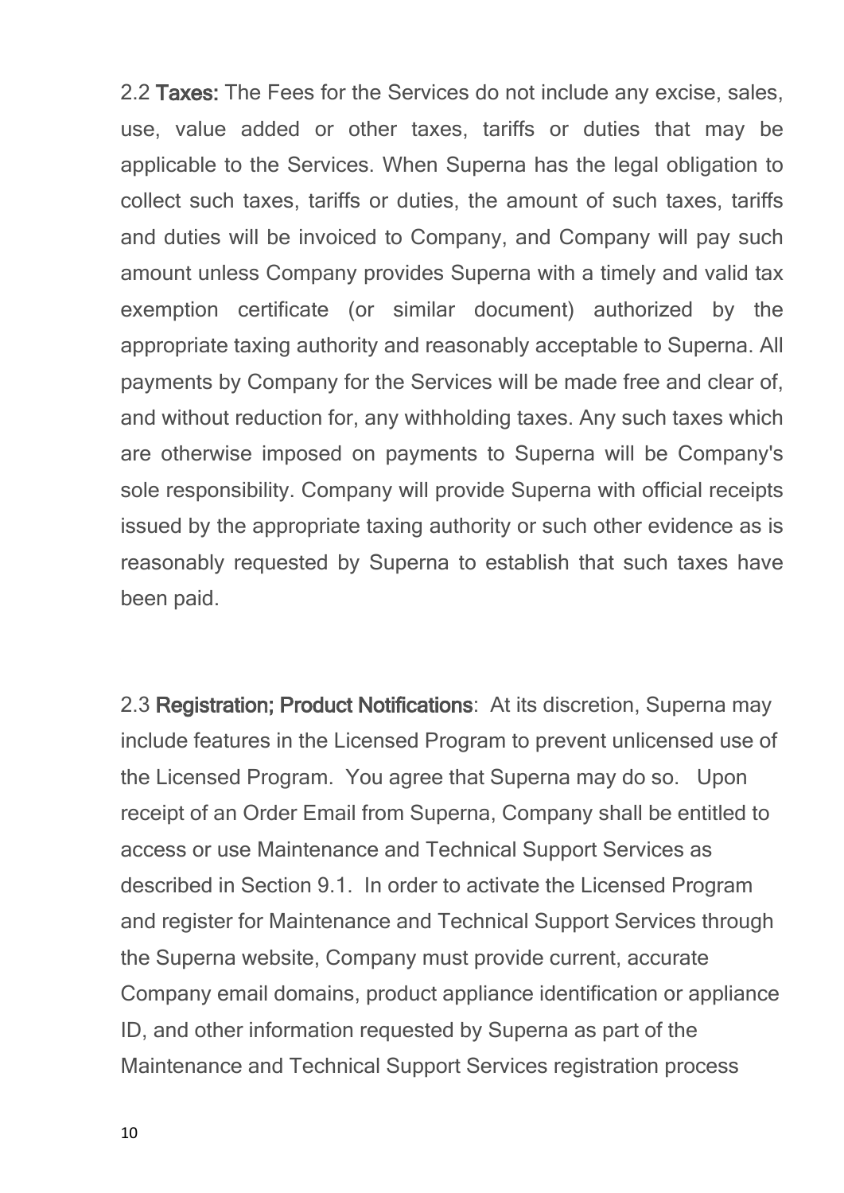2.2 **Taxes:** The Fees for the Services do not include any excise, sales, use, value added or other taxes, tariffs or duties that may be applicable to the Services. When Superna has the legal obligation to collect such taxes, tariffs or duties, the amount of such taxes, tariffs and duties will be invoiced to Company, and Company will pay such amount unless Company provides Superna with a timely and valid tax exemption certificate (or similar document) authorized by the appropriate taxing authority and reasonably acceptable to Superna. All payments by Company for the Services will be made free and clear of, and without reduction for, any withholding taxes. Any such taxes which are otherwise imposed on payments to Superna will be Company's sole responsibility. Company will provide Superna with official receipts issued by the appropriate taxing authority or such other evidence as is reasonably requested by Superna to establish that such taxes have been paid.

2.3 **Registration; Product Notifications**: At its discretion, Superna may include features in the Licensed Program to prevent unlicensed use of the Licensed Program. You agree that Superna may do so. Upon receipt of an Order Email from Superna, Company shall be entitled to access or use Maintenance and Technical Support Services as described in Section 9.1. In order to activate the Licensed Program and register for Maintenance and Technical Support Services through the Superna website, Company must provide current, accurate Company email domains, product appliance identification or appliance ID, and other information requested by Superna as part of the Maintenance and Technical Support Services registration process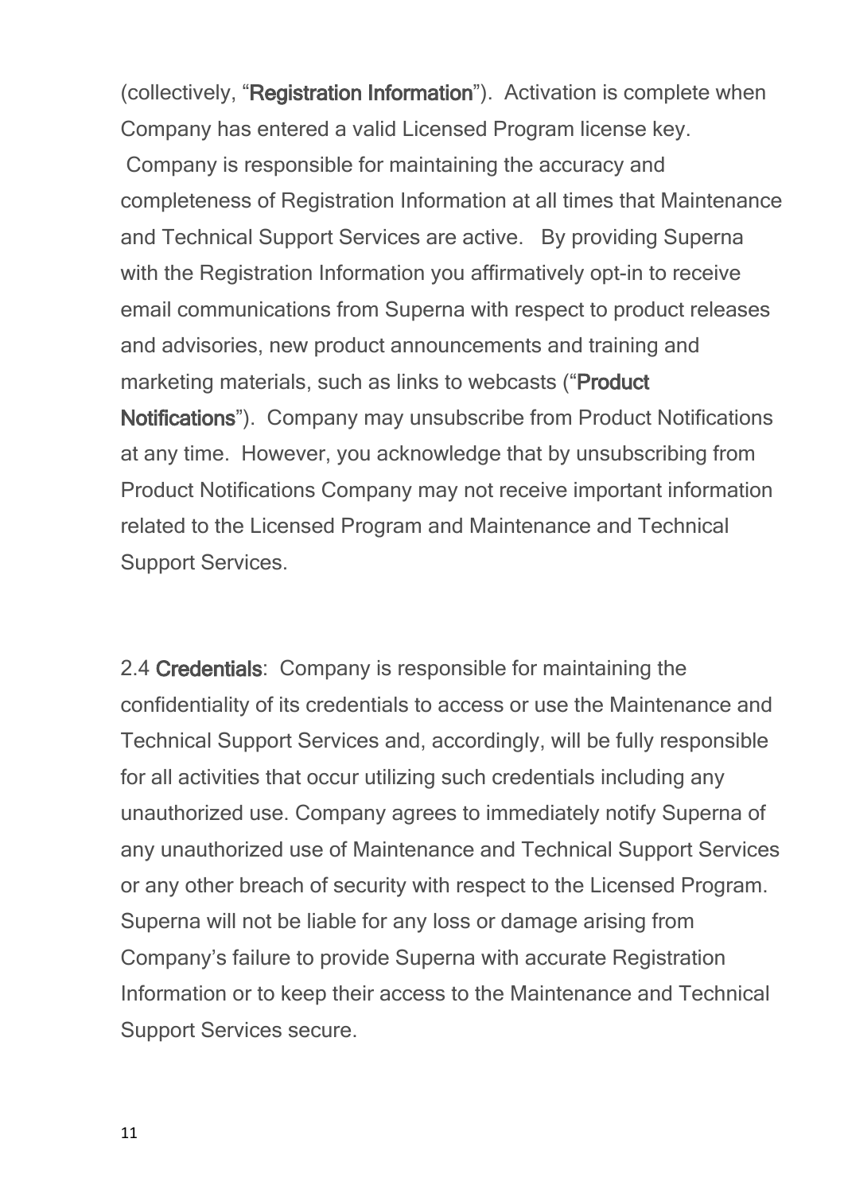(collectively, "**Registration Information**"). Activation is complete when Company has entered a valid Licensed Program license key. Company is responsible for maintaining the accuracy and completeness of Registration Information at all times that Maintenance and Technical Support Services are active. By providing Superna with the Registration Information you affirmatively opt-in to receive email communications from Superna with respect to product releases and advisories, new product announcements and training and marketing materials, such as links to webcasts ("**Product Notifications**"). Company may unsubscribe from Product Notifications at any time. However, you acknowledge that by unsubscribing from Product Notifications Company may not receive important information related to the Licensed Program and Maintenance and Technical Support Services.

2.4 **Credentials**: Company is responsible for maintaining the confidentiality of its credentials to access or use the Maintenance and Technical Support Services and, accordingly, will be fully responsible for all activities that occur utilizing such credentials including any unauthorized use. Company agrees to immediately notify Superna of any unauthorized use of Maintenance and Technical Support Services or any other breach of security with respect to the Licensed Program. Superna will not be liable for any loss or damage arising from Company's failure to provide Superna with accurate Registration Information or to keep their access to the Maintenance and Technical Support Services secure.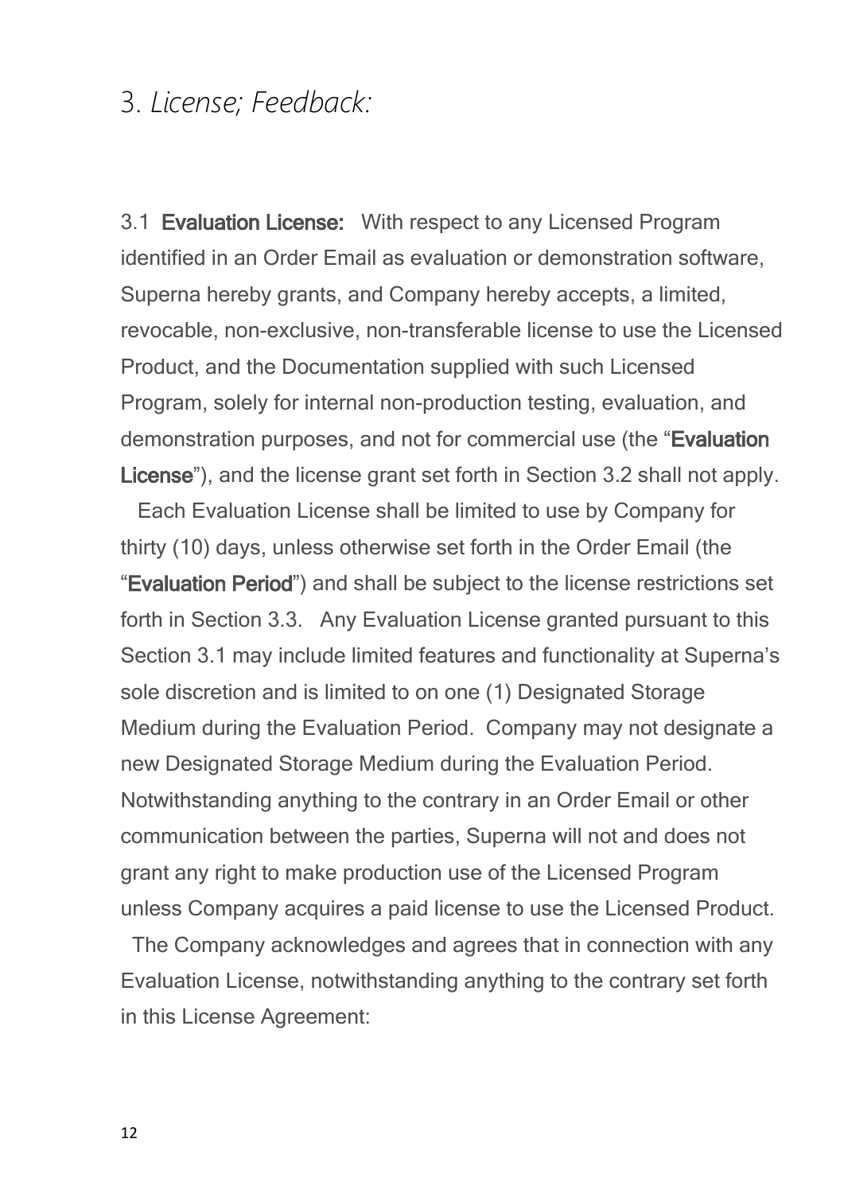#### <span id="page-11-0"></span>3. *License; Feedback:*

3.1 **Evaluation License:** With respect to any Licensed Program identified in an Order Email as evaluation or demonstration software, Superna hereby grants, and Company hereby accepts, a limited, revocable, non-exclusive, non-transferable license to use the Licensed Product, and the Documentation supplied with such Licensed Program, solely for internal non-production testing, evaluation, and demonstration purposes, and not for commercial use (the "**Evaluation License**"), and the license grant set forth in Section 3.2 shall not apply.

 Each Evaluation License shall be limited to use by Company for thirty (10) days, unless otherwise set forth in the Order Email (the "**Evaluation Period**") and shall be subject to the license restrictions set forth in Section 3.3. Any Evaluation License granted pursuant to this Section 3.1 may include limited features and functionality at Superna's sole discretion and is limited to on one (1) Designated Storage Medium during the Evaluation Period. Company may not designate a new Designated Storage Medium during the Evaluation Period. Notwithstanding anything to the contrary in an Order Email or other communication between the parties, Superna will not and does not grant any right to make production use of the Licensed Program unless Company acquires a paid license to use the Licensed Product.

 The Company acknowledges and agrees that in connection with any Evaluation License, notwithstanding anything to the contrary set forth in this License Agreement: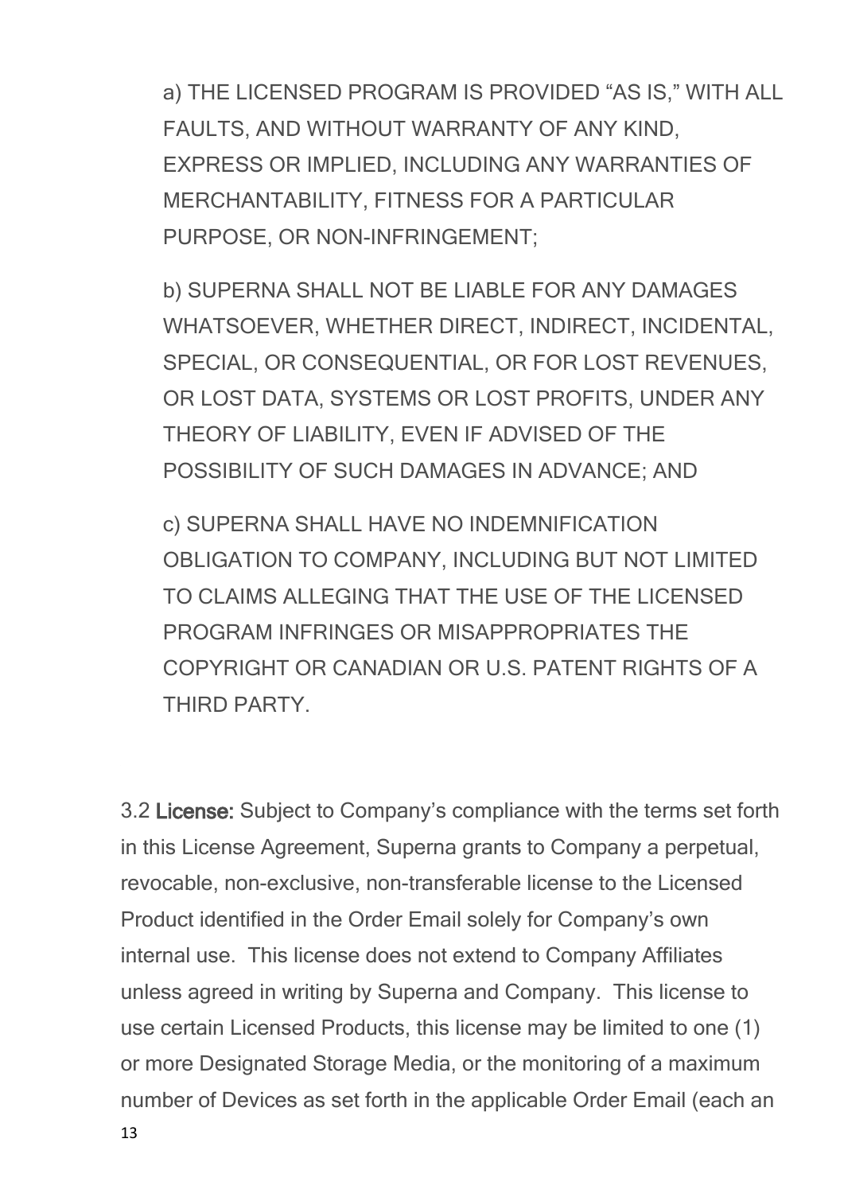a) THE LICENSED PROGRAM IS PROVIDED "AS IS," WITH ALL FAULTS, AND WITHOUT WARRANTY OF ANY KIND, EXPRESS OR IMPLIED, INCLUDING ANY WARRANTIES OF MERCHANTABILITY, FITNESS FOR A PARTICULAR PURPOSE, OR NON-INFRINGEMENT;

b) SUPERNA SHALL NOT BE LIABLE FOR ANY DAMAGES WHATSOEVER, WHETHER DIRECT, INDIRECT, INCIDENTAL, SPECIAL, OR CONSEQUENTIAL, OR FOR LOST REVENUES, OR LOST DATA, SYSTEMS OR LOST PROFITS, UNDER ANY THEORY OF LIABILITY, EVEN IF ADVISED OF THE POSSIBILITY OF SUCH DAMAGES IN ADVANCE; AND

c) SUPERNA SHALL HAVE NO INDEMNIFICATION OBLIGATION TO COMPANY, INCLUDING BUT NOT LIMITED TO CLAIMS ALLEGING THAT THE USE OF THE LICENSED PROGRAM INFRINGES OR MISAPPROPRIATES THE COPYRIGHT OR CANADIAN OR U.S. PATENT RIGHTS OF A THIRD PARTY.

3.2 **License:** Subject to Company's compliance with the terms set forth in this License Agreement, Superna grants to Company a perpetual, revocable, non-exclusive, non-transferable license to the Licensed Product identified in the Order Email solely for Company's own internal use. This license does not extend to Company Affiliates unless agreed in writing by Superna and Company. This license to use certain Licensed Products, this license may be limited to one (1) or more Designated Storage Media, or the monitoring of a maximum number of Devices as set forth in the applicable Order Email (each an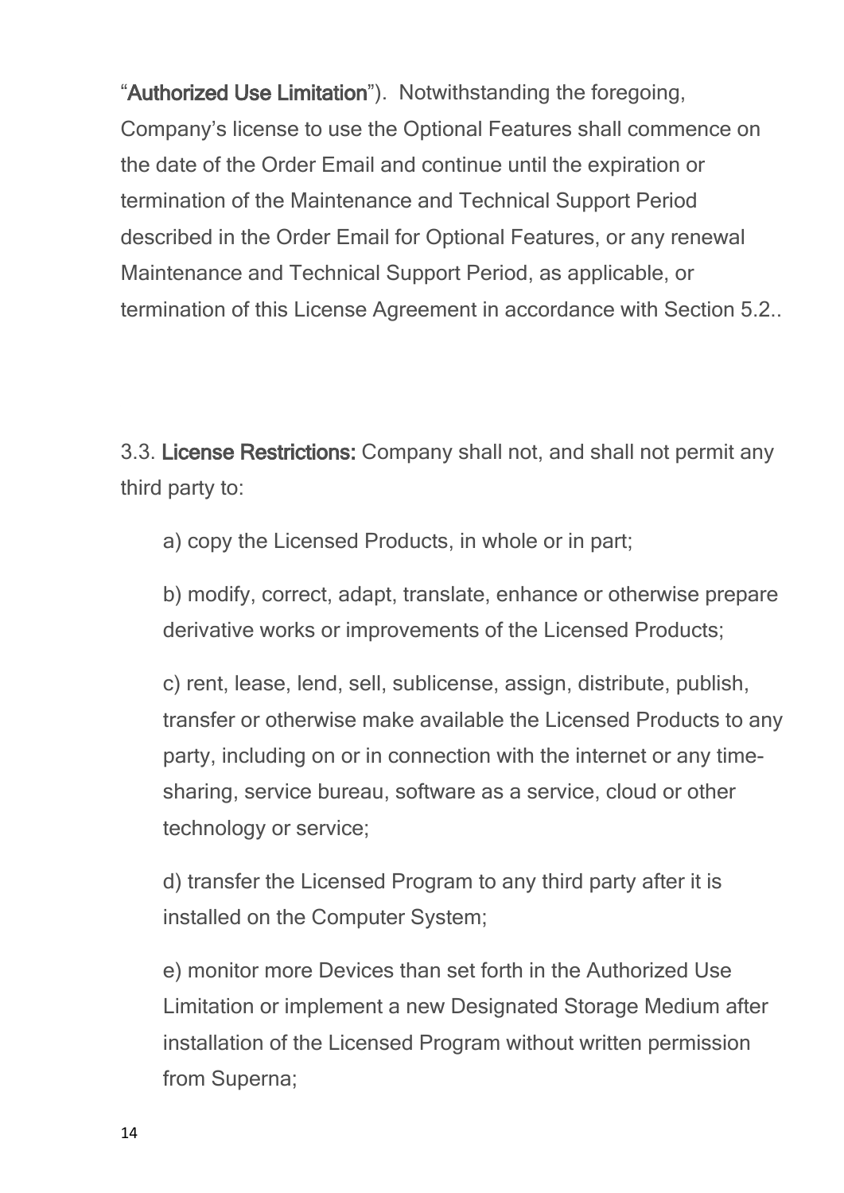"**Authorized Use Limitation**"). Notwithstanding the foregoing, Company's license to use the Optional Features shall commence on the date of the Order Email and continue until the expiration or termination of the Maintenance and Technical Support Period described in the Order Email for Optional Features, or any renewal Maintenance and Technical Support Period, as applicable, or termination of this License Agreement in accordance with Section 5.2..

3.3. **License Restrictions:** Company shall not, and shall not permit any third party to:

a) copy the Licensed Products, in whole or in part;

b) modify, correct, adapt, translate, enhance or otherwise prepare derivative works or improvements of the Licensed Products;

c) rent, lease, lend, sell, sublicense, assign, distribute, publish, transfer or otherwise make available the Licensed Products to any party, including on or in connection with the internet or any timesharing, service bureau, software as a service, cloud or other technology or service;

d) transfer the Licensed Program to any third party after it is installed on the Computer System;

e) monitor more Devices than set forth in the Authorized Use Limitation or implement a new Designated Storage Medium after installation of the Licensed Program without written permission from Superna;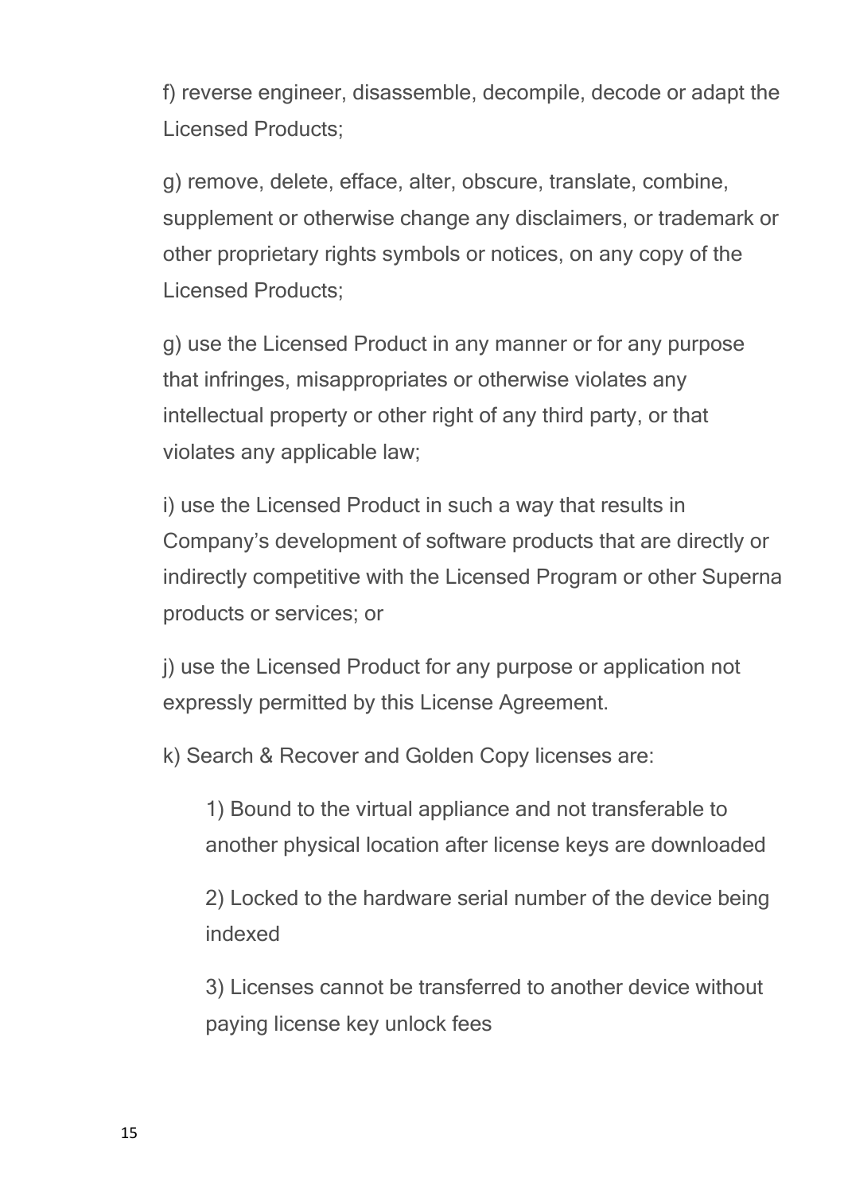f) reverse engineer, disassemble, decompile, decode or adapt the Licensed Products;

g) remove, delete, efface, alter, obscure, translate, combine, supplement or otherwise change any disclaimers, or trademark or other proprietary rights symbols or notices, on any copy of the Licensed Products;

g) use the Licensed Product in any manner or for any purpose that infringes, misappropriates or otherwise violates any intellectual property or other right of any third party, or that violates any applicable law;

i) use the Licensed Product in such a way that results in Company's development of software products that are directly or indirectly competitive with the Licensed Program or other Superna products or services; or

j) use the Licensed Product for any purpose or application not expressly permitted by this License Agreement.

k) Search & Recover and Golden Copy licenses are:

1) Bound to the virtual appliance and not transferable to another physical location after license keys are downloaded

2) Locked to the hardware serial number of the device being indexed

3) Licenses cannot be transferred to another device without paying license key unlock fees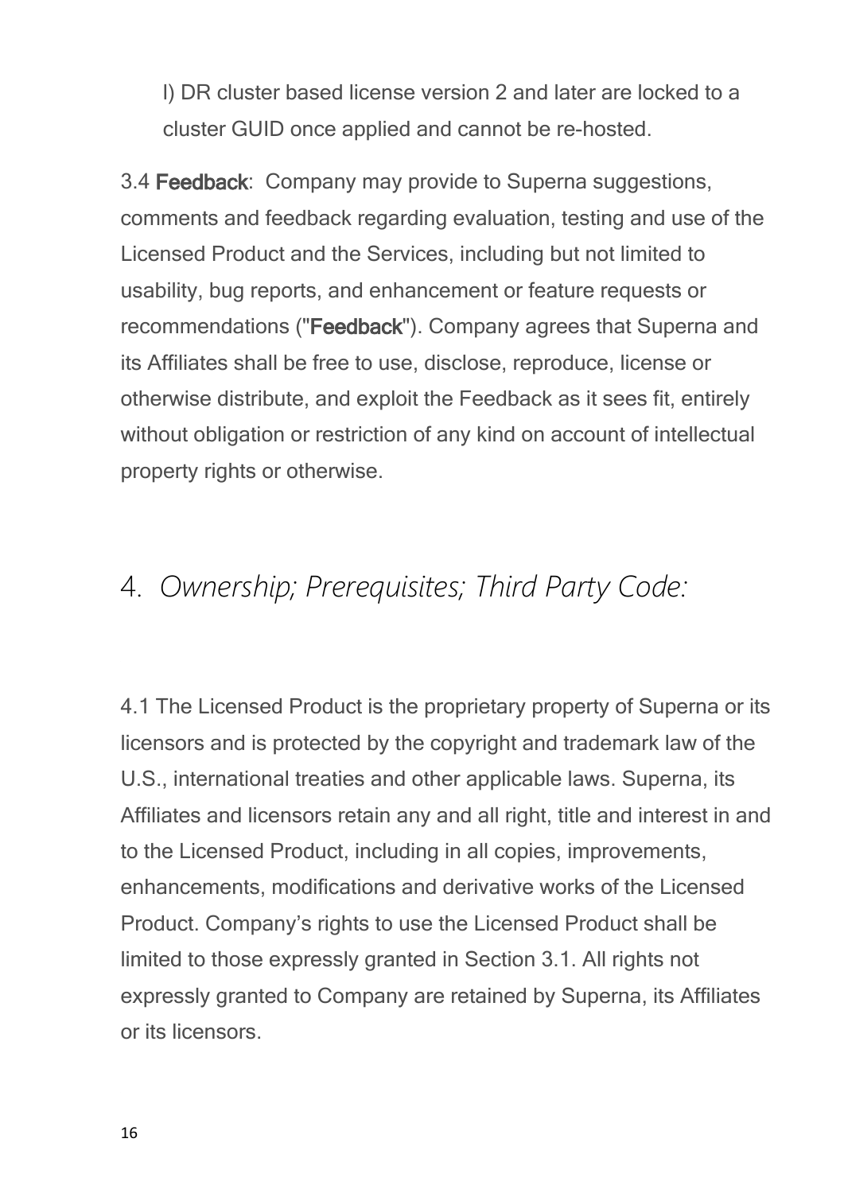l) DR cluster based license version 2 and later are locked to a cluster GUID once applied and cannot be re-hosted.

3.4 **Feedback**: Company may provide to Superna suggestions, comments and feedback regarding evaluation, testing and use of the Licensed Product and the Services, including but not limited to usability, bug reports, and enhancement or feature requests or recommendations ("**Feedback**"). Company agrees that Superna and its Affiliates shall be free to use, disclose, reproduce, license or otherwise distribute, and exploit the Feedback as it sees fit, entirely without obligation or restriction of any kind on account of intellectual property rights or otherwise.

## <span id="page-15-0"></span>4. *Ownership; Prerequisites; Third Party Code:*

4.1The Licensed Product is the proprietary property of Superna or its licensors and is protected by the copyright and trademark law of the U.S., international treaties and other applicable laws. Superna, its Affiliates and licensors retain any and all right, title and interest in and to the Licensed Product, including in all copies, improvements, enhancements, modifications and derivative works of the Licensed Product. Company's rights to use the Licensed Product shall be limited to those expressly granted in Section 3.1. All rights not expressly granted to Company are retained by Superna, its Affiliates or its licensors.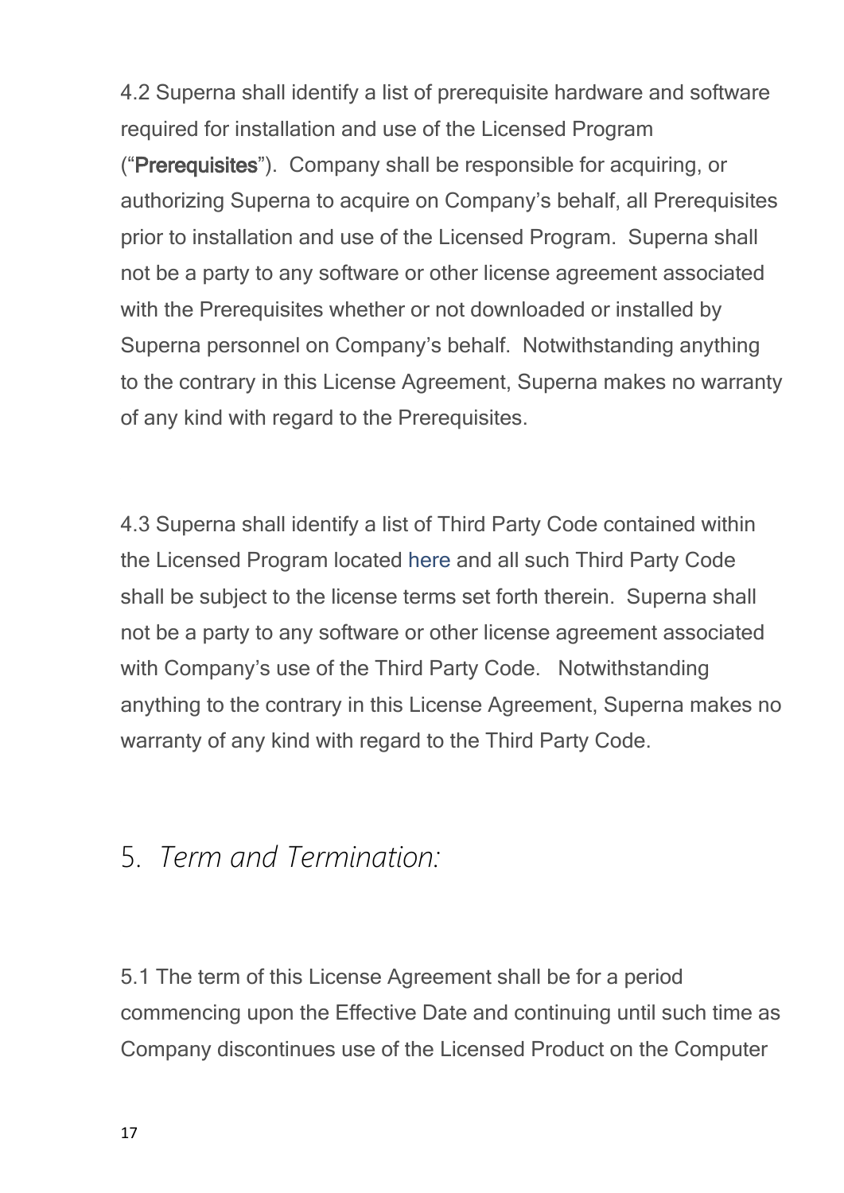4.2 Superna shall identify a list of prerequisite hardware and software required for installation and use of the Licensed Program ("**Prerequisites**"). Company shall be responsible for acquiring, or authorizing Superna to acquire on Company's behalf, all Prerequisites prior to installation and use of the Licensed Program. Superna shall not be a party to any software or other license agreement associated with the Prerequisites whether or not downloaded or installed by Superna personnel on Company's behalf. Notwithstanding anything to the contrary in this License Agreement, Superna makes no warranty of any kind with regard to the Prerequisites.

4.3 Superna shall identify a list of Third Party Code contained within the Licensed Program located [here](#page-63-0) and all such Third Party Code shall be subject to the license terms set forth therein. Superna shall not be a party to any software or other license agreement associated with Company's use of the Third Party Code. Notwithstanding anything to the contrary in this License Agreement, Superna makes no warranty of any kind with regard to the Third Party Code.

### <span id="page-16-0"></span>5. *Term and Termination:*

5.1 The term of this License Agreement shall be for a period commencing upon the Effective Date and continuing until such time as Company discontinues use of the Licensed Product on the Computer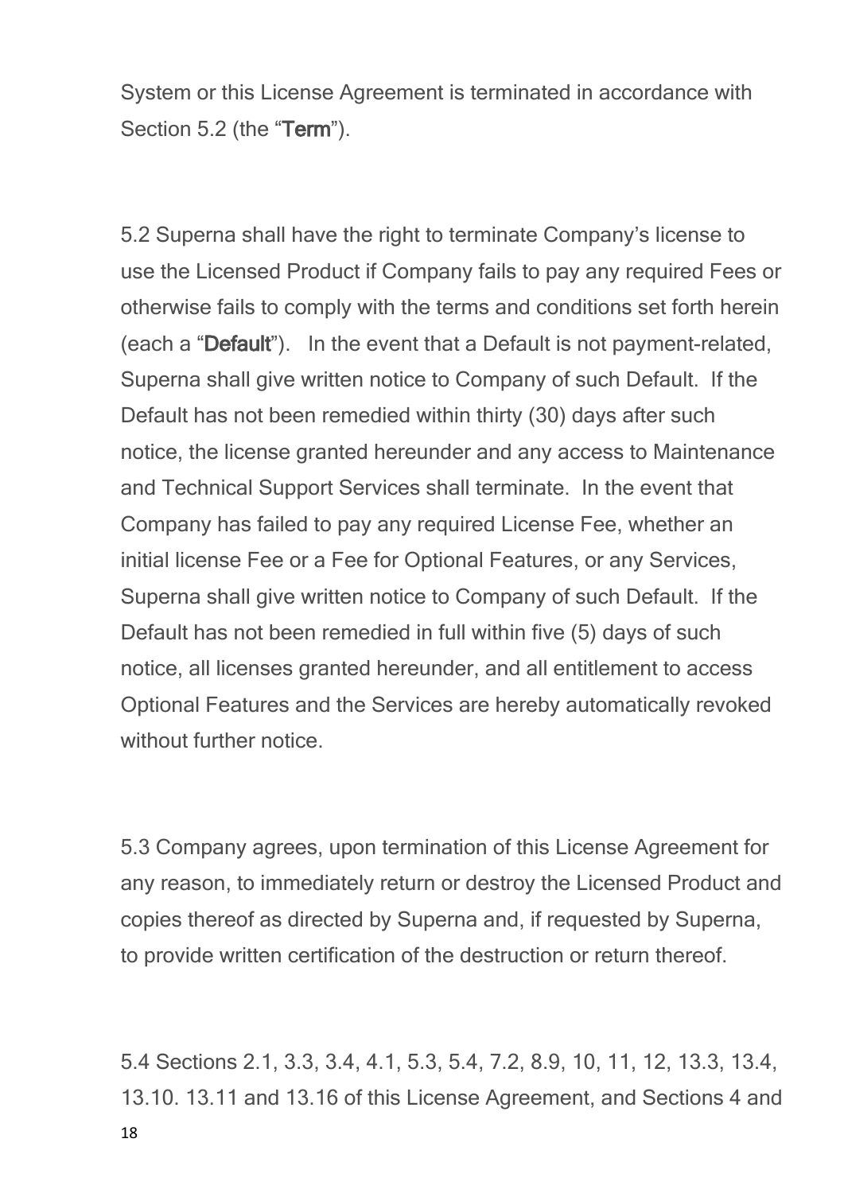System or this License Agreement is terminated in accordance with Section 5.2 (the "**Term**").

5.2 Superna shall have the right to terminate Company's license to use the Licensed Product if Company fails to pay any required Fees or otherwise fails to comply with the terms and conditions set forth herein (each a "**Default**"). In the event that a Default is not payment-related, Superna shall give written notice to Company of such Default. If the Default has not been remedied within thirty (30) days after such notice, the license granted hereunder and any access to Maintenance and Technical Support Services shall terminate. In the event that Company has failed to pay any required License Fee, whether an initial license Fee or a Fee for Optional Features, or any Services, Superna shall give written notice to Company of such Default. If the Default has not been remedied in full within five (5) days of such notice, all licenses granted hereunder, and all entitlement to access Optional Features and the Services are hereby automatically revoked without further notice

5.3 Company agrees, upon termination of this License Agreement for any reason, to immediately return or destroy the Licensed Product and copies thereof as directed by Superna and, if requested by Superna, to provide written certification of the destruction or return thereof.

18 5.4 Sections 2.1, 3.3, 3.4, 4.1, 5.3, 5.4, 7.2, 8.9, 10, 11, 12, 13.3, 13.4, 13.10. 13.11 and 13.16 of this License Agreement, and Sections 4 and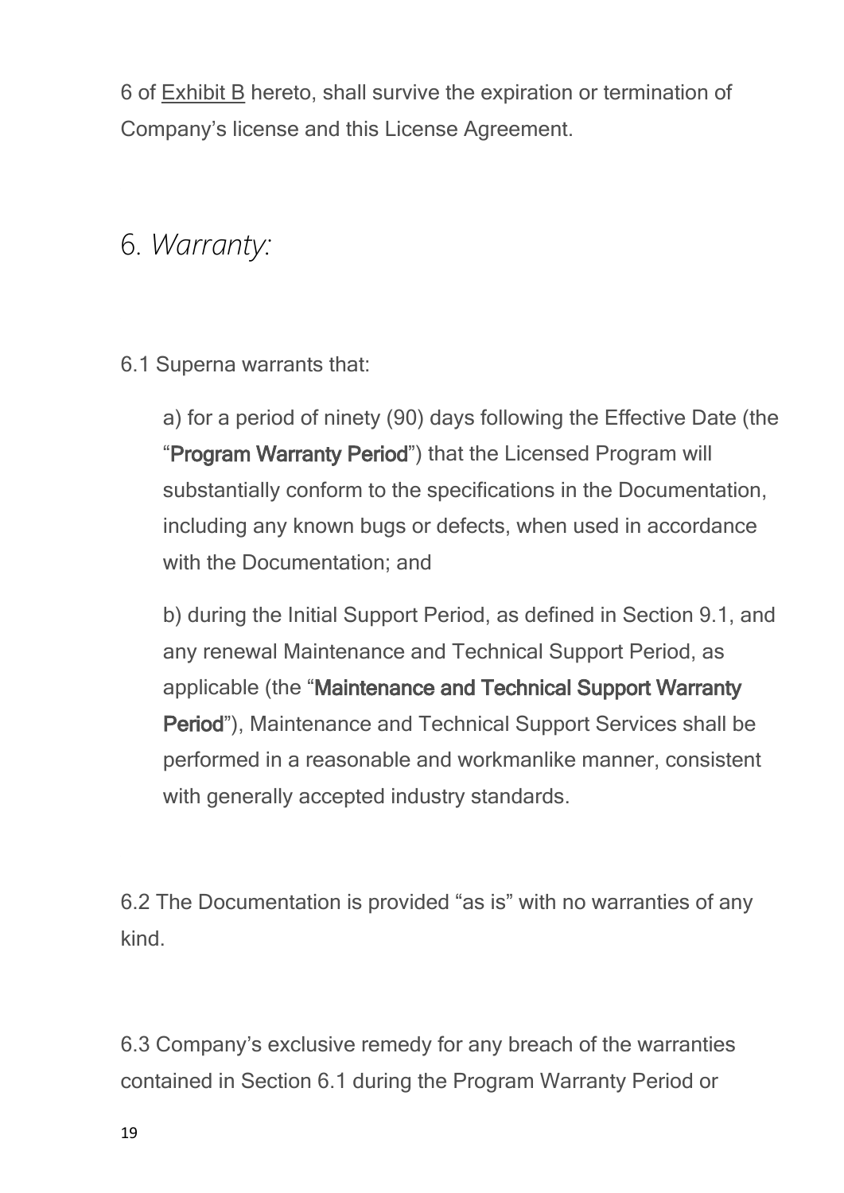6 of Exhibit B hereto, shall survive the expiration or termination of Company's license and this License Agreement.

## <span id="page-18-0"></span>6. *Warranty:*

6.1 Superna warrants that:

a) for a period of ninety (90) days following the Effective Date (the "**Program Warranty Period**") that the Licensed Program will substantially conform to the specifications in the Documentation, including any known bugs or defects, when used in accordance with the Documentation; and

b) during the Initial Support Period, as defined in Section 9.1, and any renewal Maintenance and Technical Support Period, as applicable (the "**Maintenance and Technical Support Warranty Period**"), Maintenance and Technical Support Services shall be performed in a reasonable and workmanlike manner, consistent with generally accepted industry standards.

6.2 The Documentation is provided "as is" with no warranties of any kind.

6.3 Company's exclusive remedy for any breach of the warranties contained in Section 6.1 during the Program Warranty Period or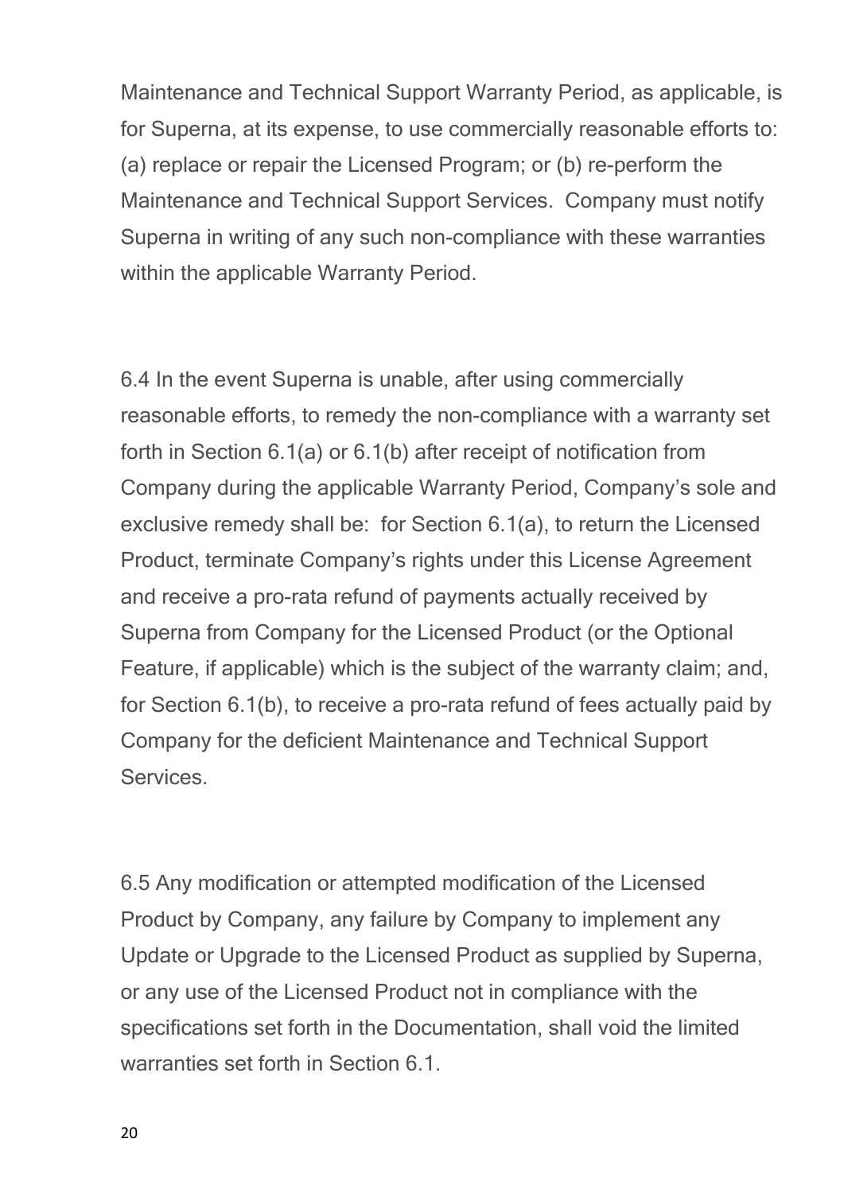Maintenance and Technical Support Warranty Period, as applicable, is for Superna, at its expense, to use commercially reasonable efforts to: (a) replace or repair the Licensed Program; or (b) re-perform the Maintenance and Technical Support Services. Company must notify Superna in writing of any such non-compliance with these warranties within the applicable Warranty Period.

6.4 In the event Superna is unable, after using commercially reasonable efforts, to remedy the non-compliance with a warranty set forth in Section 6.1(a) or 6.1(b) after receipt of notification from Company during the applicable Warranty Period, Company's sole and exclusive remedy shall be: for Section 6.1(a), to return the Licensed Product, terminate Company's rights under this License Agreement and receive a pro-rata refund of payments actually received by Superna from Company for the Licensed Product (or the Optional Feature, if applicable) which is the subject of the warranty claim; and, for Section 6.1(b), to receive a pro-rata refund of fees actually paid by Company for the deficient Maintenance and Technical Support **Services** 

6.5 Any modification or attempted modification of the Licensed Product by Company, any failure by Company to implement any Update or Upgrade to the Licensed Product as supplied by Superna, or any use of the Licensed Product not in compliance with the specifications set forth in the Documentation, shall void the limited warranties set forth in Section 6.1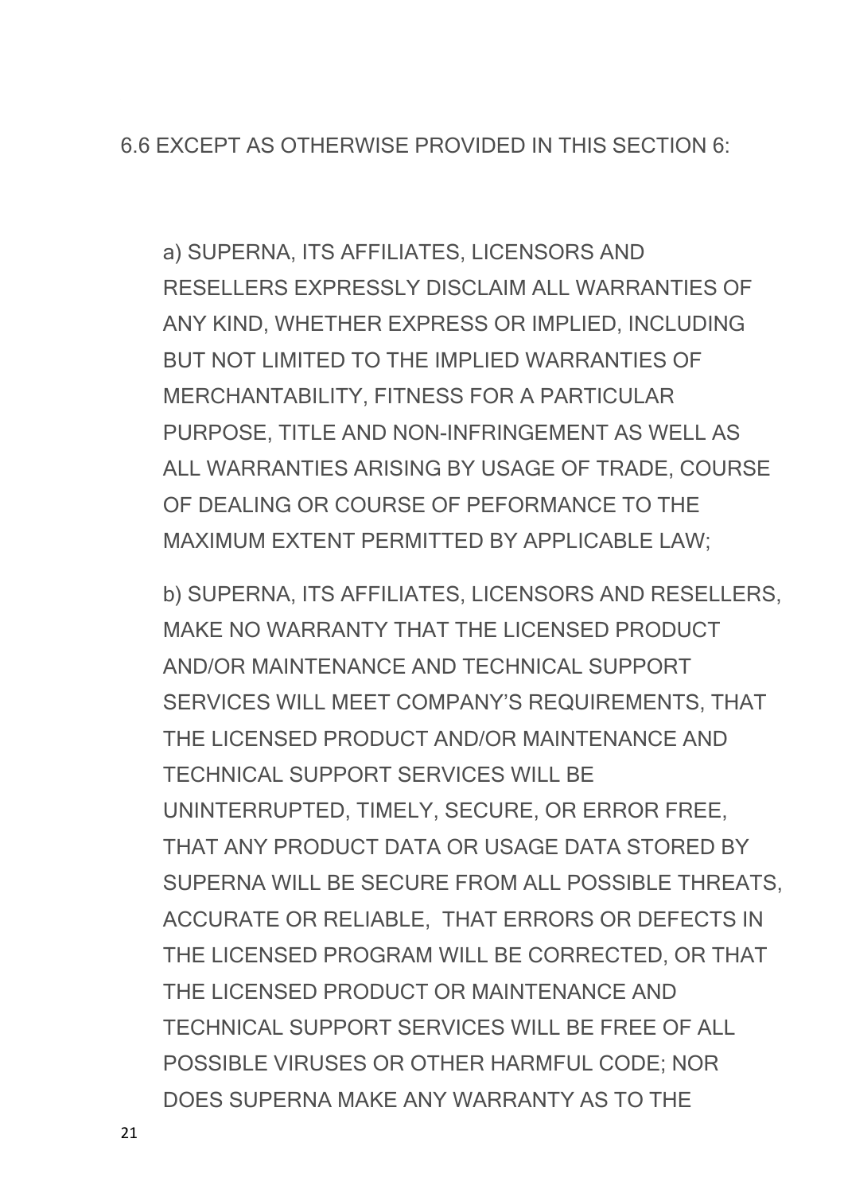6.6 EXCEPT AS OTHERWISE PROVIDED IN THIS SECTION 6:

a) SUPERNA, ITS AFFILIATES, LICENSORS AND RESELLERS EXPRESSLY DISCLAIM ALL WARRANTIES OF ANY KIND, WHETHER EXPRESS OR IMPLIED, INCLUDING BUT NOT LIMITED TO THE IMPLIED WARRANTIES OF MERCHANTABILITY, FITNESS FOR A PARTICULAR PURPOSE, TITLE AND NON-INFRINGEMENT AS WELL AS ALL WARRANTIES ARISING BY USAGE OF TRADE, COURSE OF DEALING OR COURSE OF PEFORMANCE TO THE MAXIMUM EXTENT PERMITTED BY APPLICABLE LAW;

b) SUPERNA, ITS AFFILIATES, LICENSORS AND RESELLERS, MAKE NO WARRANTY THAT THE LICENSED PRODUCT AND/OR MAINTENANCE AND TECHNICAL SUPPORT SERVICES WILL MEET COMPANY'S REQUIREMENTS, THAT THE LICENSED PRODUCT AND/OR MAINTENANCE AND TECHNICAL SUPPORT SERVICES WILL BE UNINTERRUPTED, TIMELY, SECURE, OR ERROR FREE, THAT ANY PRODUCT DATA OR USAGE DATA STORED BY SUPERNA WILL BE SECURE FROM ALL POSSIBLE THREATS, ACCURATE OR RELIABLE, THAT ERRORS OR DEFECTS IN THE LICENSED PROGRAM WILL BE CORRECTED, OR THAT THE LICENSED PRODUCT OR MAINTENANCE AND TECHNICAL SUPPORT SERVICES WILL BE FREE OF ALL POSSIBLE VIRUSES OR OTHER HARMFUL CODE; NOR DOES SUPERNA MAKE ANY WARRANTY AS TO THE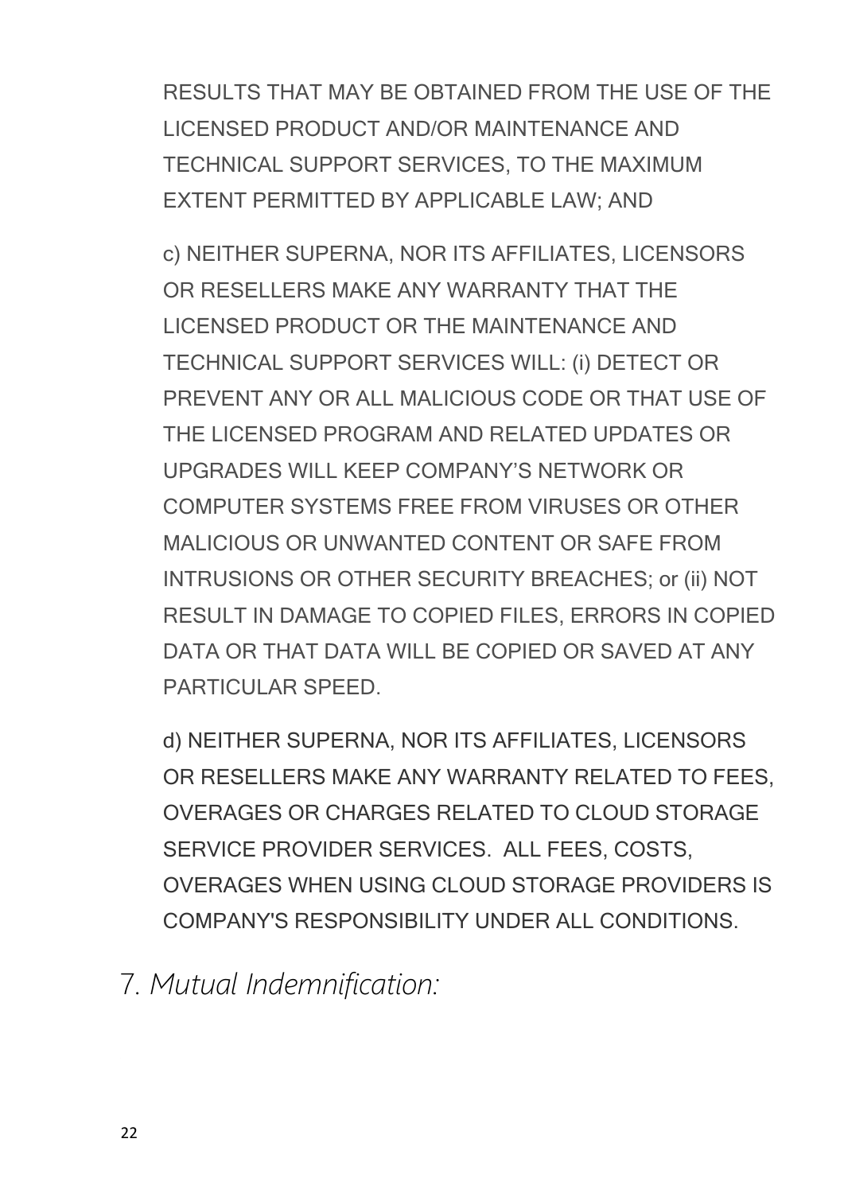RESULTS THAT MAY BE OBTAINED FROM THE USE OF THE LICENSED PRODUCT AND/OR MAINTENANCE AND TECHNICAL SUPPORT SERVICES, TO THE MAXIMUM EXTENT PERMITTED BY APPLICABLE LAW; AND

c) NEITHER SUPERNA, NOR ITS AFFILIATES, LICENSORS OR RESELLERS MAKE ANY WARRANTY THAT THE LICENSED PRODUCT OR THE MAINTENANCE AND TECHNICAL SUPPORT SERVICES WILL: (i) DETECT OR PREVENT ANY OR ALL MALICIOUS CODE OR THAT USE OF THE LICENSED PROGRAM AND RELATED UPDATES OR UPGRADES WILL KEEP COMPANY'S NETWORK OR COMPUTER SYSTEMS FREE FROM VIRUSES OR OTHER MALICIOUS OR UNWANTED CONTENT OR SAFE FROM INTRUSIONS OR OTHER SECURITY BREACHES; or (ii) NOT RESULT IN DAMAGE TO COPIED FILES, ERRORS IN COPIED DATA OR THAT DATA WILL BE COPIED OR SAVED AT ANY PARTICULAR SPEED.

d) NEITHER SUPERNA, NOR ITS AFFILIATES, LICENSORS OR RESELLERS MAKE ANY WARRANTY RELATED TO FEES, OVERAGES OR CHARGES RELATED TO CLOUD STORAGE SERVICE PROVIDER SERVICES. ALL FEES, COSTS, OVERAGES WHEN USING CLOUD STORAGE PROVIDERS IS COMPANY'S RESPONSIBILITY UNDER ALL CONDITIONS.

<span id="page-21-0"></span>7*. Mutual Indemnification:*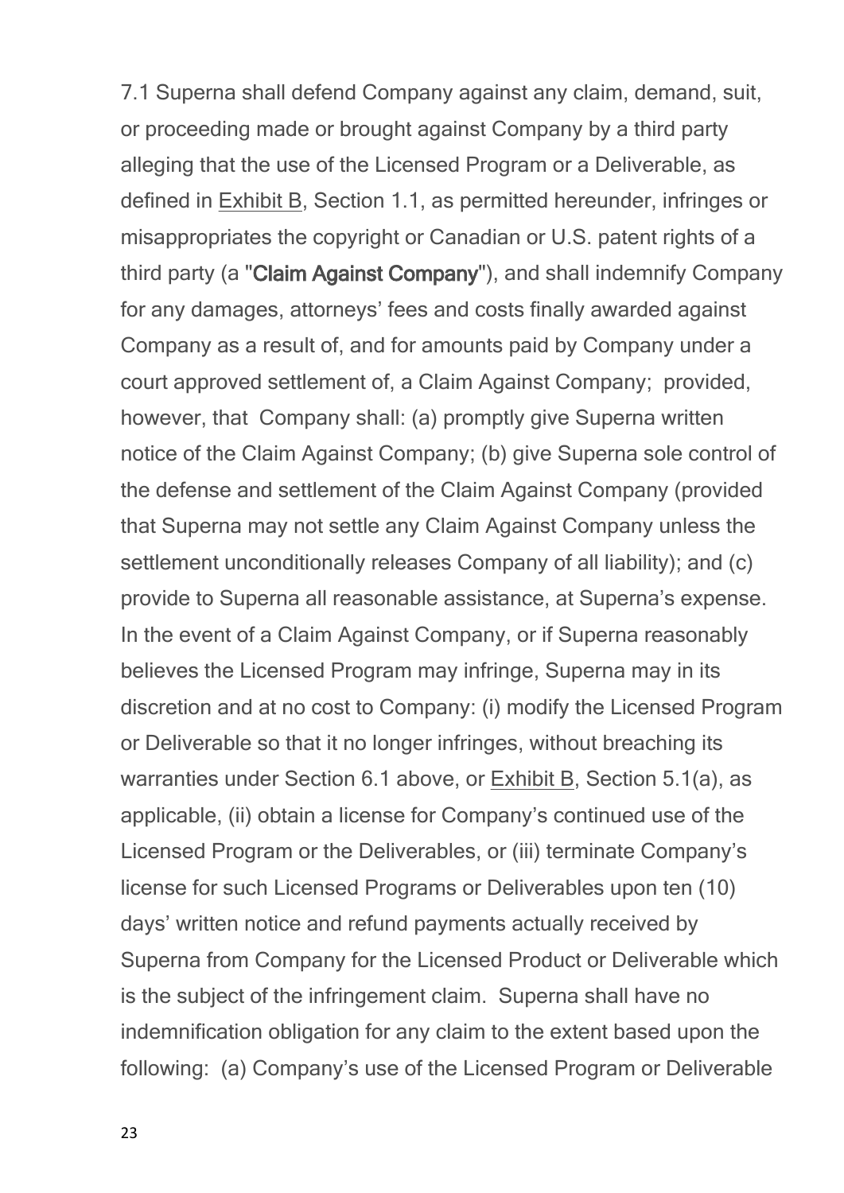7.1 Superna shall defend Company against any claim, demand, suit, or proceeding made or brought against Company by a third party alleging that the use of the Licensed Program or a Deliverable, as defined in Exhibit B, Section 1.1, as permitted hereunder, infringes or misappropriates the copyright or Canadian or U.S. patent rights of a third party (a "**Claim Against Company**"), and shall indemnify Company for any damages, attorneys' fees and costs finally awarded against Company as a result of, and for amounts paid by Company under a court approved settlement of, a Claim Against Company; provided, however, that Company shall: (a) promptly give Superna written notice of the Claim Against Company; (b) give Superna sole control of the defense and settlement of the Claim Against Company (provided that Superna may not settle any Claim Against Company unless the settlement unconditionally releases Company of all liability); and (c) provide to Superna all reasonable assistance, at Superna's expense. In the event of a Claim Against Company, or if Superna reasonably believes the Licensed Program may infringe, Superna may in its discretion and at no cost to Company: (i) modify the Licensed Program or Deliverable so that it no longer infringes, without breaching its warranties under Section 6.1 above, or Exhibit B, Section 5.1(a), as applicable, (ii) obtain a license for Company's continued use of the Licensed Program or the Deliverables, or (iii) terminate Company's license for such Licensed Programs or Deliverables upon ten (10) days' written notice and refund payments actually received by Superna from Company for the Licensed Product or Deliverable which is the subject of the infringement claim. Superna shall have no indemnification obligation for any claim to the extent based upon the following: (a) Company's use of the Licensed Program or Deliverable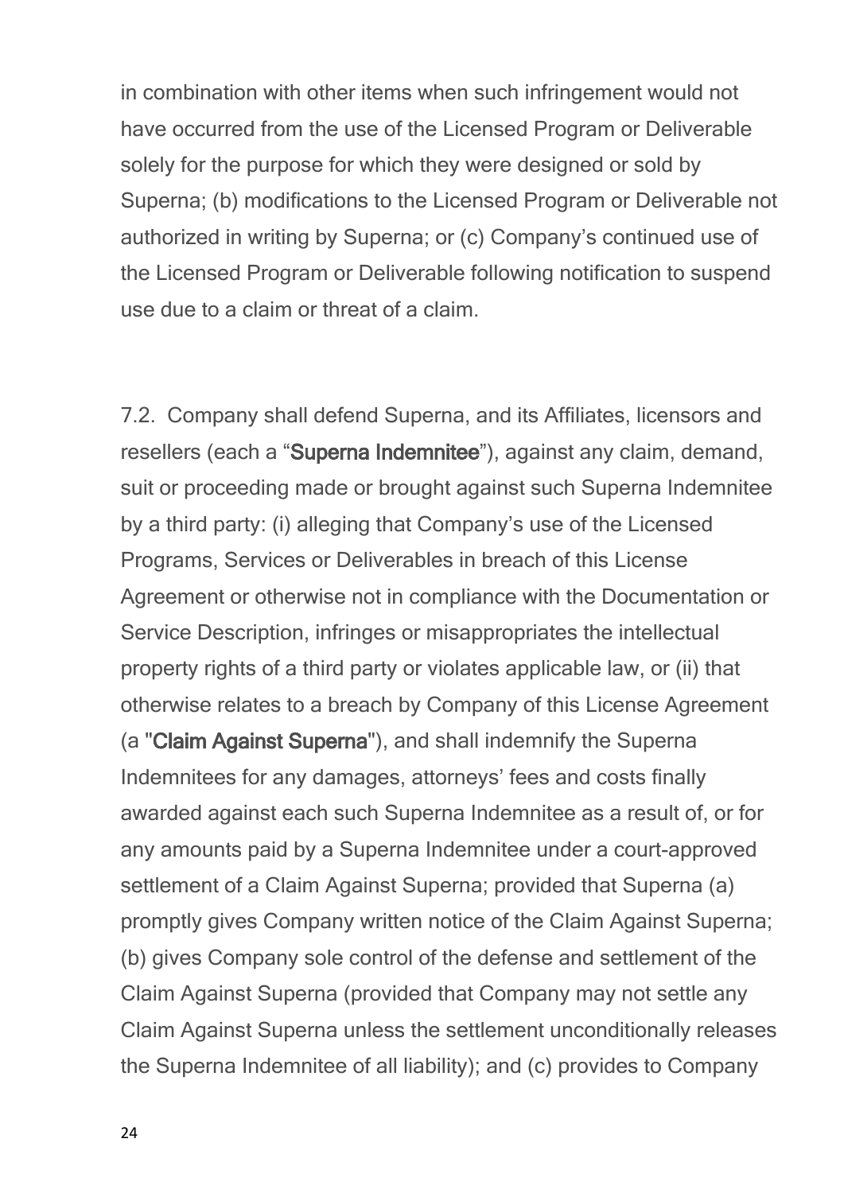in combination with other items when such infringement would not have occurred from the use of the Licensed Program or Deliverable solely for the purpose for which they were designed or sold by Superna; (b) modifications to the Licensed Program or Deliverable not authorized in writing by Superna; or (c) Company's continued use of the Licensed Program or Deliverable following notification to suspend use due to a claim or threat of a claim.

7.2. Company shall defendSuperna, and its Affiliates, licensors and resellers (each a "**Superna Indemnitee**"), against any claim, demand, suit or proceeding made or brought against such Superna Indemnitee by a third party: (i) alleging that Company's use of the Licensed Programs, Services or Deliverables in breach of this License Agreement or otherwise not in compliance with the Documentation or Service Description, infringes or misappropriates the intellectual property rights of a third party or violates applicable law, or (ii) that otherwise relates to a breach by Company of this License Agreement (a "**Claim Against Superna**"), and shall indemnify the Superna Indemnitees for any damages, attorneys' fees and costs finally awarded against each such Superna Indemnitee as a result of, or for any amounts paid by a Superna Indemnitee under a court-approved settlement of a Claim Against Superna; provided that Superna (a) promptly gives Company written notice of the Claim Against Superna; (b) gives Company sole control of the defense and settlement of the Claim Against Superna (provided that Company may not settle any Claim Against Superna unless the settlement unconditionally releases the Superna Indemnitee of all liability); and (c) provides to Company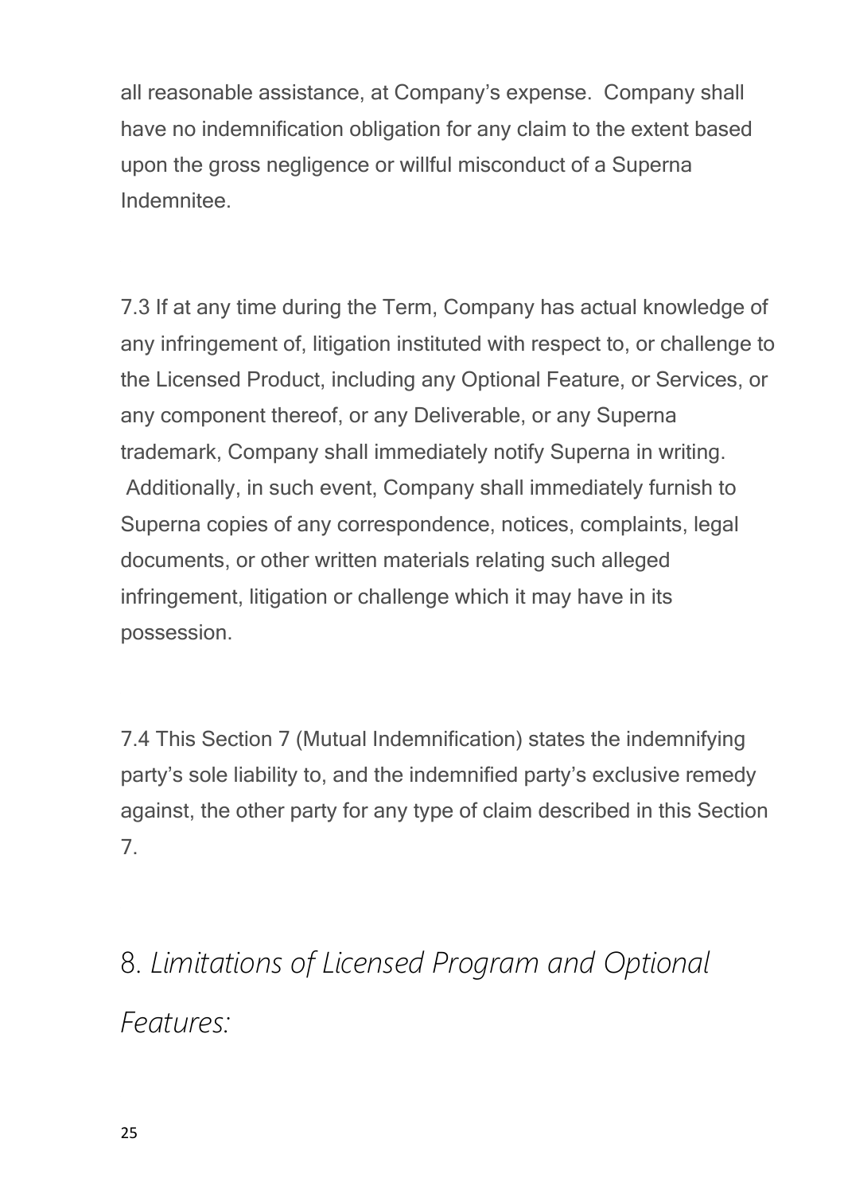all reasonable assistance, at Company's expense. Company shall have no indemnification obligation for any claim to the extent based upon the gross negligence or willful misconduct of a Superna Indemnitee.

7.3If at any time during the Term, Company has actual knowledge of any infringement of, litigation instituted with respect to, or challenge to the Licensed Product, including any Optional Feature, or Services, or any component thereof, or any Deliverable, or any Superna trademark, Company shall immediately notify Superna in writing. Additionally, in such event, Company shall immediately furnish to Superna copies of any correspondence, notices, complaints, legal documents, or other written materials relating such alleged infringement, litigation or challenge which it may have in its possession.

7.4This Section 7 (Mutual Indemnification) states the indemnifying party's sole liability to, and the indemnified party's exclusive remedy against, the other party for any type of claim described in this Section 7.

<span id="page-24-0"></span>8. *Limitations of Licensed Program and Optional Features:*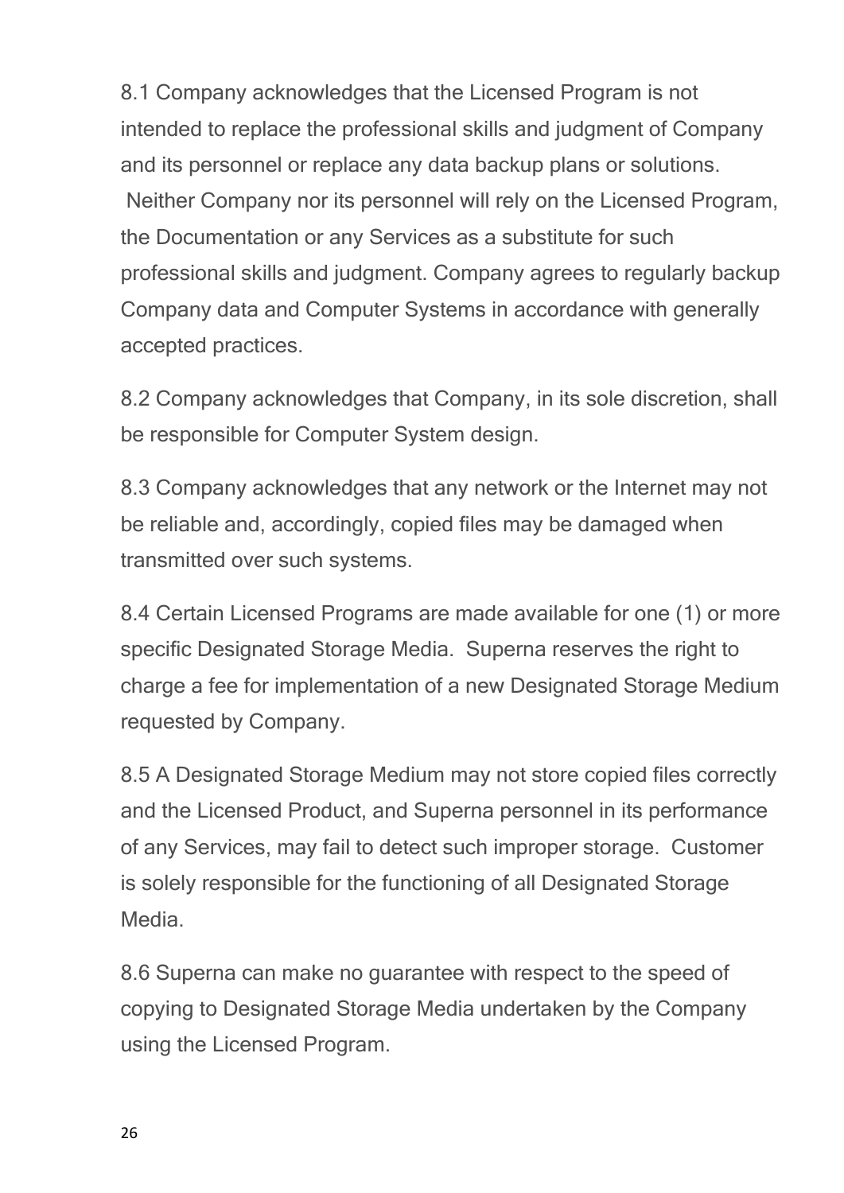8.1 Company acknowledges that the Licensed Program is not intended to replace the professional skills and judgment of Company and its personnel or replace any data backup plans or solutions. Neither Company nor its personnel will rely on the Licensed Program, the Documentation or any Services as a substitute for such professional skills and judgment. Company agrees to regularly backup Company data and Computer Systems in accordance with generally accepted practices.

8.2 Company acknowledges that Company, in its sole discretion, shall be responsible for Computer System design.

8.3 Company acknowledges that any network or the Internet may not be reliable and, accordingly, copied files may be damaged when transmitted over such systems.

8.4 Certain Licensed Programs are made available for one (1) or more specific Designated Storage Media. Superna reserves the right to charge a fee for implementation of a new Designated Storage Medium requested by Company.

8.5 A Designated Storage Medium may not store copied files correctly and the Licensed Product, and Superna personnel in its performance of any Services, may fail to detect such improper storage. Customer is solely responsible for the functioning of all Designated Storage Media.

8.6 Superna can make no guarantee with respect to the speed of copying to Designated Storage Media undertaken by the Company using the Licensed Program.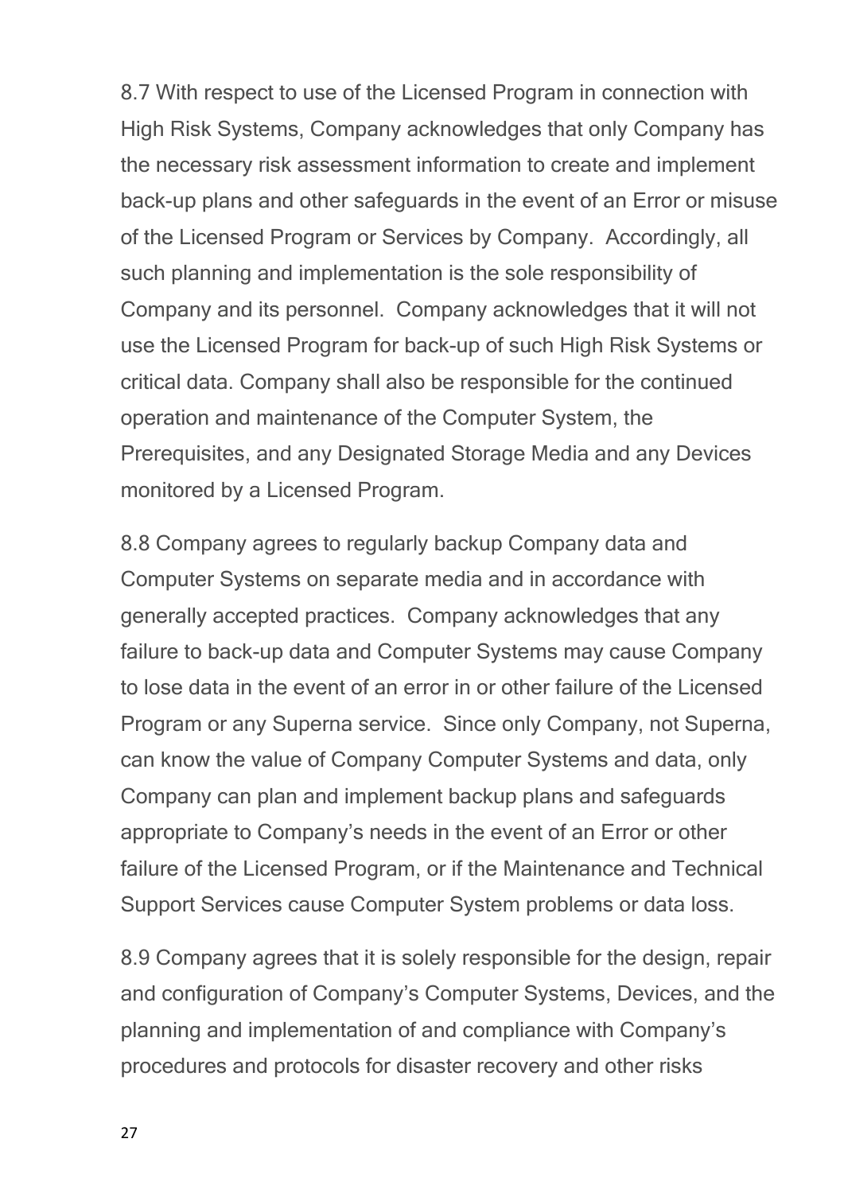8.7 With respect to use of the Licensed Program in connection with High Risk Systems, Company acknowledges that only Company has the necessary risk assessment information to create and implement back-up plans and other safeguards in the event of an Error or misuse of the Licensed Program or Services by Company. Accordingly, all such planning and implementation is the sole responsibility of Company and its personnel. Company acknowledges that it will not use the Licensed Program for back-up of such High Risk Systems or critical data. Company shall also be responsible for the continued operation and maintenance of the Computer System, the Prerequisites, and any Designated Storage Media and any Devices monitored by a Licensed Program.

8.8 Company agrees to regularly backup Company data and Computer Systems on separate media and in accordance with generally accepted practices. Company acknowledges that any failure to back-up data and Computer Systems may cause Company to lose data in the event of an error in or other failure of the Licensed Program or any Superna service. Since only Company, not Superna, can know the value of Company Computer Systems and data, only Company can plan and implement backup plans and safeguards appropriate to Company's needs in the event of an Error or other failure of the Licensed Program, or if the Maintenance and Technical Support Services cause Computer System problems or data loss.

8.9 Company agrees that it is solely responsible for the design, repair and configuration of Company's Computer Systems, Devices, and the planning and implementation of and compliance with Company's procedures and protocols for disaster recovery and other risks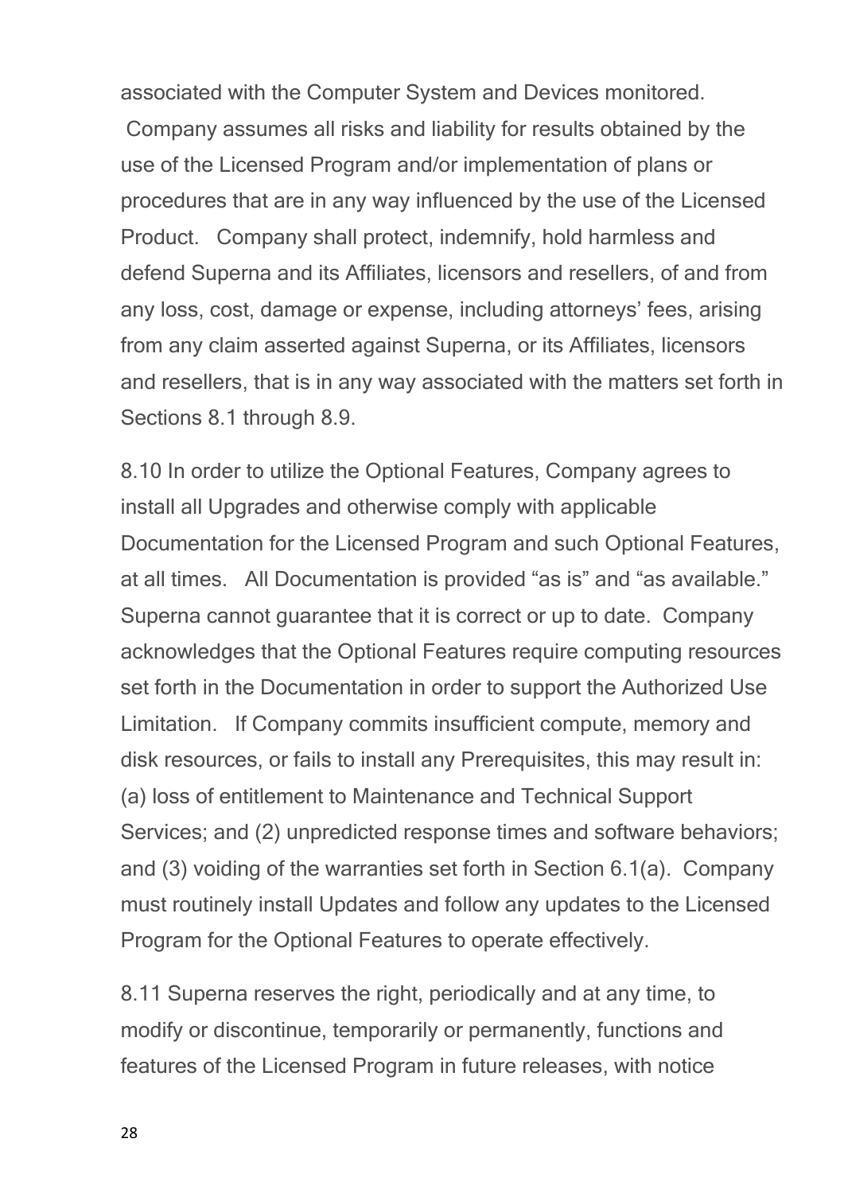associated with the Computer System and Devices monitored. Company assumes all risks and liability for results obtained by the use of the Licensed Program and/or implementation of plans or procedures that are in any way influenced by the use of the Licensed Product. Company shall protect, indemnify, hold harmless and defend Superna and its Affiliates, licensors and resellers, of and from any loss, cost, damage or expense, including attorneys' fees, arising from any claim asserted against Superna, or its Affiliates, licensors and resellers, that is in any way associated with the matters set forth in Sections 8.1 through 8.9.

8.10 In order to utilize the Optional Features, Company agrees to install all Upgrades and otherwise comply with applicable Documentation for the Licensed Program and such Optional Features, at all times. All Documentation is provided "as is" and "as available." Superna cannot guarantee that it is correct or up to date. Company acknowledges that the Optional Features require computing resources set forth in the Documentation in order to support the Authorized Use Limitation. If Company commits insufficient compute, memory and disk resources, or fails to install any Prerequisites, this may result in: (a) loss of entitlement to Maintenance and Technical Support Services; and (2) unpredicted response times and software behaviors; and (3) voiding of the warranties set forth in Section 6.1(a). Company must routinely install Updates and follow any updates to the Licensed Program for the Optional Features to operate effectively.

8.11 Superna reserves the right, periodically and at any time, to modify or discontinue, temporarily or permanently, functions and features of the Licensed Program in future releases, with notice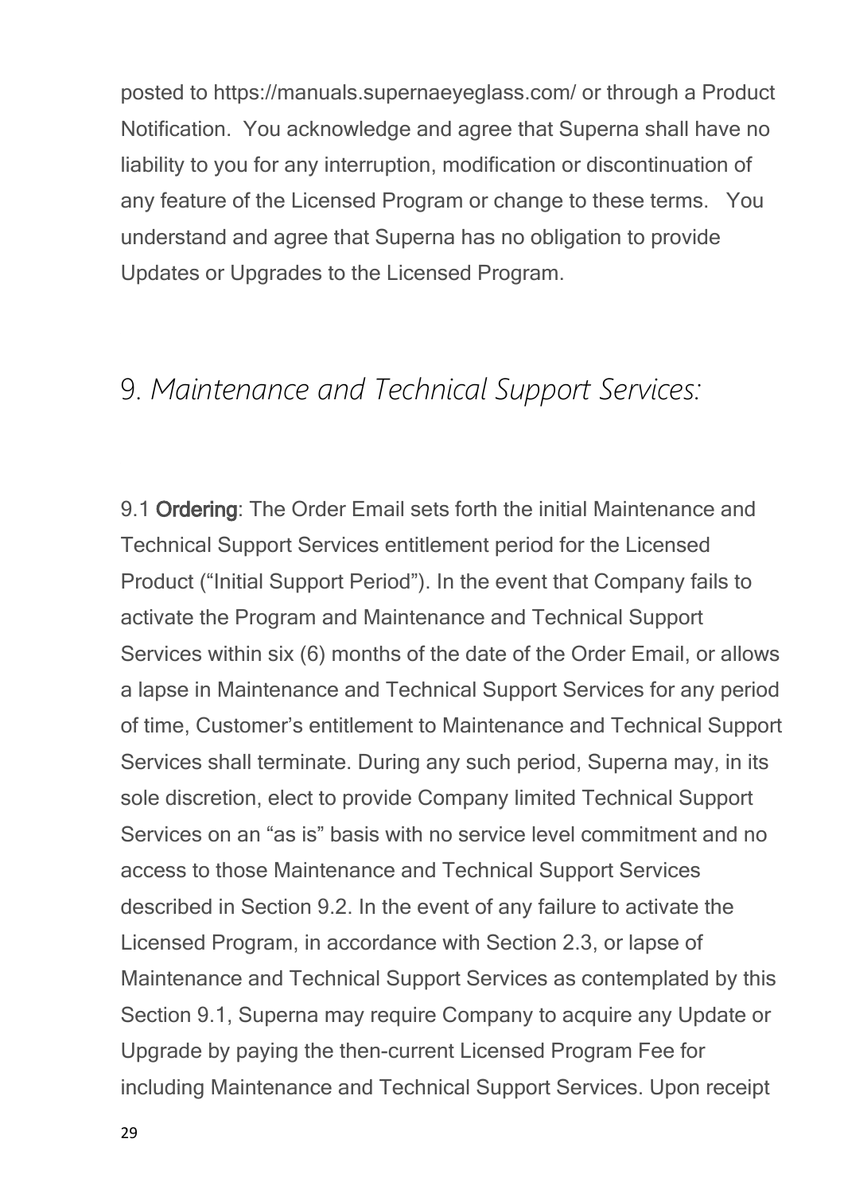posted to https://manuals.supernaeyeglass.com/ or through a Product Notification. You acknowledge and agree that Superna shall have no liability to you for any interruption, modification or discontinuation of any feature of the Licensed Program or change to these terms. You understand and agree that Superna has no obligation to provide Updates or Upgrades to the Licensed Program.

#### <span id="page-28-0"></span>9. *Maintenance and Technical Support Services:*

9.1 **Ordering**: The Order Email sets forth the initial Maintenance and Technical Support Services entitlement period for the Licensed Product ("Initial Support Period"). In the event that Company fails to activate the Program and Maintenance and Technical Support Services within six (6) months of the date of the Order Email, or allows a lapse in Maintenance and Technical Support Services for any period of time, Customer's entitlement to Maintenance and Technical Support Services shall terminate. During any such period, Superna may, in its sole discretion, elect to provide Company limited Technical Support Services on an "as is" basis with no service level commitment and no access to those Maintenance and Technical Support Services described in Section 9.2. In the event of any failure to activate the Licensed Program, in accordance with Section 2.3, or lapse of Maintenance and Technical Support Services as contemplated by this Section 9.1, Superna may require Company to acquire any Update or Upgrade by paying the then-current Licensed Program Fee for including Maintenance and Technical Support Services. Upon receipt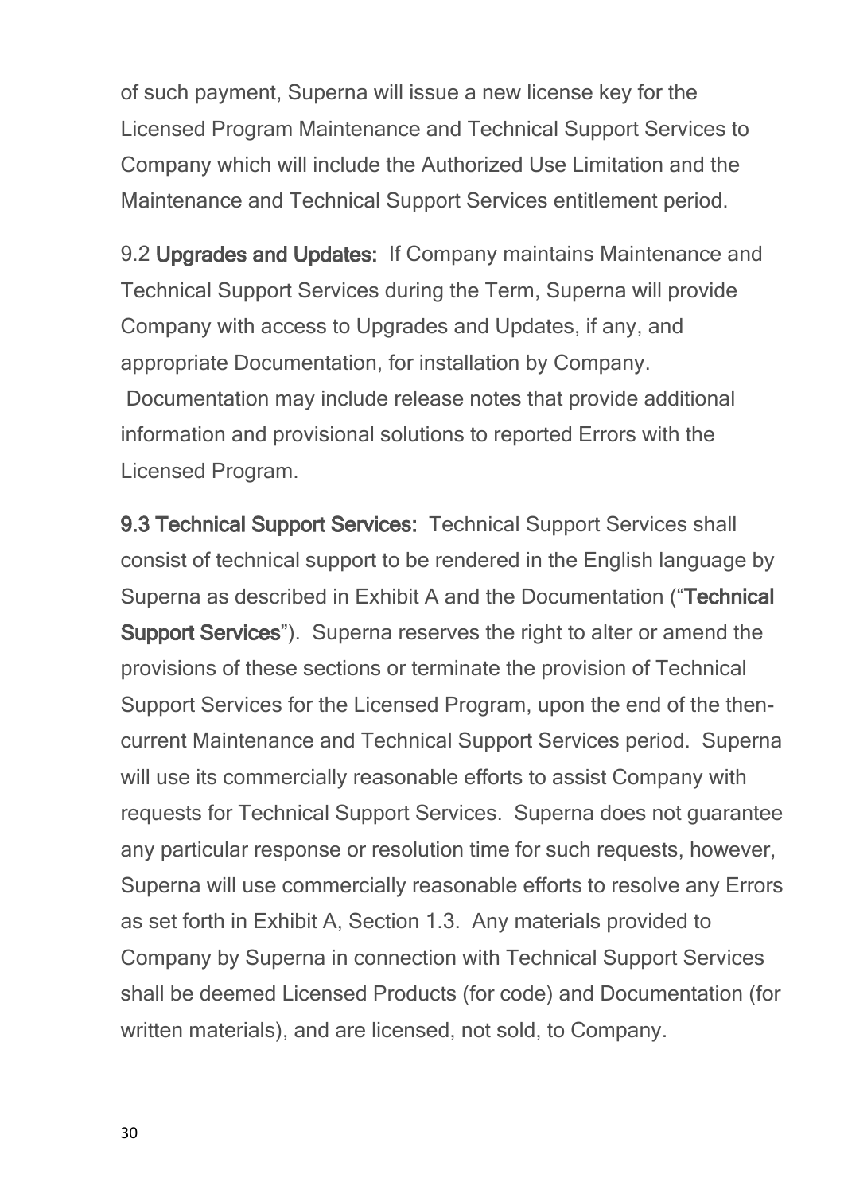of such payment, Superna will issue a new license key for the Licensed Program Maintenance and Technical Support Services to Company which will include the Authorized Use Limitation and the Maintenance and Technical Support Services entitlement period.

9.2 **Upgrades and Updates:** If Company maintains Maintenance and Technical Support Services during the Term, Superna will provide Company with access to Upgrades and Updates, if any, and appropriate Documentation, for installation by Company. Documentation may include release notes that provide additional information and provisional solutions to reported Errors with the Licensed Program.

**9.3 Technical Support Services:** Technical Support Services shall consist of technical support to be rendered in the English language by Superna as described in Exhibit A and the Documentation ("**Technical Support Services**"). Superna reserves the right to alter or amend the provisions of these sections or terminate the provision of Technical Support Services for the Licensed Program, upon the end of the thencurrent Maintenance and Technical Support Services period. Superna will use its commercially reasonable efforts to assist Company with requests for Technical Support Services. Superna does not guarantee any particular response or resolution time for such requests, however, Superna will use commercially reasonable efforts to resolve any Errors as set forth in Exhibit A, Section 1.3. Any materials provided to Company by Superna in connection with Technical Support Services shall be deemed Licensed Products (for code) and Documentation (for written materials), and are licensed, not sold, to Company.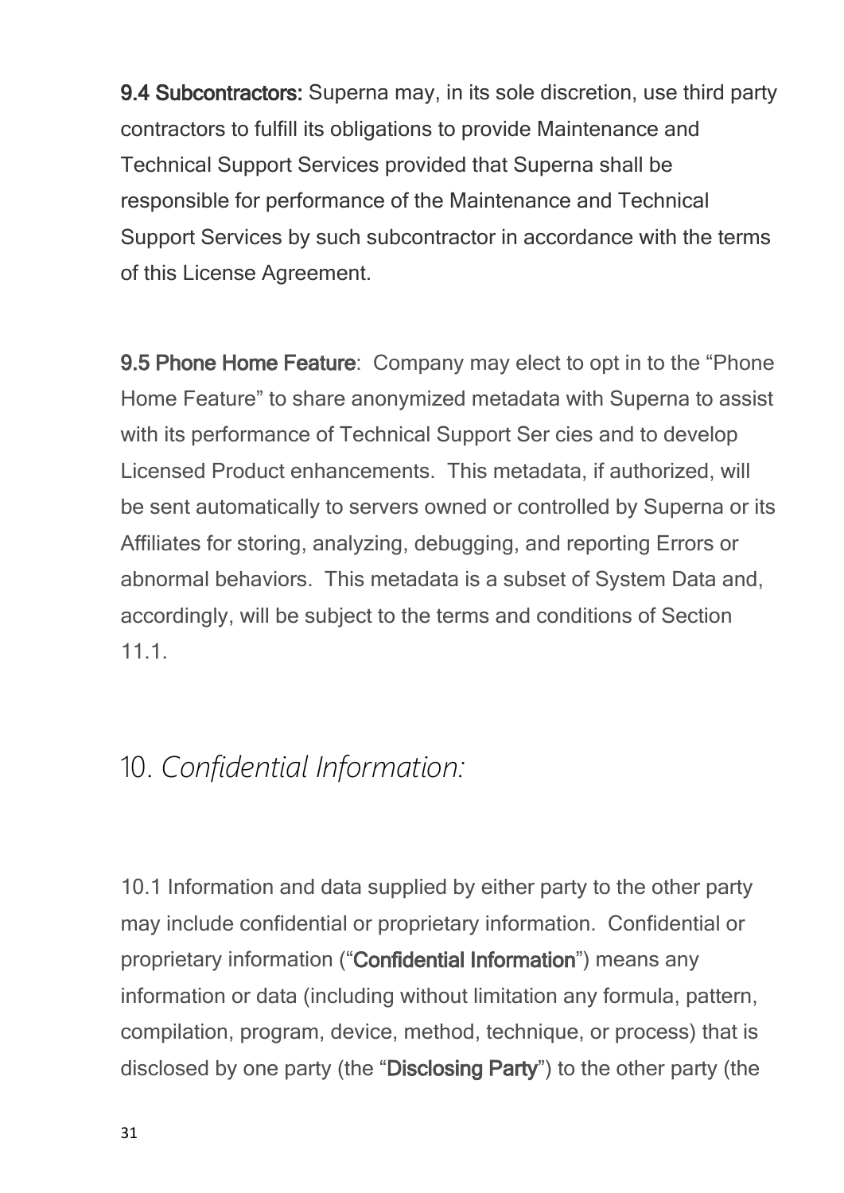**9.4 Subcontractors:** Superna may, in its sole discretion, use third party contractors to fulfill its obligations to provide Maintenance and Technical Support Services provided that Superna shall be responsible for performance of the Maintenance and Technical Support Services by such subcontractor in accordance with the terms of this License Agreement.

**9.5 Phone Home Feature**: Company may elect to opt in to the "Phone Home Feature" to share anonymized metadata with Superna to assist with its performance of Technical Support Ser cies and to develop Licensed Product enhancements. This metadata, if authorized, will be sent automatically to servers owned or controlled by Superna or its Affiliates for storing, analyzing, debugging, and reporting Errors or abnormal behaviors. This metadata is a subset of System Data and, accordingly, will be subject to the terms and conditions of Section 11.1.

## <span id="page-30-0"></span>10. *Confidential Information:*

10.1 Information and data supplied by either party to the other party may include confidential or proprietary information. Confidential or proprietary information ("**Confidential Information**") means any information or data (including without limitation any formula, pattern, compilation, program, device, method, technique, or process) that is disclosed by one party (the "**Disclosing Party**") to the other party (the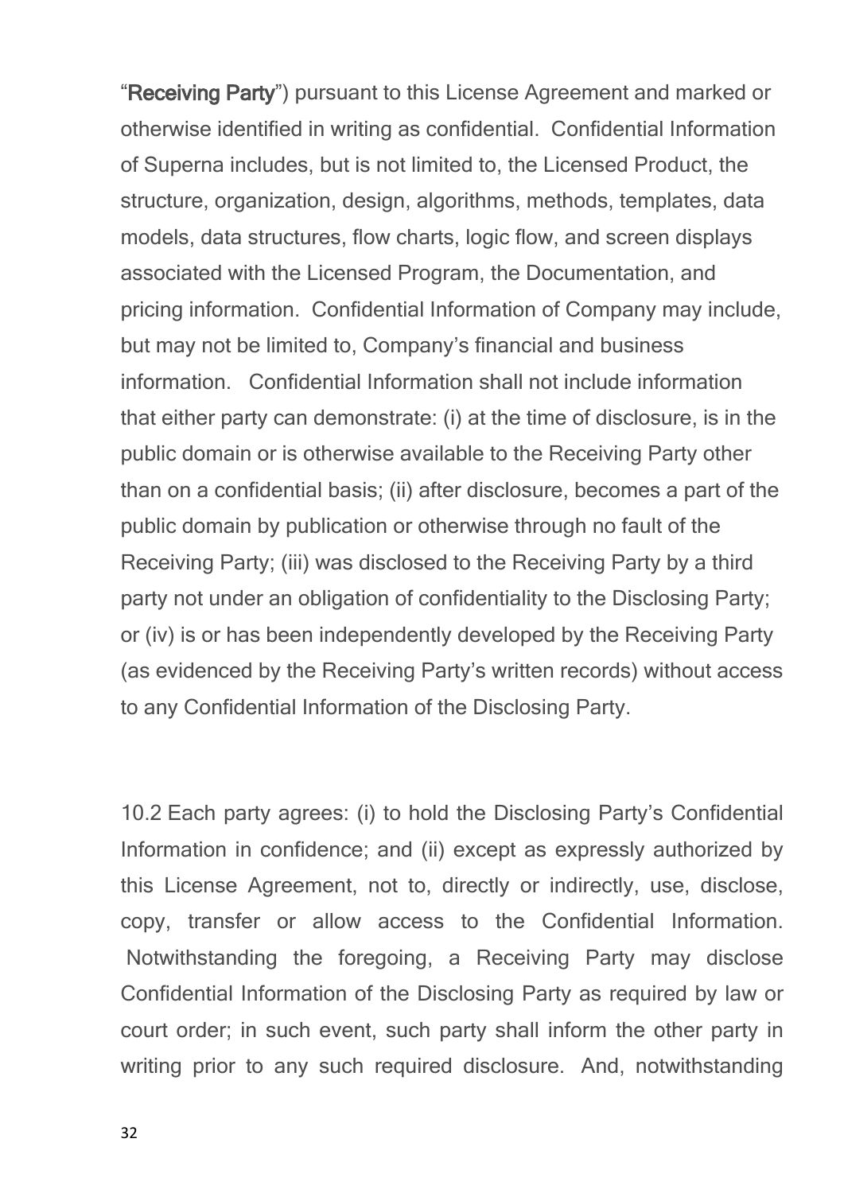"**Receiving Party**") pursuant to this License Agreement and marked or otherwise identified in writing as confidential. Confidential Information of Superna includes, but is not limited to, the Licensed Product, the structure, organization, design, algorithms, methods, templates, data models, data structures, flow charts, logic flow, and screen displays associated with the Licensed Program, the Documentation, and pricing information. Confidential Information of Company may include, but may not be limited to, Company's financial and business information. Confidential Information shall not include information that either party can demonstrate: (i) at the time of disclosure, is in the public domain or is otherwise available to the Receiving Party other than on a confidential basis; (ii) after disclosure, becomes a part of the public domain by publication or otherwise through no fault of the Receiving Party; (iii) was disclosed to the Receiving Party by a third party not under an obligation of confidentiality to the Disclosing Party; or (iv) is or has been independently developed by the Receiving Party (as evidenced by the Receiving Party's written records) without access to any Confidential Information of the Disclosing Party.

10.2 Each party agrees: (i) to hold the Disclosing Party's Confidential Information in confidence; and (ii) except as expressly authorized by this License Agreement, not to, directly or indirectly, use, disclose, copy, transfer or allow access to the Confidential Information. Notwithstanding the foregoing, a Receiving Party may disclose Confidential Information of the Disclosing Party as required by law or court order; in such event, such party shall inform the other party in writing prior to any such required disclosure. And, notwithstanding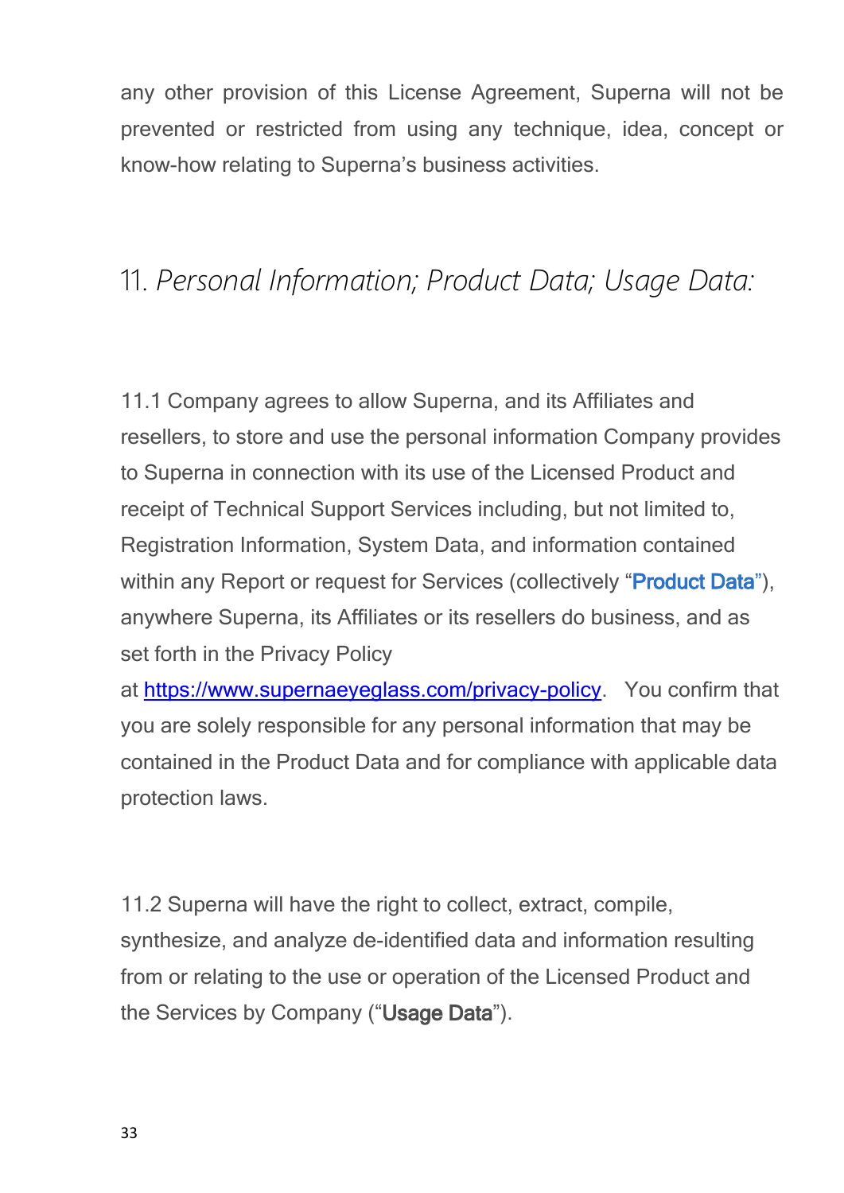any other provision of this License Agreement, Superna will not be prevented or restricted from using any technique, idea, concept or know-how relating to Superna's business activities.

## <span id="page-32-0"></span>11. *Personal Information; Product Data; Usage Data:*

11.1 Company agrees to allow Superna, and its Affiliates and resellers, to store and use the personal information Company provides to Superna in connection with its use of the Licensed Product and receipt of Technical Support Services including, but not limited to, Registration Information, System Data, and information contained within any Report or request for Services (collectively "**[Product](file:///C:/Windows/TEMP/ysl3oxbc.qvw/Storage/superna-eyeglass-agreements/Product Data - Eyeglass and ECA log content definitions.pdf) [Data](file:///C:/Windows/TEMP/ysl3oxbc.qvw/Storage/superna-eyeglass-agreements/Product Data - Eyeglass and ECA log content definitions.pdf)**["\)](file:///C:/Windows/TEMP/ysl3oxbc.qvw/Storage/superna-eyeglass-agreements/Product Data - Eyeglass and ECA log content definitions.pdf), anywhere Superna, its Affiliates or its resellers do business, and as set forth in the Privacy Policy

at <https://www.supernaeyeglass.com/privacy-policy>. You confirm that you are solely responsible for any personal information that may be contained in the Product Data and for compliance with applicable data protection laws.

11.2 Superna will have the right to collect, extract, compile, synthesize, and analyze de-identified data and information resulting from or relating to the use or operation of the Licensed Product and the Services by Company ("**Usage Data**").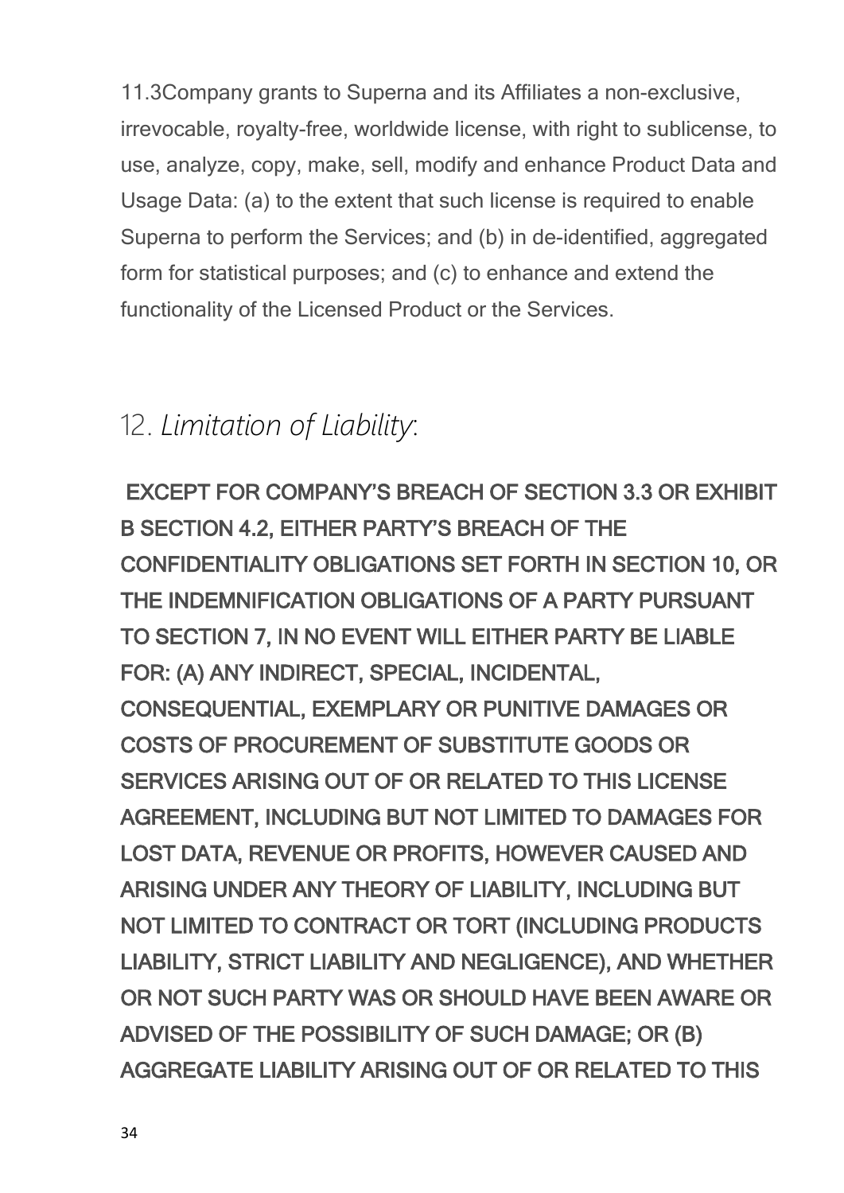11.3Company grants to Superna and its Affiliates a non-exclusive, irrevocable, royalty-free, worldwide license, with right to sublicense, to use, analyze, copy, make, sell, modify and enhance Product Data and Usage Data: (a) to the extent that such license is required to enable Superna to perform the Services; and (b) in de-identified, aggregated form for statistical purposes; and (c) to enhance and extend the functionality of the Licensed Product or the Services.

## <span id="page-33-0"></span>12. *Limitation of Liability*:

 **EXCEPT FOR COMPANY'S BREACH OF SECTION 3.3 OR EXHIBIT B SECTION 4.2, EITHER PARTY'S BREACH OF THE CONFIDENTIALITY OBLIGATIONS SET FORTH IN SECTION 10, OR THE INDEMNIFICATION OBLIGATIONS OF A PARTY PURSUANT TO SECTION 7, IN NO EVENT WILL EITHER PARTY BE LIABLE FOR: (A) ANY INDIRECT, SPECIAL, INCIDENTAL, CONSEQUENTIAL, EXEMPLARY OR PUNITIVE DAMAGES OR COSTS OF PROCUREMENT OF SUBSTITUTE GOODS OR SERVICES ARISING OUT OF OR RELATED TO THIS LICENSE AGREEMENT, INCLUDING BUT NOT LIMITED TO DAMAGES FOR LOST DATA, REVENUE OR PROFITS, HOWEVER CAUSED AND ARISING UNDER ANY THEORY OF LIABILITY, INCLUDING BUT NOT LIMITED TO CONTRACT OR TORT (INCLUDING PRODUCTS LIABILITY, STRICT LIABILITY AND NEGLIGENCE), AND WHETHER OR NOT SUCH PARTY WAS OR SHOULD HAVE BEEN AWARE OR ADVISED OF THE POSSIBILITY OF SUCH DAMAGE; OR (B) AGGREGATE LIABILITY ARISING OUT OF OR RELATED TO THIS**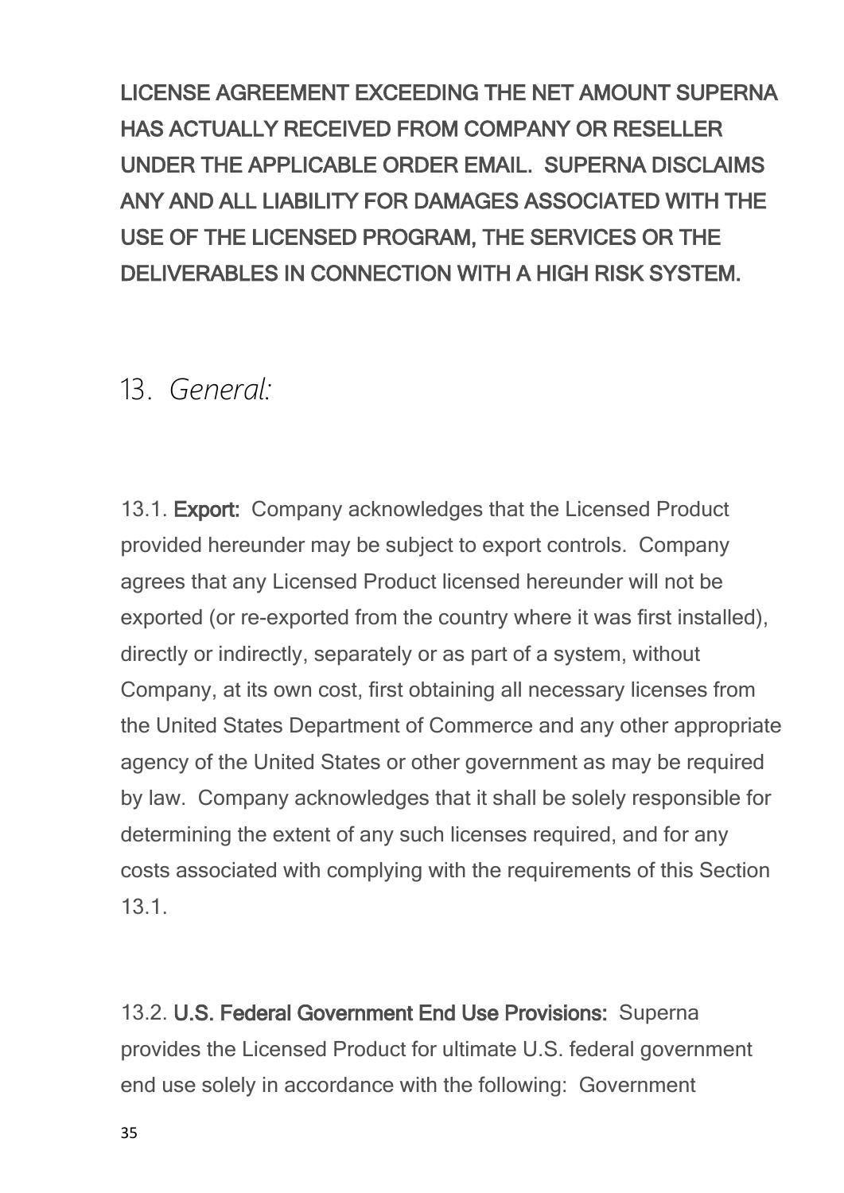**LICENSE AGREEMENT EXCEEDING THE NET AMOUNT SUPERNA HAS ACTUALLY RECEIVED FROM COMPANY OR RESELLER UNDER THE APPLICABLE ORDER EMAIL. SUPERNA DISCLAIMS ANY AND ALL LIABILITY FOR DAMAGES ASSOCIATED WITH THE USE OF THE LICENSED PROGRAM, THE SERVICES OR THE DELIVERABLES IN CONNECTION WITH A HIGH RISK SYSTEM.**

#### <span id="page-34-0"></span>13. *General:*

13.1. **Export:** Company acknowledges that the Licensed Product provided hereunder may be subject to export controls. Company agrees that any Licensed Product licensed hereunder will not be exported (or re-exported from the country where it was first installed), directly or indirectly, separately or as part of a system, without Company, at its own cost, first obtaining all necessary licenses from the United States Department of Commerce and any other appropriate agency of the United States or other government as may be required by law. Company acknowledges that it shall be solely responsible for determining the extent of any such licenses required, and for any costs associated with complying with the requirements of this Section 13.1.

13.2. **U.S. Federal Government End Use Provisions:** Superna provides the Licensed Product for ultimate U.S. federal government end use solely in accordance with the following: Government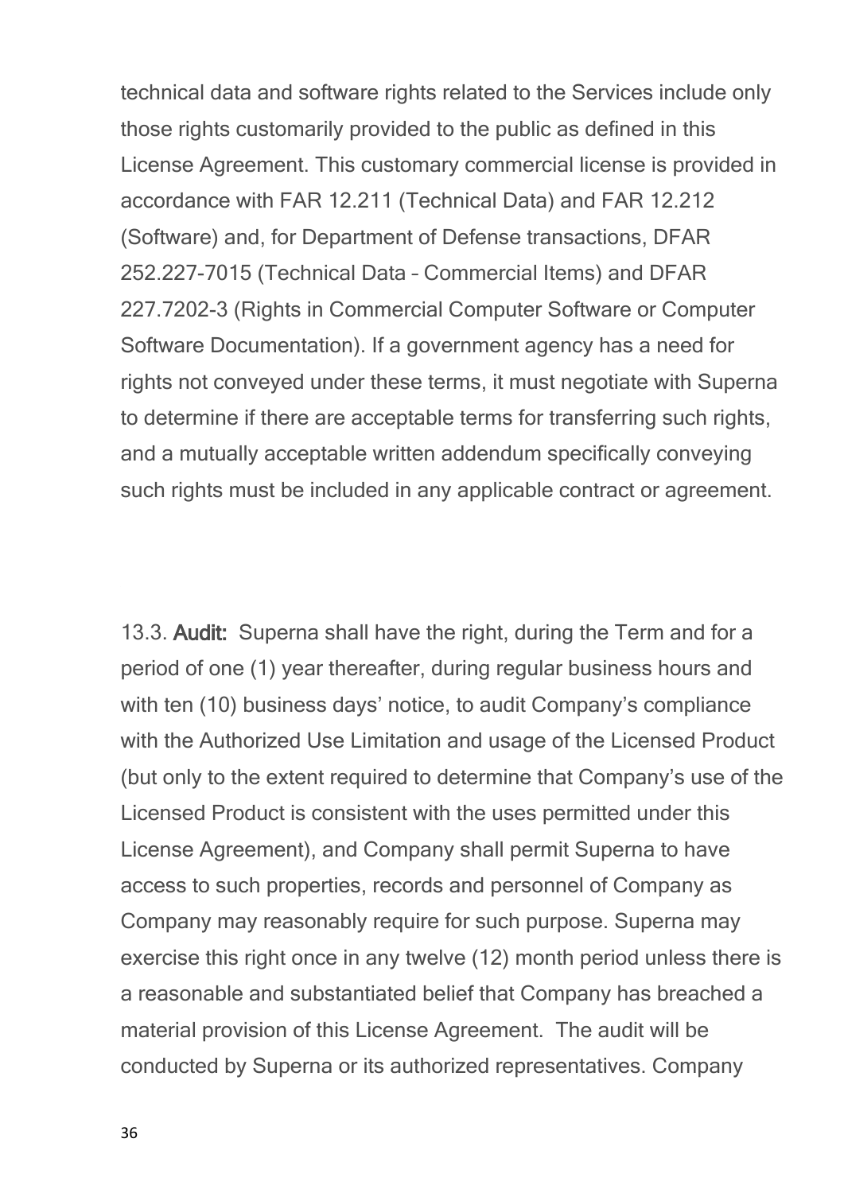technical data and software rights related to the Services include only those rights customarily provided to the public as defined in this License Agreement. This customary commercial license is provided in accordance with FAR 12.211 (Technical Data) and FAR 12.212 (Software) and, for Department of Defense transactions, DFAR 252.227-7015 (Technical Data – Commercial Items) and DFAR 227.7202-3 (Rights in Commercial Computer Software or Computer Software Documentation). If a government agency has a need for rights not conveyed under these terms, it must negotiate with Superna to determine if there are acceptable terms for transferring such rights, and a mutually acceptable written addendum specifically conveying such rights must be included in any applicable contract or agreement.

13.3. **Audit:** Superna shall have the right, during the Term and for a period of one (1) year thereafter, during regular business hours and with ten (10) business days' notice, to audit Company's compliance with the Authorized Use Limitation and usage of the Licensed Product (but only to the extent required to determine that Company's use of the Licensed Product is consistent with the uses permitted under this License Agreement), and Company shall permit Superna to have access to such properties, records and personnel of Company as Company may reasonably require for such purpose. Superna may exercise this right once in any twelve (12) month period unless there is a reasonable and substantiated belief that Company has breached a material provision of this License Agreement. The audit will be conducted by Superna or its authorized representatives. Company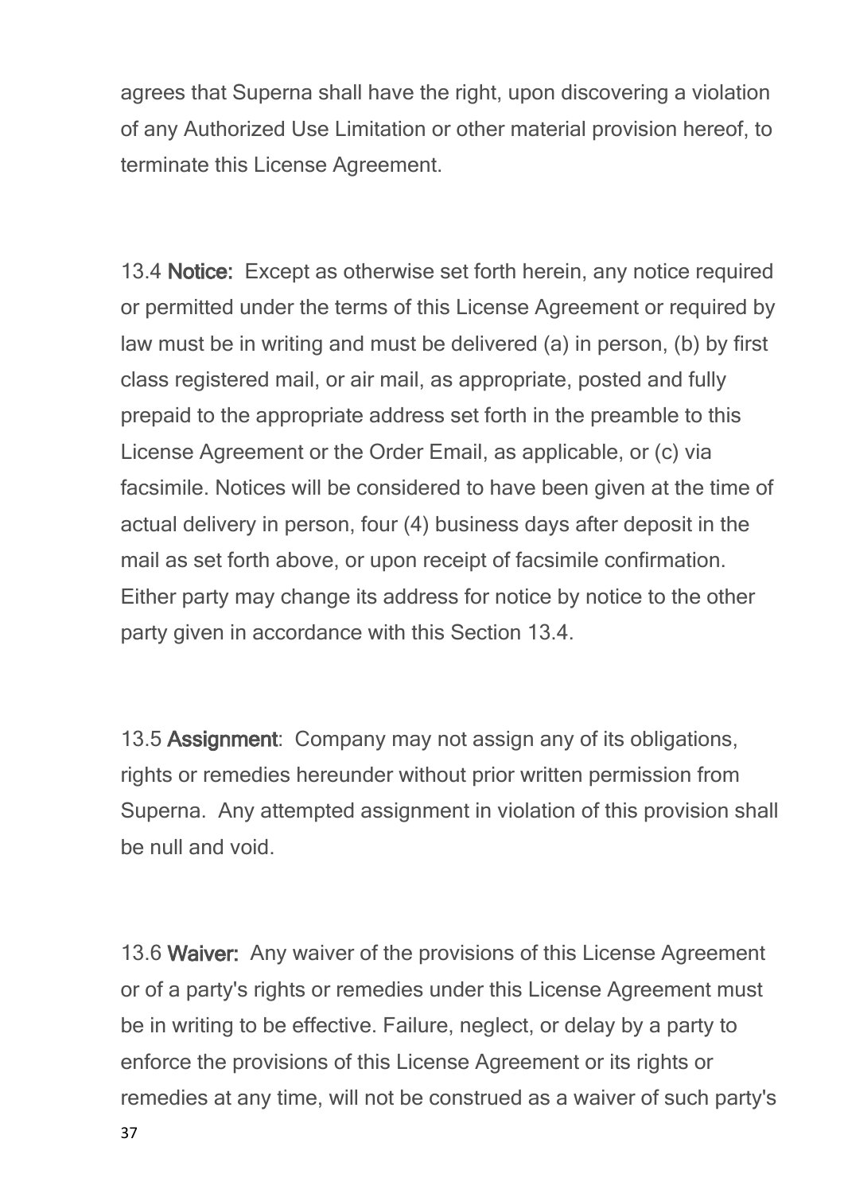agrees that Superna shall have the right, upon discovering a violation of any Authorized Use Limitation or other material provision hereof, to terminate this License Agreement.

13.4 **Notice:** Except as otherwise set forth herein, any notice required or permitted under the terms of this License Agreement or required by law must be in writing and must be delivered (a) in person, (b) by first class registered mail, or air mail, as appropriate, posted and fully prepaid to the appropriate address set forth in the preamble to this License Agreement or the Order Email, as applicable, or (c) via facsimile. Notices will be considered to have been given at the time of actual delivery in person, four (4) business days after deposit in the mail as set forth above, or upon receipt of facsimile confirmation. Either party may change its address for notice by notice to the other party given in accordance with this Section 13.4.

13.5 **Assignment**: Company may not assign any of its obligations, rights or remedies hereunder without prior written permission from Superna. Any attempted assignment in violation of this provision shall be null and void.

13.6 **Waiver:** Any waiver of the provisions of this License Agreement or of a party's rights or remedies under this License Agreement must be in writing to be effective. Failure, neglect, or delay by a party to enforce the provisions of this License Agreement or its rights or remedies at any time, will not be construed as a waiver of such party's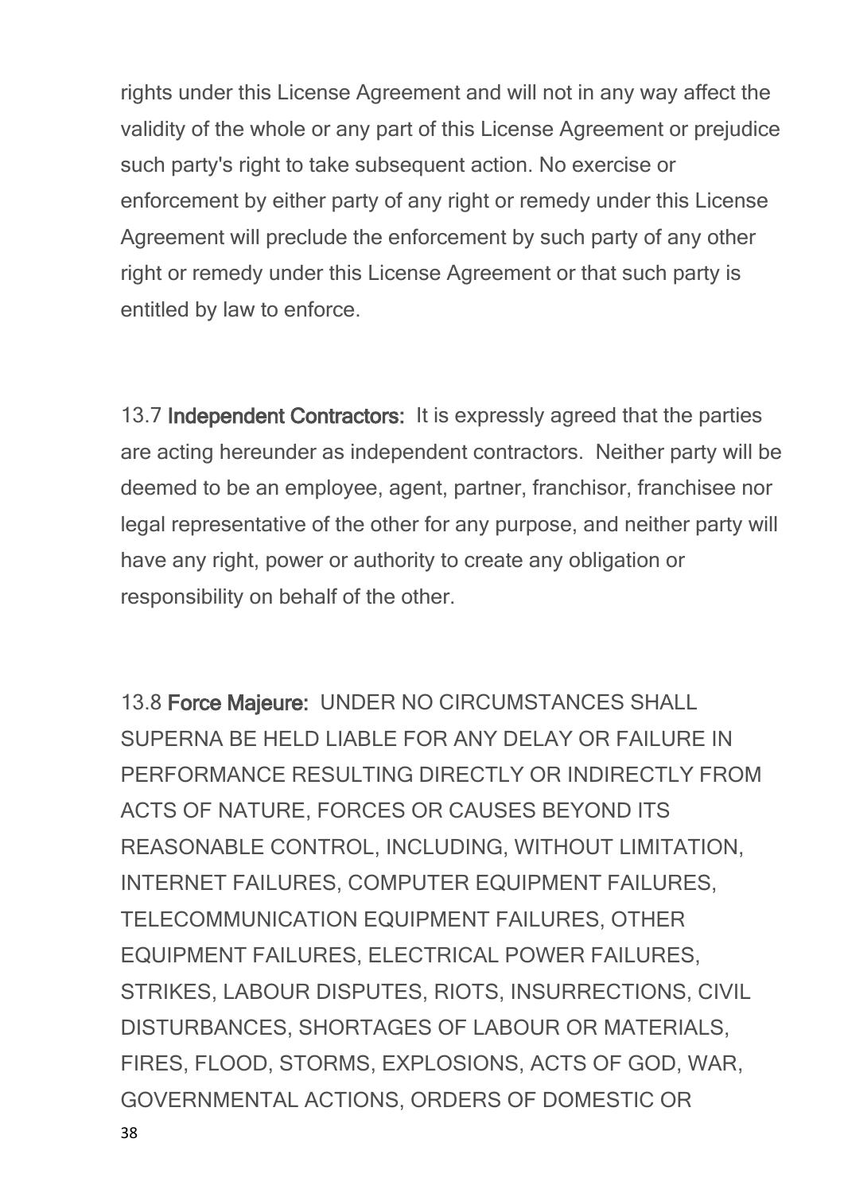rights under this License Agreement and will not in any way affect the validity of the whole or any part of this License Agreement or prejudice such party's right to take subsequent action. No exercise or enforcement by either party of any right or remedy under this License Agreement will preclude the enforcement by such party of any other right or remedy under this License Agreement or that such party is entitled by law to enforce.

13.7 **Independent Contractors:** It is expressly agreed that the parties are acting hereunder as independent contractors. Neither party will be deemed to be an employee, agent, partner, franchisor, franchisee nor legal representative of the other for any purpose, and neither party will have any right, power or authority to create any obligation or responsibility on behalf of the other.

13.8 **Force Majeure:** UNDER NO CIRCUMSTANCES SHALL SUPERNA BE HELD LIABLE FOR ANY DELAY OR FAILURE IN PERFORMANCE RESULTING DIRECTLY OR INDIRECTLY FROM ACTS OF NATURE, FORCES OR CAUSES BEYOND ITS REASONABLE CONTROL, INCLUDING, WITHOUT LIMITATION, INTERNET FAILURES, COMPUTER EQUIPMENT FAILURES, TELECOMMUNICATION EQUIPMENT FAILURES, OTHER EQUIPMENT FAILURES, ELECTRICAL POWER FAILURES, STRIKES, LABOUR DISPUTES, RIOTS, INSURRECTIONS, CIVIL DISTURBANCES, SHORTAGES OF LABOUR OR MATERIALS, FIRES, FLOOD, STORMS, EXPLOSIONS, ACTS OF GOD, WAR, GOVERNMENTAL ACTIONS, ORDERS OF DOMESTIC OR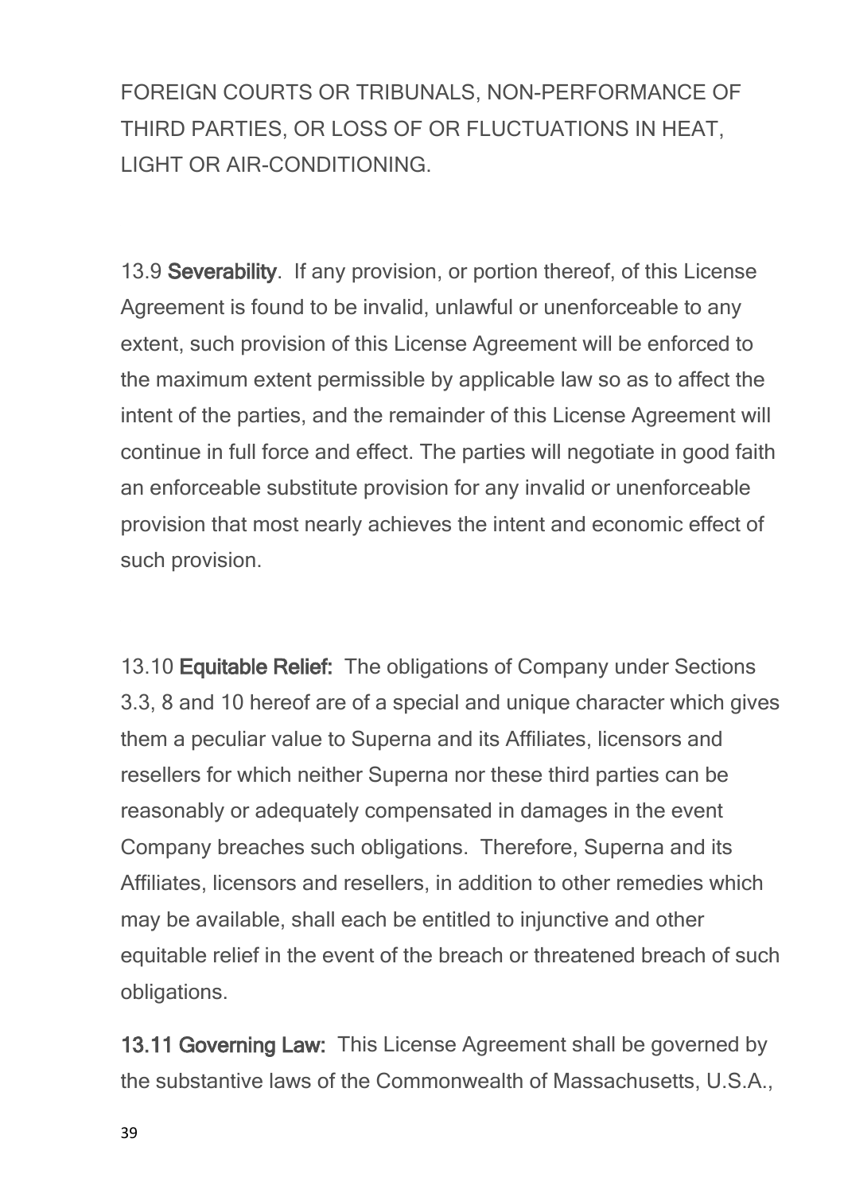FOREIGN COURTS OR TRIBUNALS, NON-PERFORMANCE OF THIRD PARTIES, OR LOSS OF OR FLUCTUATIONS IN HEAT, LIGHT OR AIR-CONDITIONING.

13.9 **Severability**. If any provision, or portion thereof, of this License Agreement is found to be invalid, unlawful or unenforceable to any extent, such provision of this License Agreement will be enforced to the maximum extent permissible by applicable law so as to affect the intent of the parties, and the remainder of this License Agreement will continue in full force and effect. The parties will negotiate in good faith an enforceable substitute provision for any invalid or unenforceable provision that most nearly achieves the intent and economic effect of such provision.

13.10 **Equitable Relief:** The obligations of Company under Sections 3.3, 8 and 10 hereof are of a special and unique character which gives them a peculiar value to Superna and its Affiliates, licensors and resellers for which neither Superna nor these third parties can be reasonably or adequately compensated in damages in the event Company breaches such obligations. Therefore, Superna and its Affiliates, licensors and resellers, in addition to other remedies which may be available, shall each be entitled to injunctive and other equitable relief in the event of the breach or threatened breach of such obligations.

**13.11 Governing Law:** This License Agreement shall be governed by the substantive laws of the Commonwealth of Massachusetts, U.S.A.,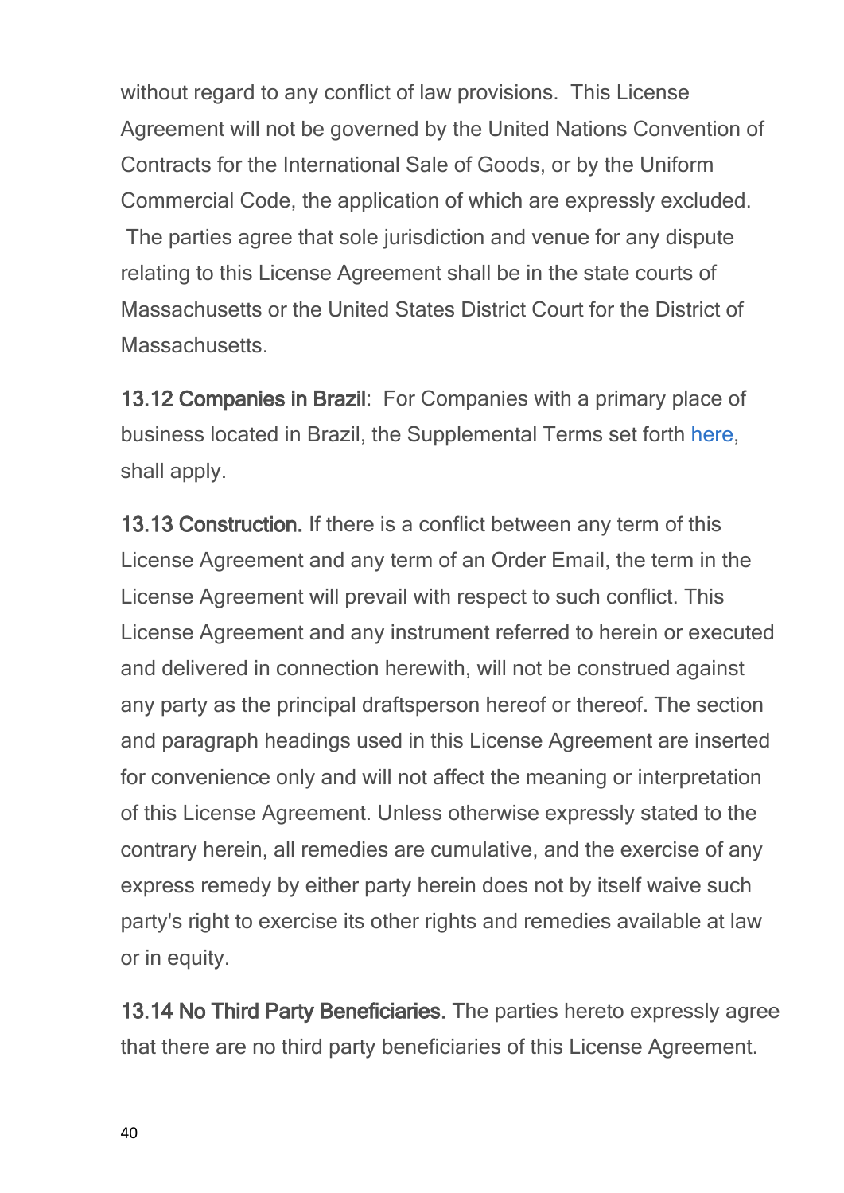without regard to any conflict of law provisions. This License Agreement will not be governed by the United Nations Convention of Contracts for the International Sale of Goods, or by the Uniform Commercial Code, the application of which are expressly excluded. The parties agree that sole jurisdiction and venue for any dispute relating to this License Agreement shall be in the state courts of Massachusetts or the United States District Court for the District of Massachusetts.

**13.12 Companies in Brazil**: For Companies with a primary place of business located in Brazil, the Supplemental Terms set forth [here,](#page-64-0) shall apply.

**13.13 Construction.** If there is a conflict between any term of this License Agreement and any term of an Order Email, the term in the License Agreement will prevail with respect to such conflict. This License Agreement and any instrument referred to herein or executed and delivered in connection herewith, will not be construed against any party as the principal draftsperson hereof or thereof. The section and paragraph headings used in this License Agreement are inserted for convenience only and will not affect the meaning or interpretation of this License Agreement. Unless otherwise expressly stated to the contrary herein, all remedies are cumulative, and the exercise of any express remedy by either party herein does not by itself waive such party's right to exercise its other rights and remedies available at law or in equity.

**13.14 No Third Party Beneficiaries.** The parties hereto expressly agree that there are no third party beneficiaries of this License Agreement.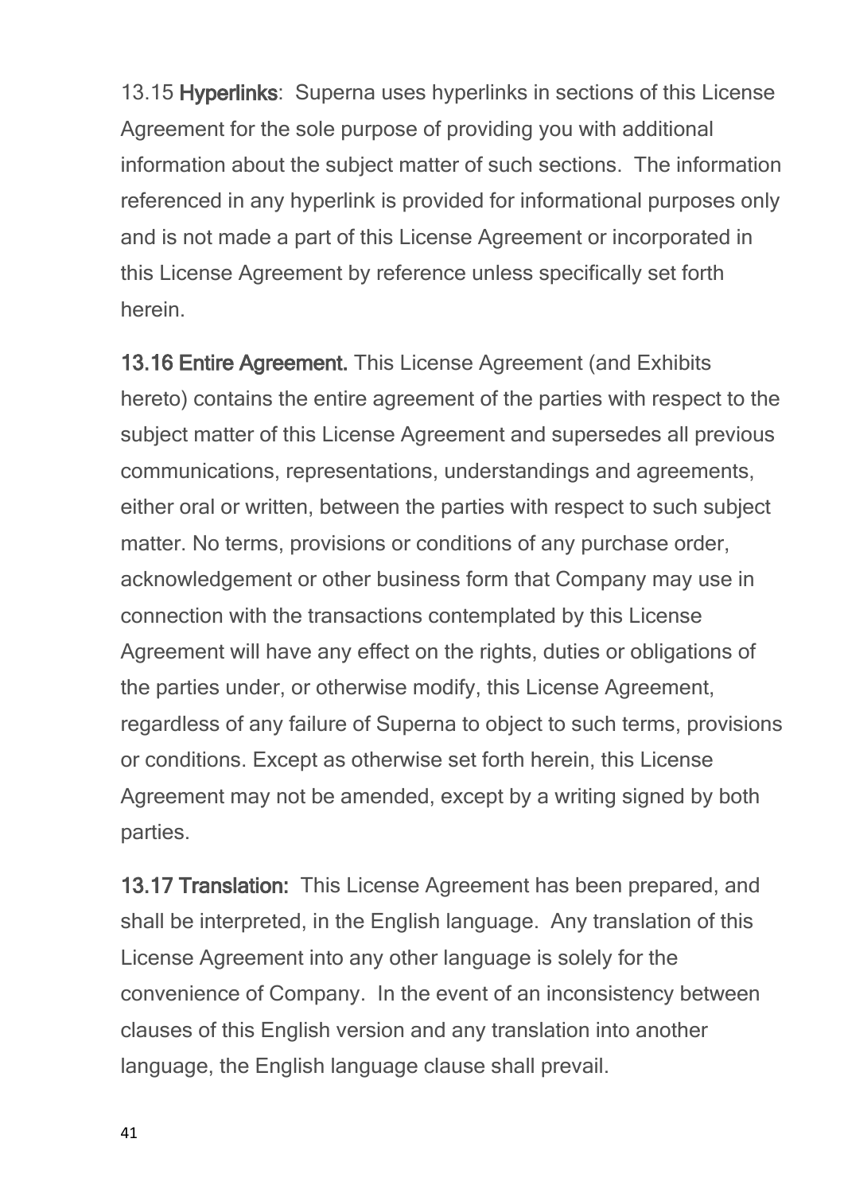13.15 **Hyperlinks**: Superna uses hyperlinks in sections of this License Agreement for the sole purpose of providing you with additional information about the subject matter of such sections. The information referenced in any hyperlink is provided for informational purposes only and is not made a part of this License Agreement or incorporated in this License Agreement by reference unless specifically set forth herein.

**13.16 Entire Agreement.** This License Agreement (and Exhibits hereto) contains the entire agreement of the parties with respect to the subject matter of this License Agreement and supersedes all previous communications, representations, understandings and agreements, either oral or written, between the parties with respect to such subject matter. No terms, provisions or conditions of any purchase order, acknowledgement or other business form that Company may use in connection with the transactions contemplated by this License Agreement will have any effect on the rights, duties or obligations of the parties under, or otherwise modify, this License Agreement, regardless of any failure of Superna to object to such terms, provisions or conditions. Except as otherwise set forth herein, this License Agreement may not be amended, except by a writing signed by both parties.

**13.17 Translation:** This License Agreement has been prepared, and shall be interpreted, in the English language. Any translation of this License Agreement into any other language is solely for the convenience of Company. In the event of an inconsistency between clauses of this English version and any translation into another language, the English language clause shall prevail.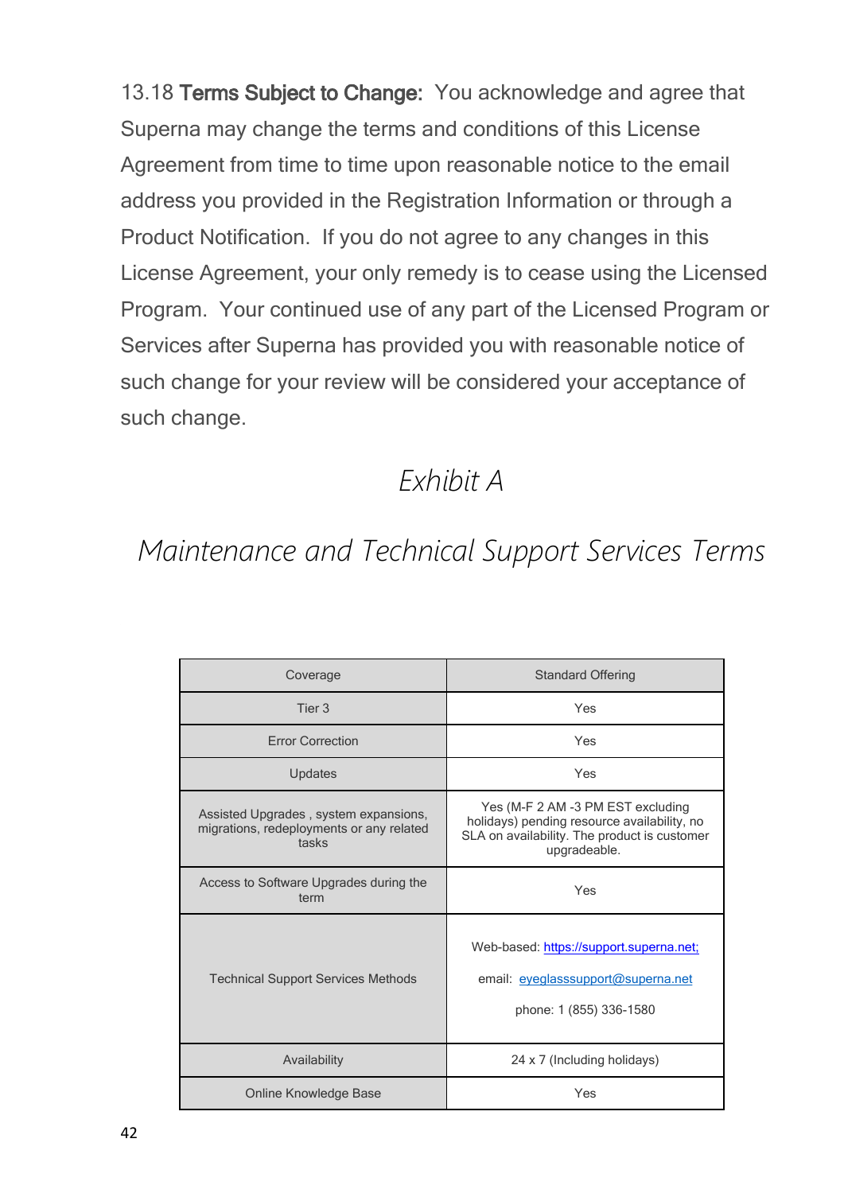13.18 **Terms Subject to Change:** You acknowledge and agree that Superna may change the terms and conditions of this License Agreement from time to time upon reasonable notice to the email address you provided in the Registration Information or through a Product Notification. If you do not agree to any changes in this License Agreement, your only remedy is to cease using the Licensed Program. Your continued use of any part of the Licensed Program or Services after Superna has provided you with reasonable notice of such change for your review will be considered your acceptance of such change.

#### *Exhibit A*

## *Maintenance and Technical Support Services Terms*

| Coverage                                                                                   | <b>Standard Offering</b>                                                                                                                         |
|--------------------------------------------------------------------------------------------|--------------------------------------------------------------------------------------------------------------------------------------------------|
| Tier 3                                                                                     | Yes                                                                                                                                              |
| <b>Error Correction</b>                                                                    | Yes                                                                                                                                              |
| Updates                                                                                    | Yes                                                                                                                                              |
| Assisted Upgrades, system expansions,<br>migrations, redeployments or any related<br>tasks | Yes (M-F 2 AM -3 PM EST excluding<br>holidays) pending resource availability, no<br>SLA on availability. The product is customer<br>upgradeable. |
| Access to Software Upgrades during the<br>term                                             | Yes                                                                                                                                              |
| <b>Technical Support Services Methods</b>                                                  | Web-based: https://support.superna.net;<br>email: eyeglasssupport@superna.net<br>phone: 1 (855) 336-1580                                         |
| Availability                                                                               | 24 x 7 (Including holidays)                                                                                                                      |
| Online Knowledge Base                                                                      | Yes                                                                                                                                              |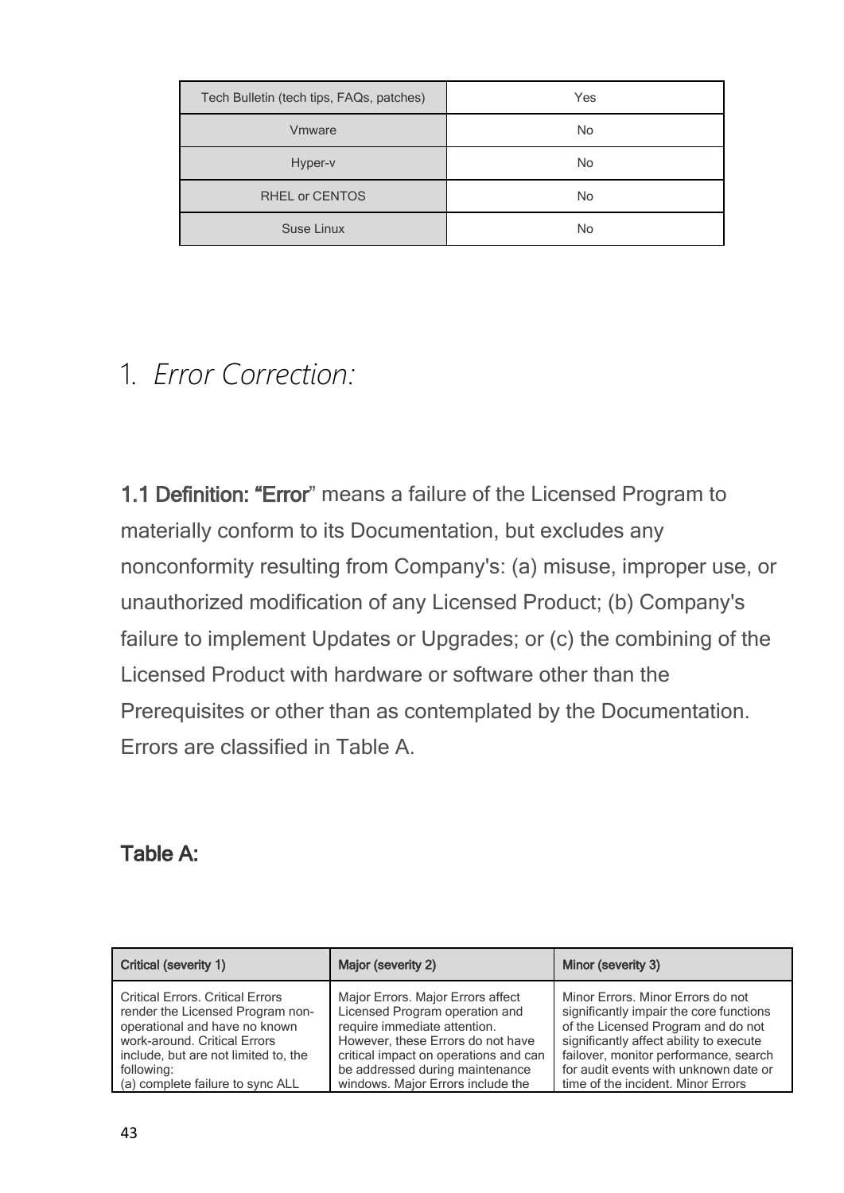| Tech Bulletin (tech tips, FAQs, patches) | Yes       |
|------------------------------------------|-----------|
| Vmware                                   | <b>No</b> |
| Hyper-v                                  | No.       |
| <b>RHEL or CENTOS</b>                    | No        |
| Suse Linux                               | No        |

#### 1. *Error Correction:*

**1.1 Definition: "Error**" means a failure of the Licensed Program to materially conform to its Documentation, but excludes any nonconformity resulting from Company's: (a) misuse, improper use, or unauthorized modification of any Licensed Product; (b) Company's failure to implement Updates or Upgrades; or (c) the combining of the Licensed Product with hardware or software other than the Prerequisites or other than as contemplated by the Documentation. Errors are classified in Table A.

#### **Table A:**

| Critical (severity 1)                   | Major (severity 2)                    | Minor (severity 3)                      |
|-----------------------------------------|---------------------------------------|-----------------------------------------|
| <b>Critical Errors, Critical Errors</b> | Major Errors. Major Errors affect     | Minor Errors. Minor Errors do not       |
| render the Licensed Program non-        | Licensed Program operation and        | significantly impair the core functions |
| operational and have no known           | require immediate attention.          | of the Licensed Program and do not      |
| work-around. Critical Errors            | However, these Errors do not have     | significantly affect ability to execute |
| include, but are not limited to, the    | critical impact on operations and can | failover, monitor performance, search   |
| following:                              | be addressed during maintenance       | for audit events with unknown date or   |
| (a) complete failure to sync ALL        | windows. Major Errors include the     | time of the incident. Minor Errors      |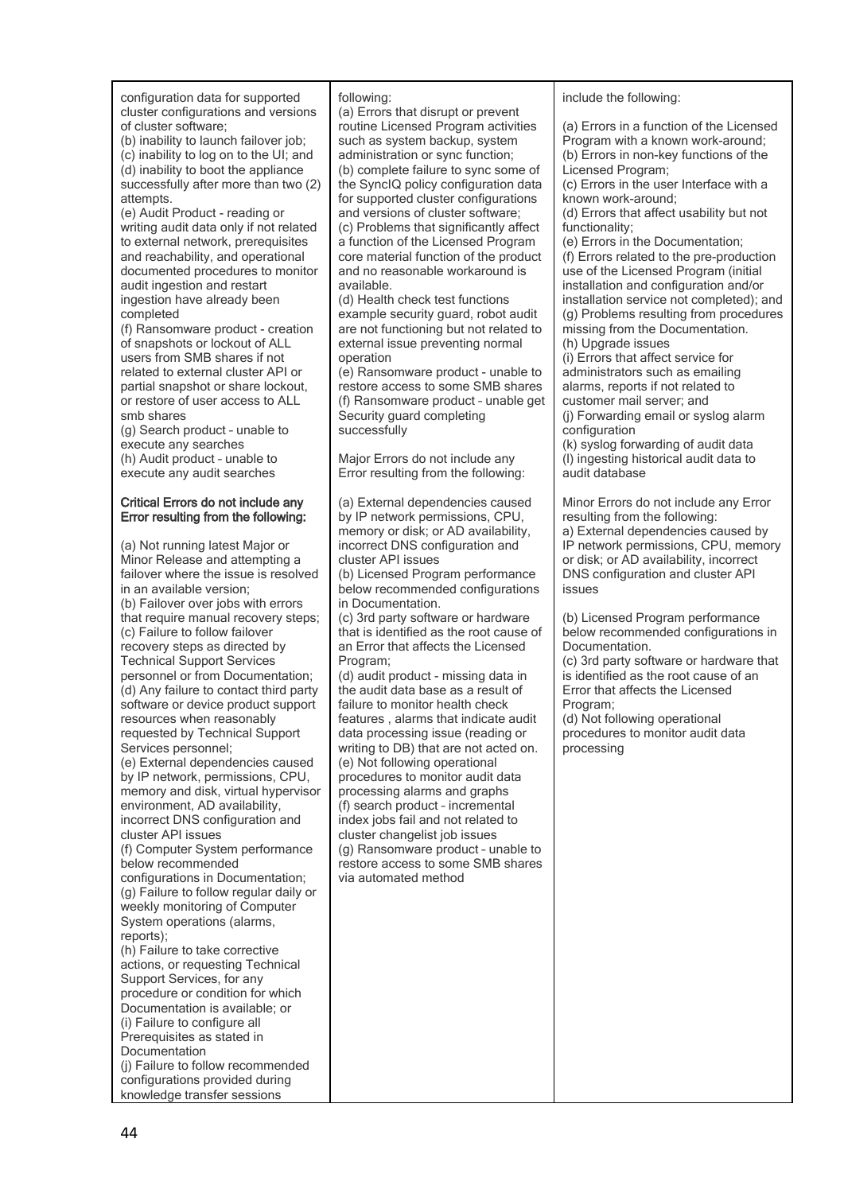configuration data for supported cluster configurations and versions of cluster software;

(b) inability to launch failover job; (c) inability to log on to the UI; and (d) inability to boot the appliance successfully after more than two (2) attempts.

(e) Audit Product - reading or writing audit data only if not related to external network, prerequisites and reachability, and operational documented procedures to monitor audit ingestion and restart ingestion have already been completed

(f) Ransomware product - creation of snapshots or lockout of ALL users from SMB shares if not related to external cluster API or partial snapshot or share lockout, or restore of user access to ALL smb shares

(g) Search product – unable to execute any searches (h) Audit product – unable to execute any audit searches

#### **Critical Errors do not include any Error resulting from the following:**

(a) Not running latest Major or Minor Release and attempting a failover where the issue is resolved in an available version; (b) Failover over jobs with errors that require manual recovery steps; (c) Failure to follow failover recovery steps as directed by Technical Support Services personnel or from Documentation; (d) Any failure to contact third party software or device product support resources when reasonably requested by Technical Support Services personnel; (e) External dependencies caused by IP network, permissions, CPU, memory and disk, virtual hypervisor environment, AD availability, incorrect DNS configuration and cluster API issues (f) Computer System performance below recommended configurations in Documentation; (g) Failure to follow regular daily or weekly monitoring of Computer System operations (alarms, reports); (h) Failure to take corrective actions, or requesting Technical Support Services, for any procedure or condition for which Documentation is available; or (i) Failure to configure all Prerequisites as stated in Documentation (j) Failure to follow recommended configurations provided during

knowledge transfer sessions

#### following:

(a) Errors that disrupt or prevent routine Licensed Program activities such as system backup, system administration or sync function; (b) complete failure to sync some of the SyncIQ policy configuration data for supported cluster configurations and versions of cluster software; (c) Problems that significantly affect a function of the Licensed Program core material function of the product and no reasonable workaround is available.

(d) Health check test functions example security guard, robot audit are not functioning but not related to external issue preventing normal operation

(e) Ransomware product - unable to restore access to some SMB shares (f) Ransomware product – unable get Security guard completing successfully

Major Errors do not include any Error resulting from the following:

(a) External dependencies caused by IP network permissions, CPU, memory or disk; or AD availability, incorrect DNS configuration and cluster API issues

(b) Licensed Program performance below recommended configurations in Documentation.

(c) 3rd party software or hardware that is identified as the root cause of an Error that affects the Licensed Program;

(d) audit product - missing data in the audit data base as a result of failure to monitor health check features , alarms that indicate audit data processing issue (reading or writing to DB) that are not acted on. (e) Not following operational procedures to monitor audit data processing alarms and graphs (f) search product – incremental index jobs fail and not related to cluster changelist job issues (g) Ransomware product – unable to restore access to some SMB shares via automated method

include the following:

(a) Errors in a function of the Licensed Program with a known work-around; (b) Errors in non-key functions of the Licensed Program;

(c) Errors in the user Interface with a known work-around;

(d) Errors that affect usability but not functionality;

(e) Errors in the Documentation; (f) Errors related to the pre-production use of the Licensed Program (initial installation and configuration and/or installation service not completed); and (g) Problems resulting from procedures missing from the Documentation. (h) Upgrade issues

(i) Errors that affect service for administrators such as emailing alarms, reports if not related to customer mail server; and

(j) Forwarding email or syslog alarm configuration

(k) syslog forwarding of audit data (l) ingesting historical audit data to audit database

Minor Errors do not include any Error resulting from the following: a) External dependencies caused by IP network permissions, CPU, memory or disk; or AD availability, incorrect DNS configuration and cluster API issues

(b) Licensed Program performance below recommended configurations in Documentation.

(c) 3rd party software or hardware that is identified as the root cause of an Error that affects the Licensed Program;

(d) Not following operational procedures to monitor audit data processing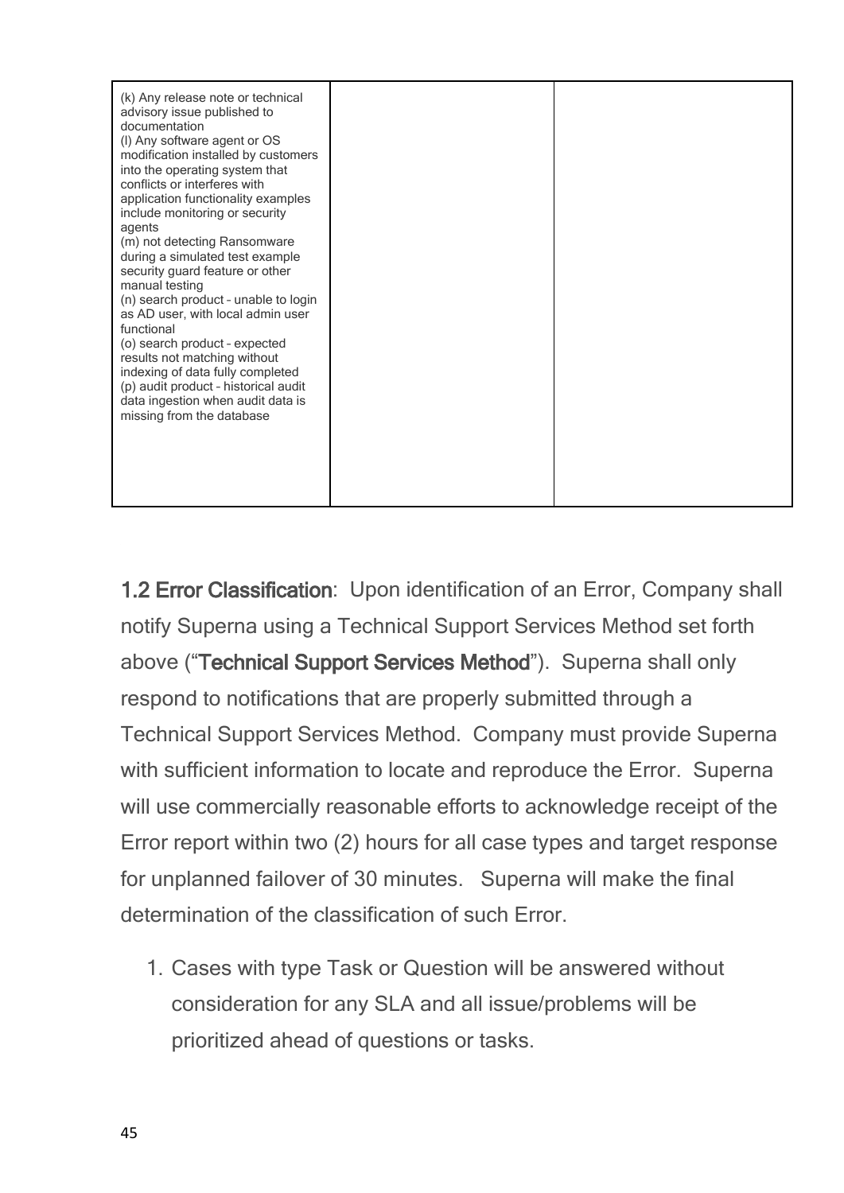| modification installed by customers<br>into the operating system that<br>conflicts or interferes with<br>application functionality examples<br>include monitoring or security<br>agents<br>(m) not detecting Ransomware<br>during a simulated test example<br>security guard feature or other<br>manual testing<br>(n) search product - unable to login<br>as AD user, with local admin user<br>functional<br>(o) search product - expected<br>results not matching without<br>indexing of data fully completed<br>(p) audit product - historical audit<br>data ingestion when audit data is<br>missing from the database |  |
|---------------------------------------------------------------------------------------------------------------------------------------------------------------------------------------------------------------------------------------------------------------------------------------------------------------------------------------------------------------------------------------------------------------------------------------------------------------------------------------------------------------------------------------------------------------------------------------------------------------------------|--|
|---------------------------------------------------------------------------------------------------------------------------------------------------------------------------------------------------------------------------------------------------------------------------------------------------------------------------------------------------------------------------------------------------------------------------------------------------------------------------------------------------------------------------------------------------------------------------------------------------------------------------|--|

**1.2 Error Classification**: Upon identification of an Error, Company shall notify Superna using a Technical Support Services Method set forth above ("**Technical Support Services Method**"). Superna shall only respond to notifications that are properly submitted through a Technical Support Services Method. Company must provide Superna with sufficient information to locate and reproduce the Error. Superna will use commercially reasonable efforts to acknowledge receipt of the Error report within two (2) hours for all case types and target response for unplanned failover of 30 minutes. Superna will make the final determination of the classification of such Error.

1. Cases with type Task or Question will be answered without consideration for any SLA and all issue/problems will be prioritized ahead of questions or tasks.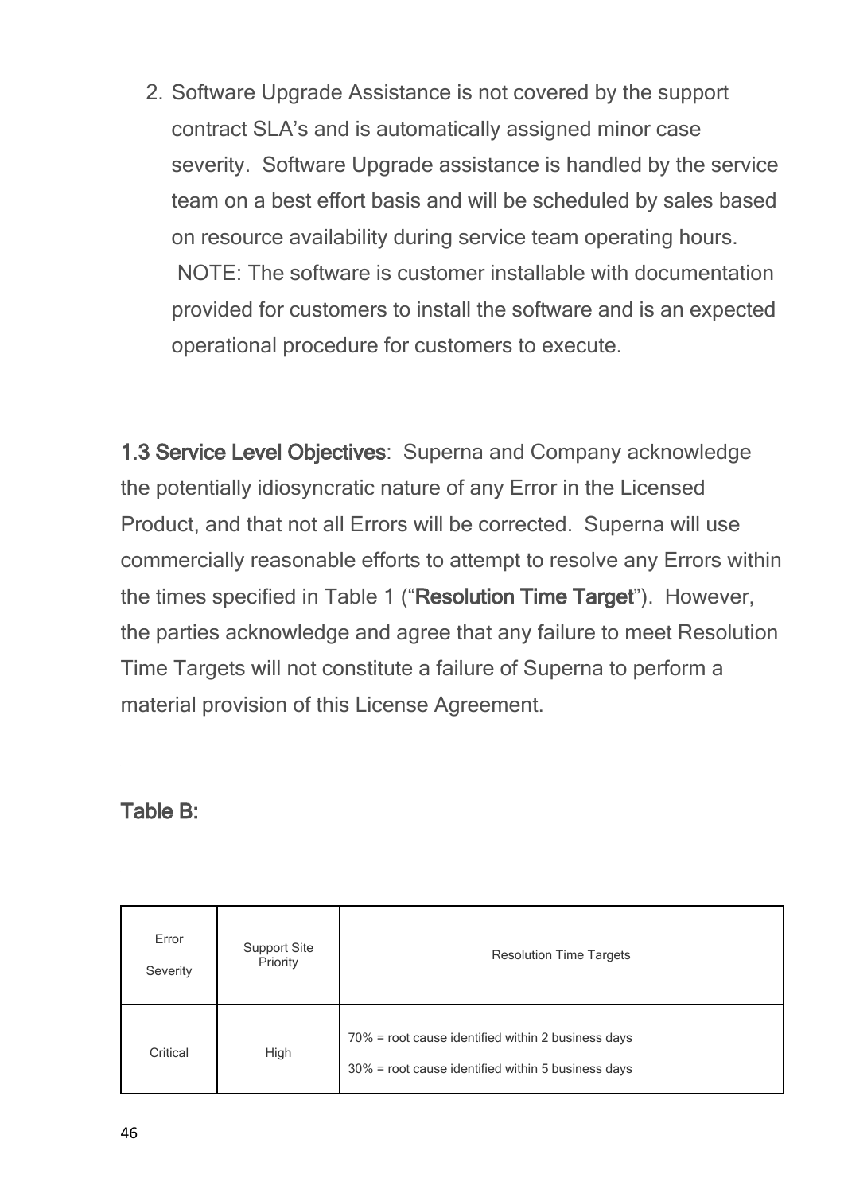2. Software Upgrade Assistance is not covered by the support contract SLA's and is automatically assigned minor case severity. Software Upgrade assistance is handled by the service team on a best effort basis and will be scheduled by sales based on resource availability during service team operating hours. NOTE: The software is customer installable with documentation provided for customers to install the software and is an expected operational procedure for customers to execute.

**1.3 Service Level Objectives**: Superna and Company acknowledge the potentially idiosyncratic nature of any Error in the Licensed Product, and that not all Errors will be corrected. Superna will use commercially reasonable efforts to attempt to resolve any Errors within the times specified in Table 1 ("**Resolution Time Target**"). However, the parties acknowledge and agree that any failure to meet Resolution Time Targets will not constitute a failure of Superna to perform a material provision of this License Agreement.

#### **Table B:**

| Error<br>Severity | <b>Support Site</b><br>Priority | <b>Resolution Time Targets</b>                                                                           |
|-------------------|---------------------------------|----------------------------------------------------------------------------------------------------------|
| Critical          | High                            | 70% = root cause identified within 2 business days<br>30% = root cause identified within 5 business days |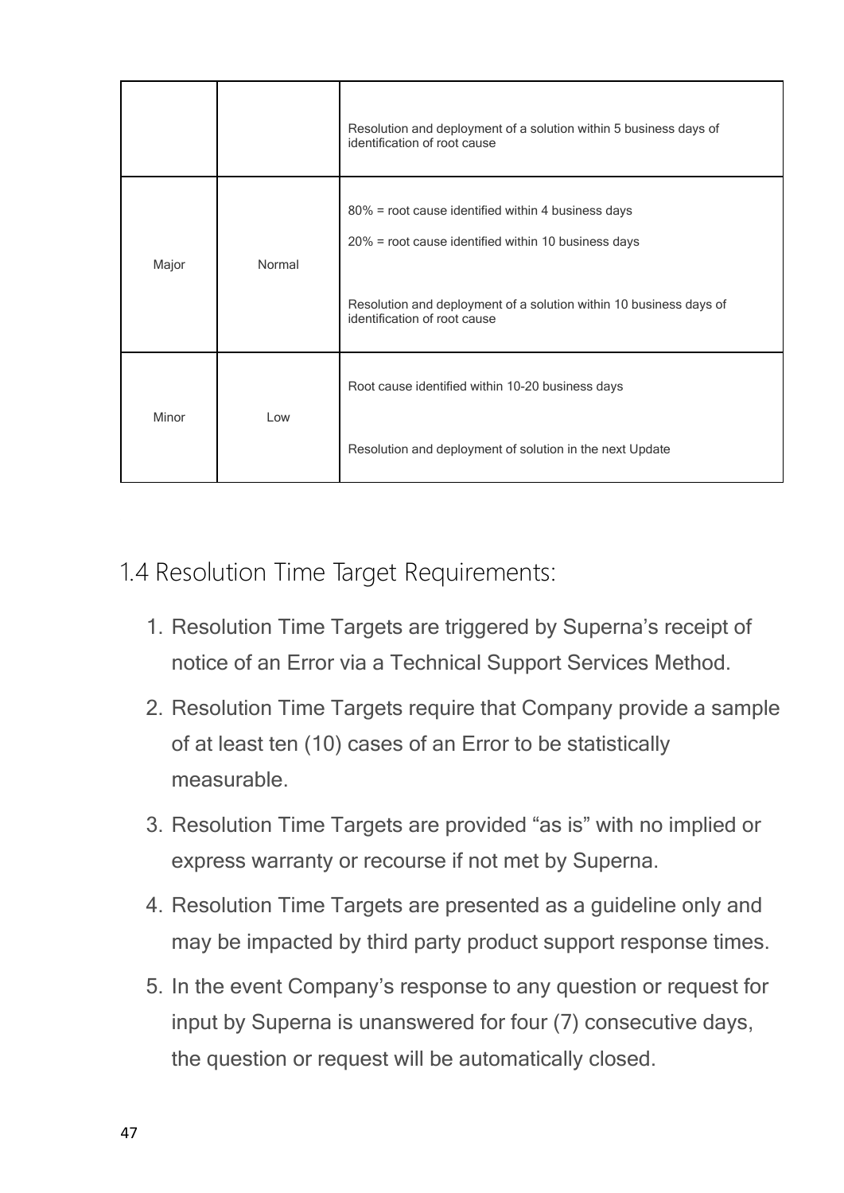|       |        | Resolution and deployment of a solution within 5 business days of<br>identification of root cause                                                                                                               |
|-------|--------|-----------------------------------------------------------------------------------------------------------------------------------------------------------------------------------------------------------------|
| Major | Normal | 80% = root cause identified within 4 business days<br>20% = root cause identified within 10 business days<br>Resolution and deployment of a solution within 10 business days of<br>identification of root cause |
| Minor | Low    | Root cause identified within 10-20 business days<br>Resolution and deployment of solution in the next Update                                                                                                    |

- 1.4 Resolution Time Target Requirements:
	- 1. Resolution Time Targets are triggered by Superna's receipt of notice of an Error via a Technical Support Services Method.
	- 2. Resolution Time Targets require that Company provide a sample of at least ten (10) cases of an Error to be statistically measurable.
	- 3. Resolution Time Targets are provided "as is" with no implied or express warranty or recourse if not met by Superna.
	- 4. Resolution Time Targets are presented as a guideline only and may be impacted by third party product support response times.
	- 5. In the event Company's response to any question or request for input by Superna is unanswered for four (7) consecutive days, the question or request will be automatically closed.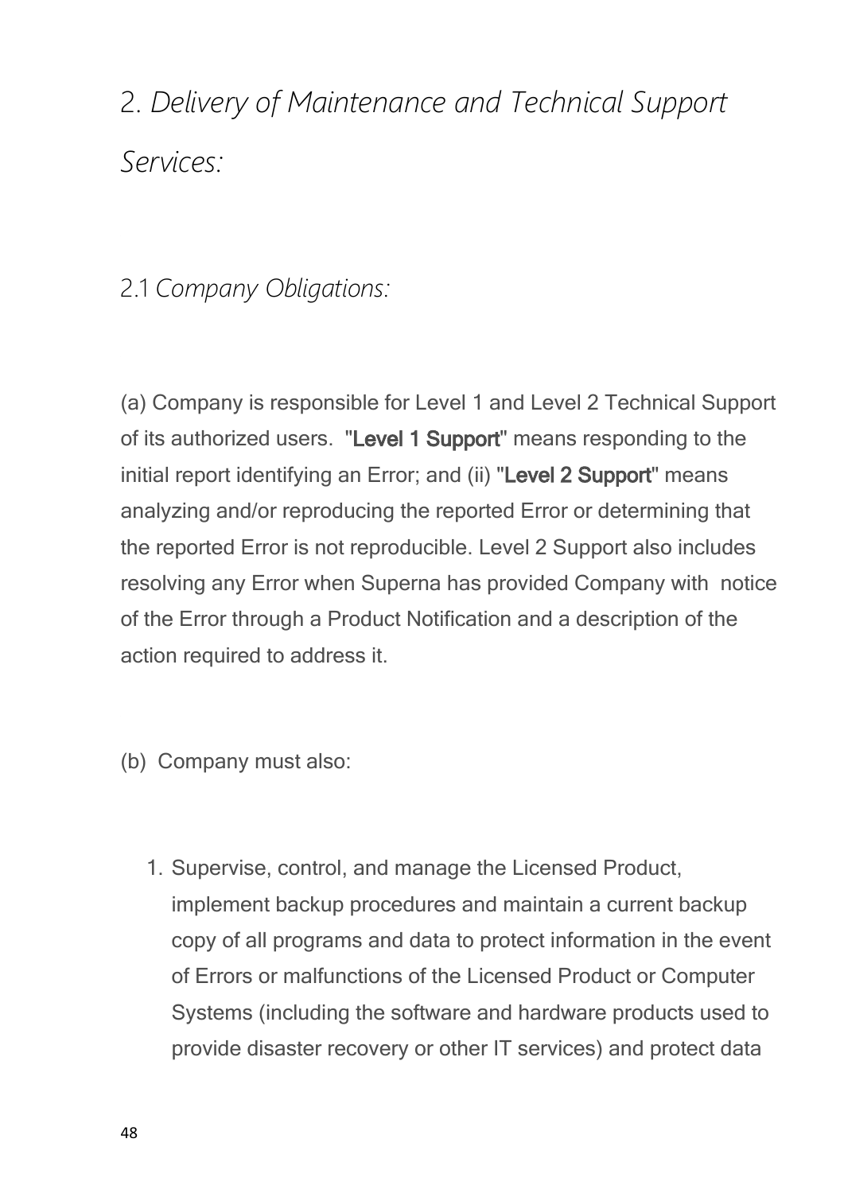2. *Delivery of Maintenance and Technical Support Services:*

#### 2.1 *Company Obligations:*

(a) Company is responsible for Level 1 and Level 2 Technical Support of its authorized users. "**Level 1 Support**" means responding to the initial report identifying an Error; and (ii) "**Level 2 Support**" means analyzing and/or reproducing the reported Error or determining that the reported Error is not reproducible. Level 2 Support also includes resolving any Error when Superna has provided Company with notice of the Error through a Product Notification and a description of the action required to address it.

- (b) Company must also:
	- 1. Supervise, control, and manage the Licensed Product, implement backup procedures and maintain a current backup copy of all programs and data to protect information in the event of Errors or malfunctions of the Licensed Product or Computer Systems (including the software and hardware products used to provide disaster recovery or other IT services) and protect data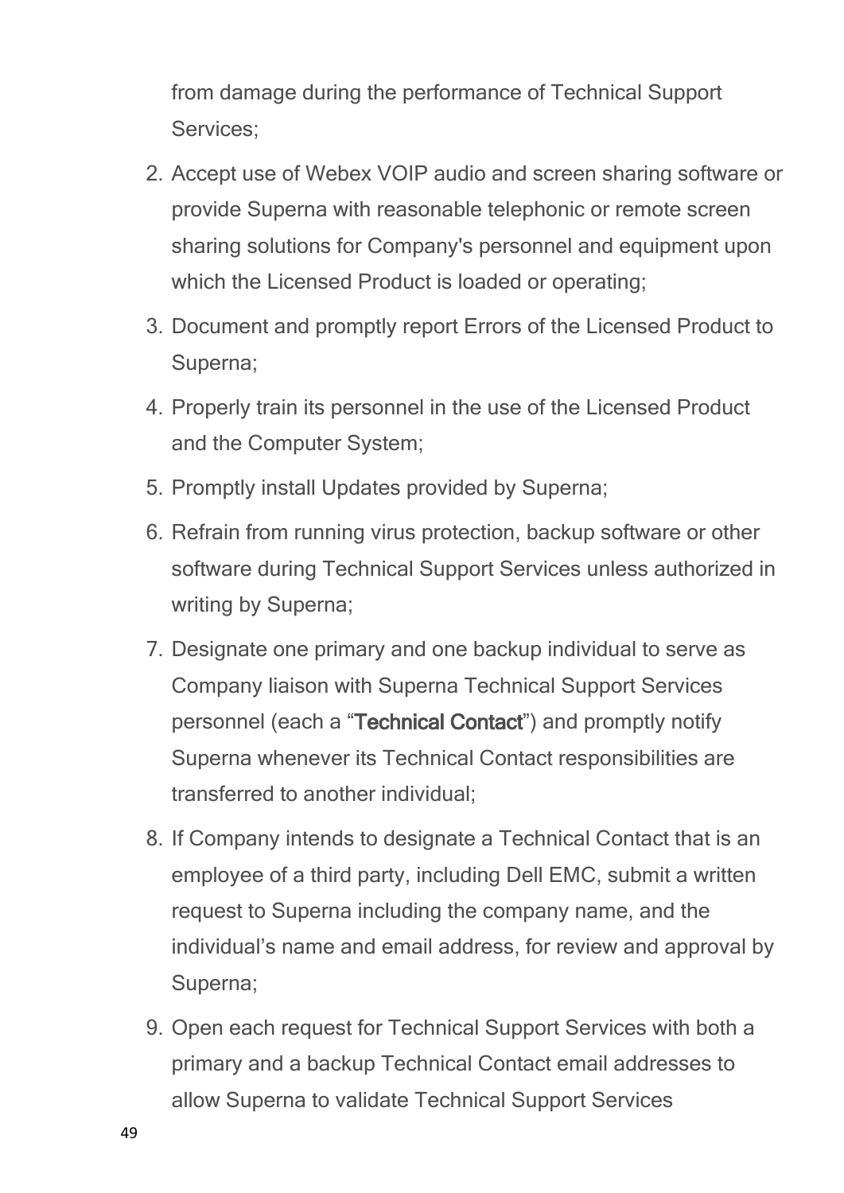from damage during the performance of Technical Support Services;

- 2. Accept use of Webex VOIP audio and screen sharing software or provide Superna with reasonable telephonic or remote screen sharing solutions for Company's personnel and equipment upon which the Licensed Product is loaded or operating;
- 3. Document and promptly report Errors of the Licensed Product to Superna;
- 4. Properly train its personnel in the use of the Licensed Product and the Computer System;
- 5. Promptly install Updates provided by Superna;
- 6. Refrain from running virus protection, backup software or other software during Technical Support Services unless authorized in writing by Superna;
- 7. Designate one primary and one backup individual to serve as Company liaison with Superna Technical Support Services personnel (each a "**Technical Contact**") and promptly notify Superna whenever its Technical Contact responsibilities are transferred to another individual;
- 8. If Company intends to designate a Technical Contact that is an employee of a third party, including Dell EMC, submit a written request to Superna including the company name, and the individual's name and email address, for review and approval by Superna;
- 9. Open each request for Technical Support Services with both a primary and a backup Technical Contact email addresses to allow Superna to validate Technical Support Services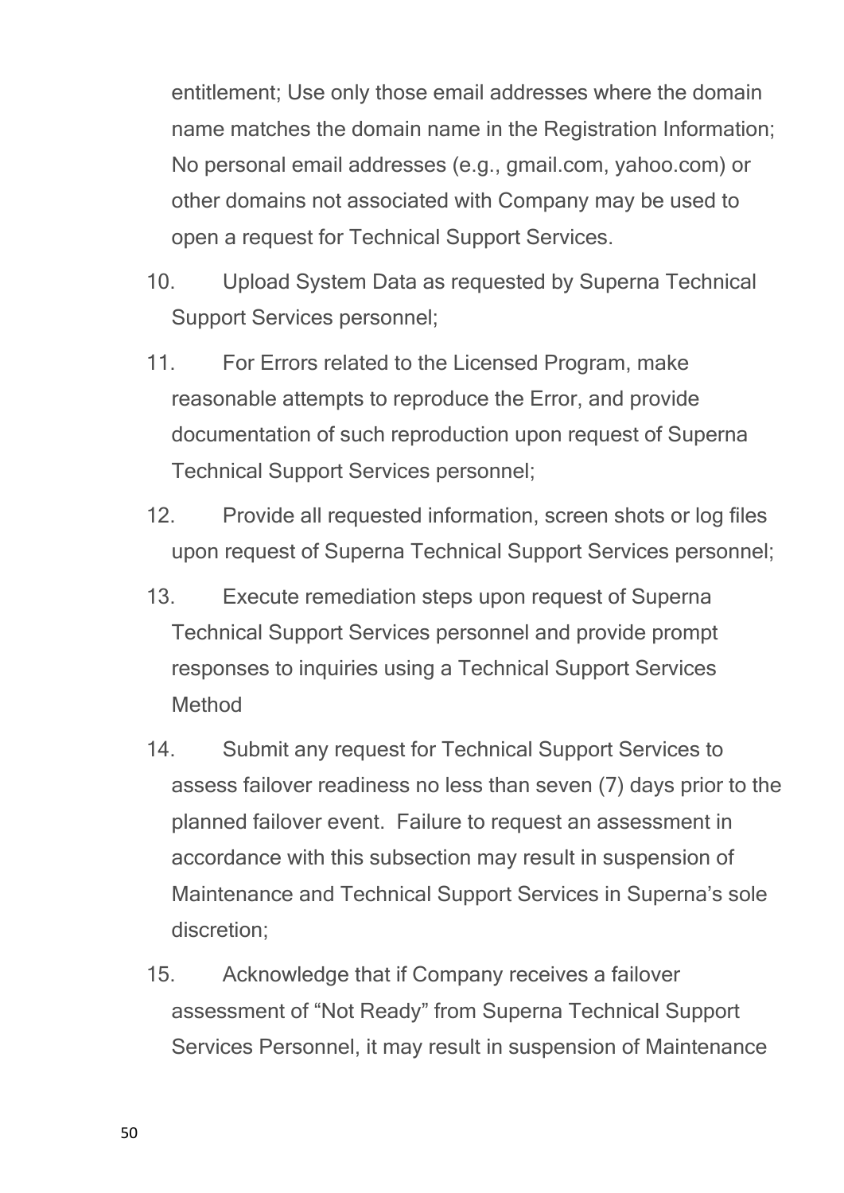entitlement; Use only those email addresses where the domain name matches the domain name in the Registration Information; No personal email addresses (e.g., gmail.com, yahoo.com) or other domains not associated with Company may be used to open a request for Technical Support Services.

- 10. Upload System Data as requested by Superna Technical Support Services personnel;
- 11. For Errors related to the Licensed Program, make reasonable attempts to reproduce the Error, and provide documentation of such reproduction upon request of Superna Technical Support Services personnel;
- 12. Provide all requested information, screen shots or log files upon request of Superna Technical Support Services personnel;
- 13. Execute remediation steps upon request of Superna Technical Support Services personnel and provide prompt responses to inquiries using a Technical Support Services Method
- 14. Submit any request for Technical Support Services to assess failover readiness no less than seven (7) days prior to the planned failover event. Failure to request an assessment in accordance with this subsection may result in suspension of Maintenance and Technical Support Services in Superna's sole discretion;
- 15. Acknowledge that if Company receives a failover assessment of "Not Ready" from Superna Technical Support Services Personnel, it may result in suspension of Maintenance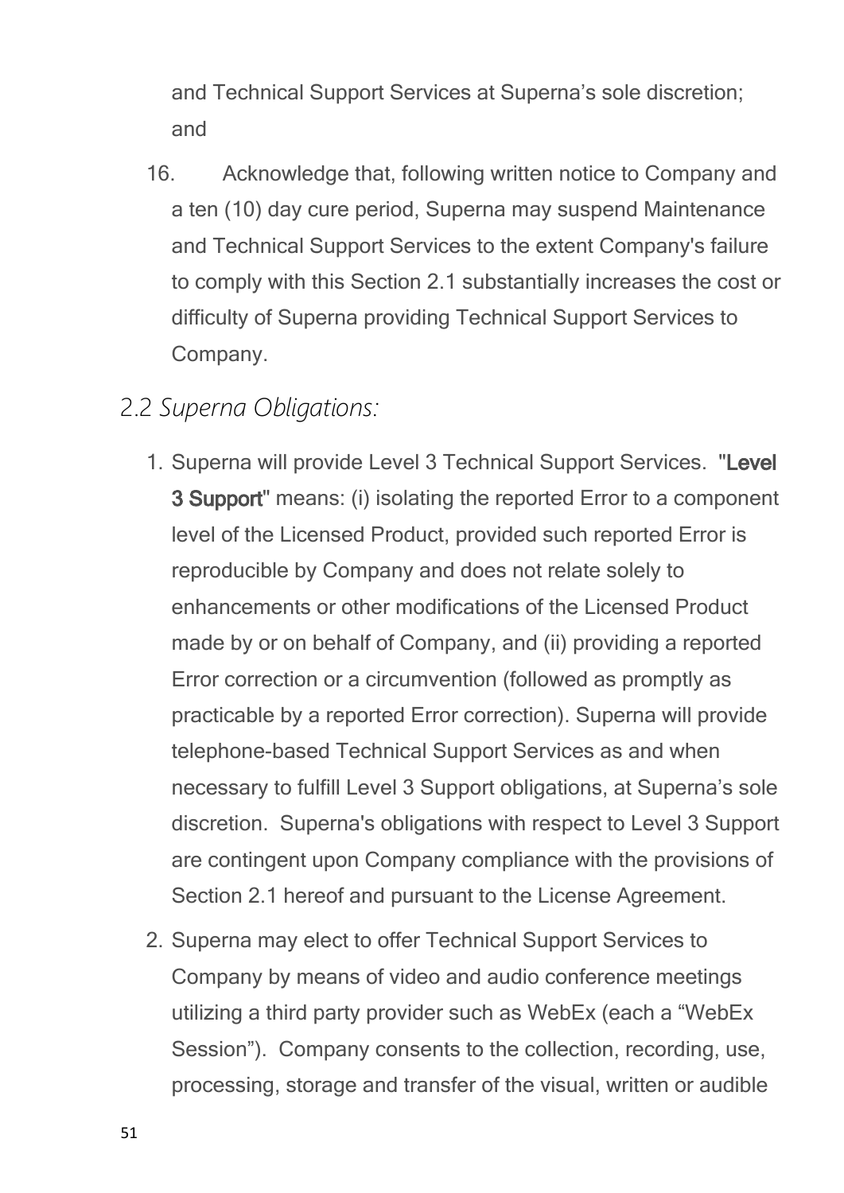and Technical Support Services at Superna's sole discretion; and

- 16. Acknowledge that, following written notice to Company and a ten (10) day cure period, Superna may suspend Maintenance and Technical Support Services to the extent Company's failure to comply with this Section 2.1 substantially increases the cost or difficulty of Superna providing Technical Support Services to Company.
- 2.2 *Superna Obligations:*
	- 1. Superna will provide Level 3 Technical Support Services. "**Level 3 Support**" means: (i) isolating the reported Error to a component level of the Licensed Product, provided such reported Error is reproducible by Company and does not relate solely to enhancements or other modifications of the Licensed Product made by or on behalf of Company, and (ii) providing a reported Error correction or a circumvention (followed as promptly as practicable by a reported Error correction). Superna will provide telephone-based Technical Support Services as and when necessary to fulfill Level 3 Support obligations, at Superna's sole discretion. Superna's obligations with respect to Level 3 Support are contingent upon Company compliance with the provisions of Section 2.1 hereof and pursuant to the License Agreement.
	- 2. Superna may elect to offer Technical Support Services to Company by means of video and audio conference meetings utilizing a third party provider such as WebEx (each a "WebEx Session"). Company consents to the collection, recording, use, processing, storage and transfer of the visual, written or audible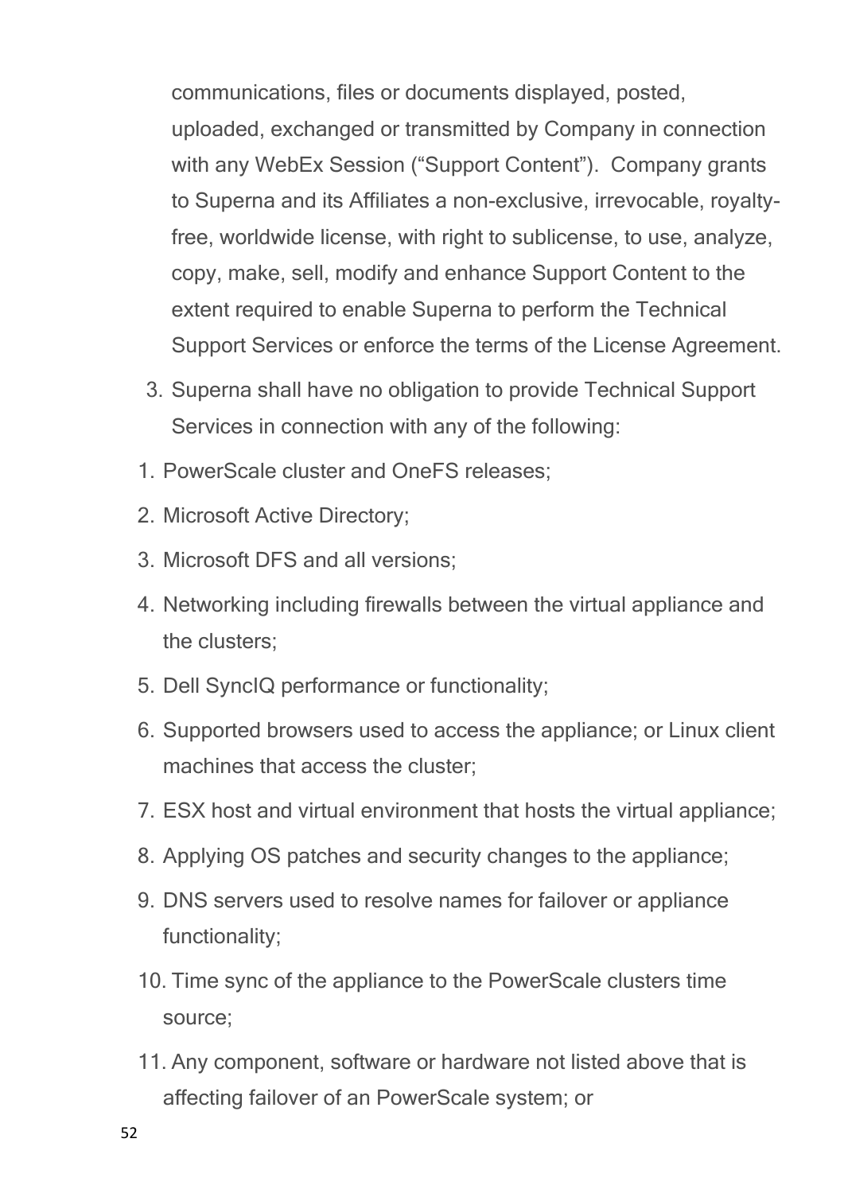communications, files or documents displayed, posted, uploaded, exchanged or transmitted by Company in connection with any WebEx Session ("Support Content"). Company grants to Superna and its Affiliates a non-exclusive, irrevocable, royaltyfree, worldwide license, with right to sublicense, to use, analyze, copy, make, sell, modify and enhance Support Content to the extent required to enable Superna to perform the Technical Support Services or enforce the terms of the License Agreement.

- 3. Superna shall have no obligation to provide Technical Support Services in connection with any of the following:
- 1. PowerScale cluster and OneFS releases;
- 2. Microsoft Active Directory;
- 3. Microsoft DFS and all versions;
- 4. Networking including firewalls between the virtual appliance and the clusters;
- 5. Dell SyncIQ performance or functionality;
- 6. Supported browsers used to access the appliance; or Linux client machines that access the cluster;
- 7. ESX host and virtual environment that hosts the virtual appliance;
- 8. Applying OS patches and security changes to the appliance;
- 9. DNS servers used to resolve names for failover or appliance functionality;
- 10. Time sync of the appliance to the PowerScale clusters time source;
- 11. Any component, software or hardware not listed above that is affecting failover of an PowerScale system; or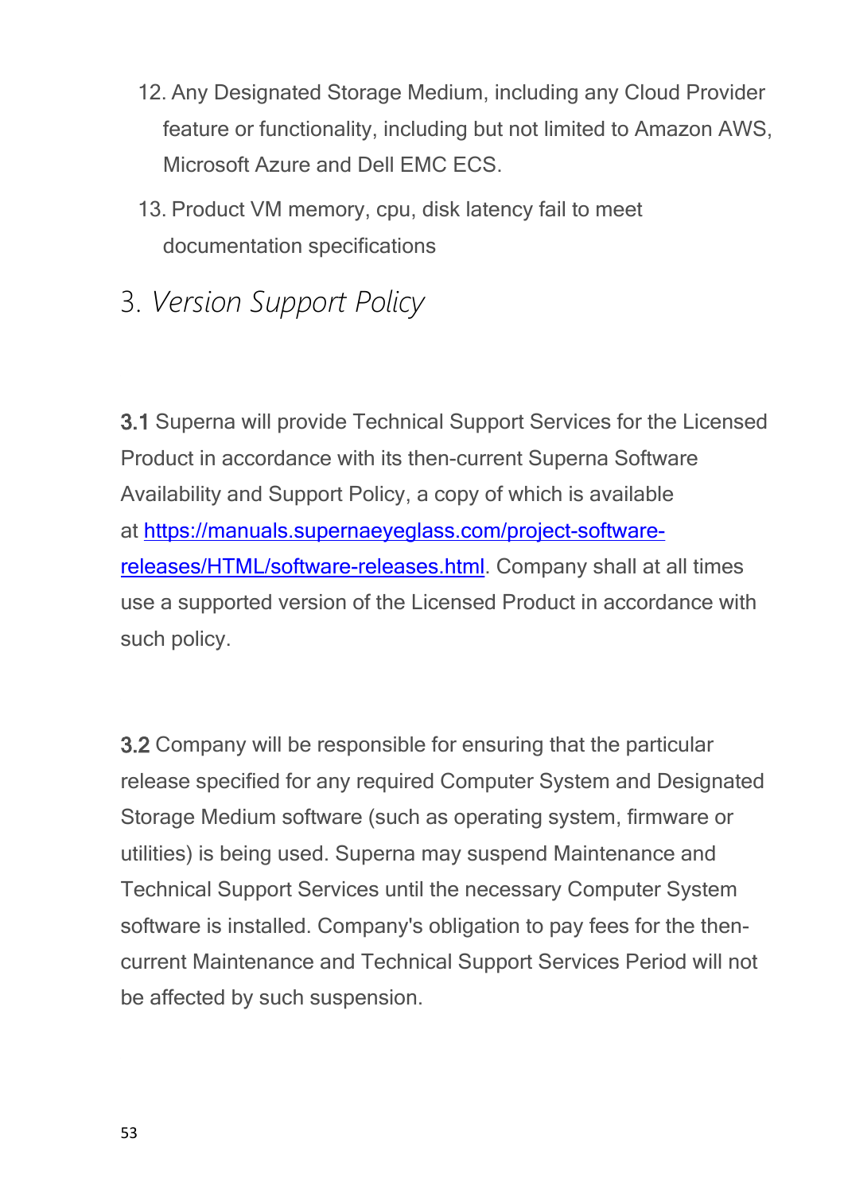- 12. Any Designated Storage Medium, including any Cloud Provider feature or functionality, including but not limited to Amazon AWS, Microsoft Azure and Dell EMC ECS.
- 13. Product VM memory, cpu, disk latency fail to meet documentation specifications
- 3. *Version Support Policy*

**3.1** Superna will provide Technical Support Services for the Licensed Product in accordance with its then-current Superna Software Availability and Support Policy, a copy of which is available at [https://manuals.supernaeyeglass.com/project-software](https://manuals.supernaeyeglass.com/project-software-releases/HTML/software-releases.html)[releases/HTML/software-releases.html](https://manuals.supernaeyeglass.com/project-software-releases/HTML/software-releases.html). Company shall at all times use a supported version of the Licensed Product in accordance with such policy.

**3.2** Company will be responsible for ensuring that the particular release specified for any required Computer System and Designated Storage Medium software (such as operating system, firmware or utilities) is being used. Superna may suspend Maintenance and Technical Support Services until the necessary Computer System software is installed. Company's obligation to pay fees for the thencurrent Maintenance and Technical Support Services Period will not be affected by such suspension.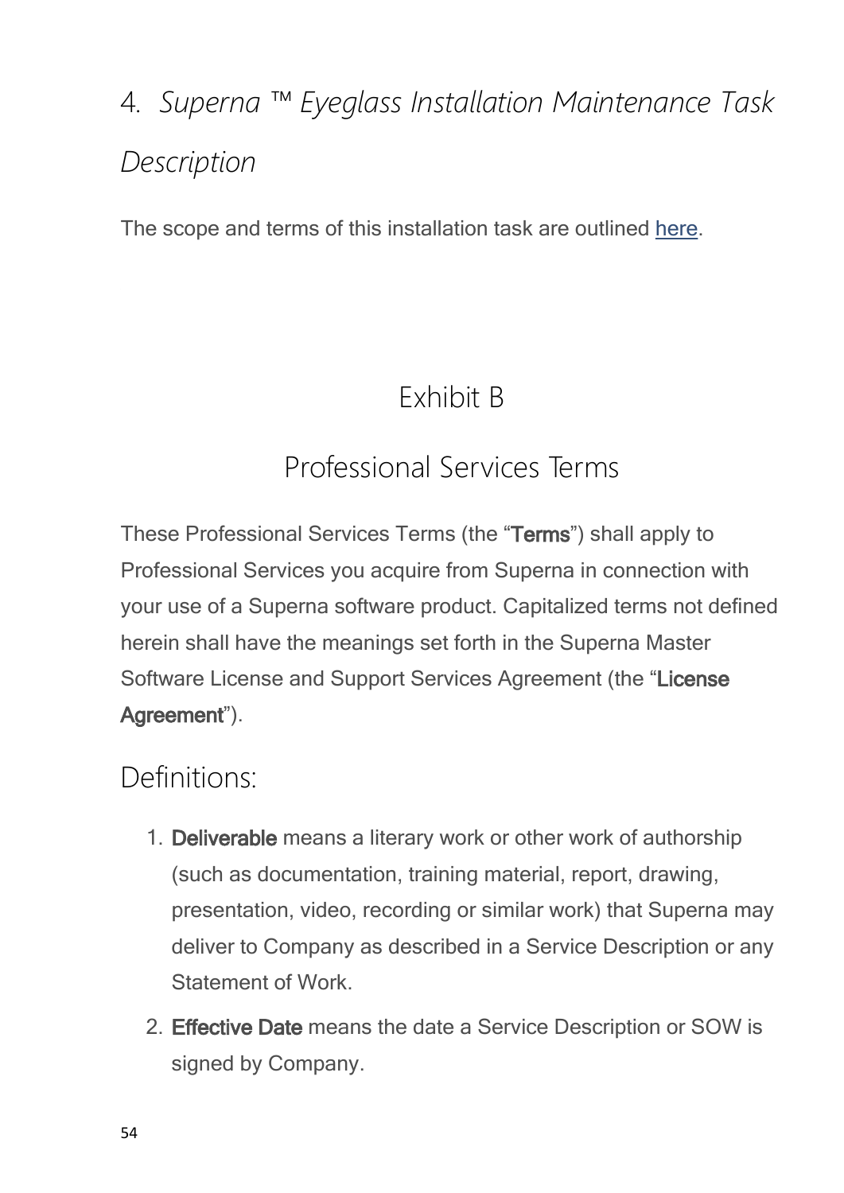# 4*. Superna ™ Eyeglass Installation Maintenance Task Description*

The scope and terms of this installation task are outlined [here](https://manuals.supernaeyeglass.com/project-getting-help/HTML/eyeglass-professional-services.html).

## Exhibit B

## Professional Services Terms

These Professional Services Terms (the "**Terms**") shall apply to Professional Services you acquire from Superna in connection with your use of a Superna software product. Capitalized terms not defined herein shall have the meanings set forth in the Superna Master Software License and Support Services Agreement (the "**License Agreement**").

#### Definitions:

- 1. **Deliverable** means a literary work or other work of authorship (such as documentation, training material, report, drawing, presentation, video, recording or similar work) that Superna may deliver to Company as described in a Service Description or any Statement of Work.
- 2. **Effective Date** means the date a Service Description or SOW is signed by Company.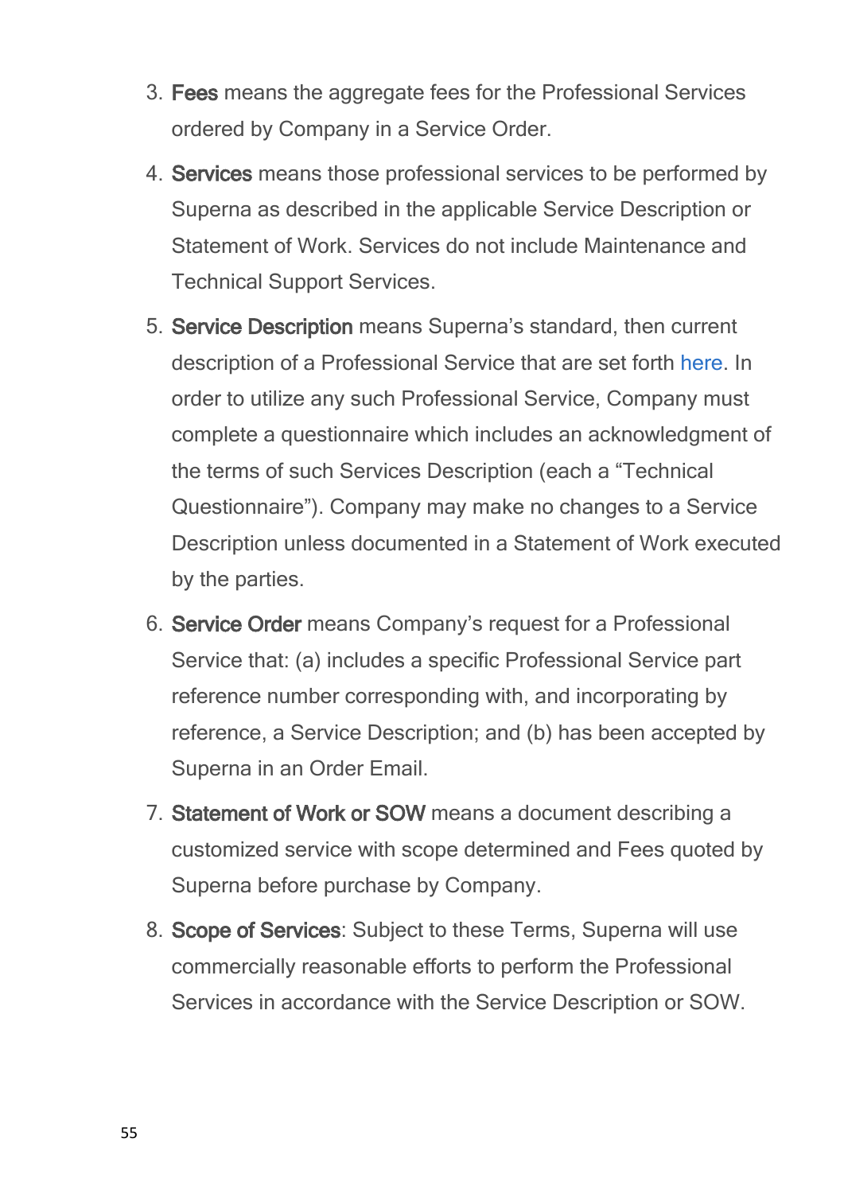- 3. **Fees** means the aggregate fees for the Professional Services ordered by Company in a Service Order.
- 4. **Services** means those professional services to be performed by Superna as described in the applicable Service Description or Statement of Work. Services do not include Maintenance and Technical Support Services.
- 5. **Service Description** means Superna's standard, then current description of a Professional Service that are set forth [here](http://docedit.supernaeyeglass.com/smart/project-getting-help/eyeglass-professional-services). In order to utilize any such Professional Service, Company must complete a questionnaire which includes an acknowledgment of the terms of such Services Description (each a "Technical Questionnaire"). Company may make no changes to a Service Description unless documented in a Statement of Work executed by the parties.
- 6. **Service Order** means Company's request for a Professional Service that: (a) includes a specific Professional Service part reference number corresponding with, and incorporating by reference, a Service Description; and (b) has been accepted by Superna in an Order Email.
- 7. **Statement of Work or SOW** means a document describing a customized service with scope determined and Fees quoted by Superna before purchase by Company.
- 8. **Scope of Services**: Subject to these Terms, Superna will use commercially reasonable efforts to perform the Professional Services in accordance with the Service Description or SOW.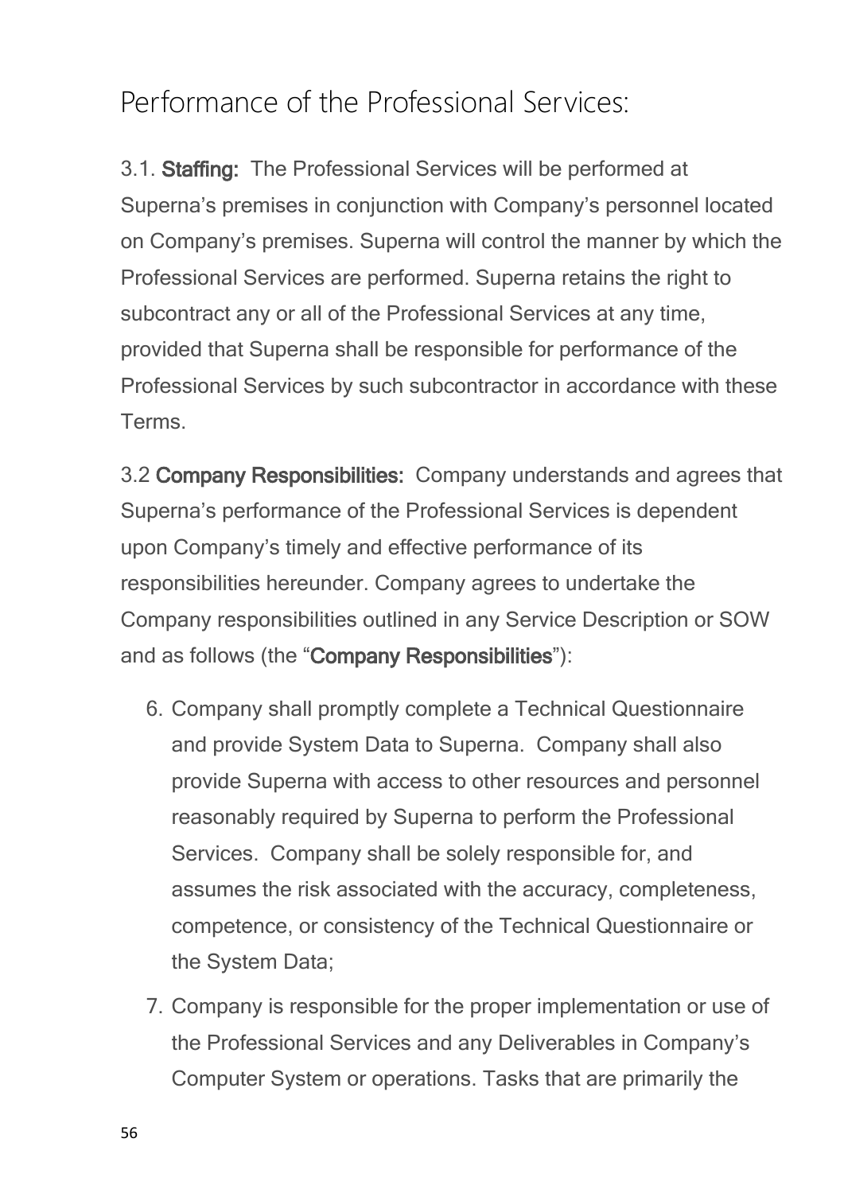## Performance of the Professional Services:

3.1. **Staffing:** The Professional Services will be performed at Superna's premises in conjunction with Company's personnel located on Company's premises. Superna will control the manner by which the Professional Services are performed. Superna retains the right to subcontract any or all of the Professional Services at any time, provided that Superna shall be responsible for performance of the Professional Services by such subcontractor in accordance with these Terms.

3.2 **Company Responsibilities:** Company understands and agrees that Superna's performance of the Professional Services is dependent upon Company's timely and effective performance of its responsibilities hereunder. Company agrees to undertake the Company responsibilities outlined in any Service Description or SOW and as follows (the "**Company Responsibilities**"):

- 6. Company shall promptly complete a Technical Questionnaire and provide System Data to Superna. Company shall also provide Superna with access to other resources and personnel reasonably required by Superna to perform the Professional Services. Company shall be solely responsible for, and assumes the risk associated with the accuracy, completeness, competence, or consistency of the Technical Questionnaire or the System Data;
- 7. Company is responsible for the proper implementation or use of the Professional Services and any Deliverables in Company's Computer System or operations. Tasks that are primarily the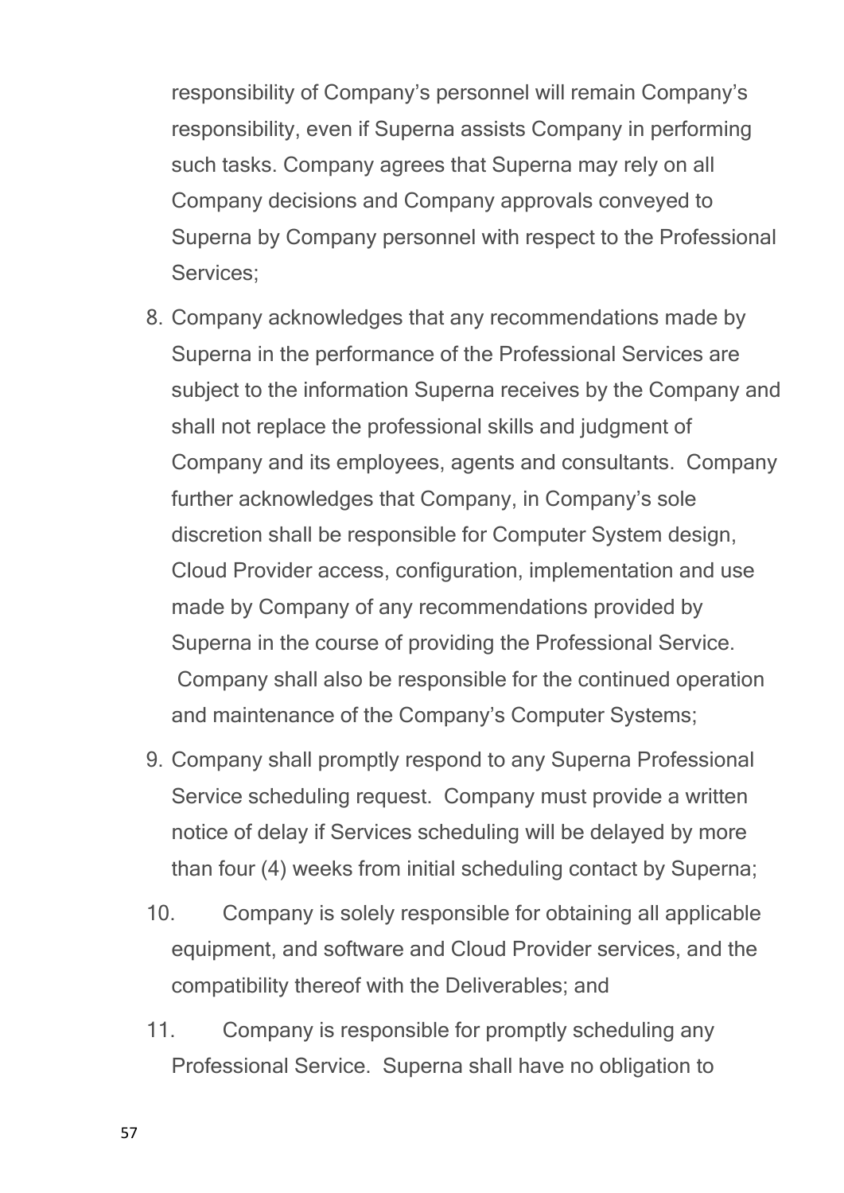responsibility of Company's personnel will remain Company's responsibility, even if Superna assists Company in performing such tasks. Company agrees that Superna may rely on all Company decisions and Company approvals conveyed to Superna by Company personnel with respect to the Professional Services;

- 8. Company acknowledges that any recommendations made by Superna in the performance of the Professional Services are subject to the information Superna receives by the Company and shall not replace the professional skills and judgment of Company and its employees, agents and consultants. Company further acknowledges that Company, in Company's sole discretion shall be responsible for Computer System design, Cloud Provider access, configuration, implementation and use made by Company of any recommendations provided by Superna in the course of providing the Professional Service. Company shall also be responsible for the continued operation and maintenance of the Company's Computer Systems;
- 9. Company shall promptly respond to any Superna Professional Service scheduling request. Company must provide a written notice of delay if Services scheduling will be delayed by more than four (4) weeks from initial scheduling contact by Superna;
- 10. Company is solely responsible for obtaining all applicable equipment, and software and Cloud Provider services, and the compatibility thereof with the Deliverables; and
- 11. Company is responsible for promptly scheduling any Professional Service. Superna shall have no obligation to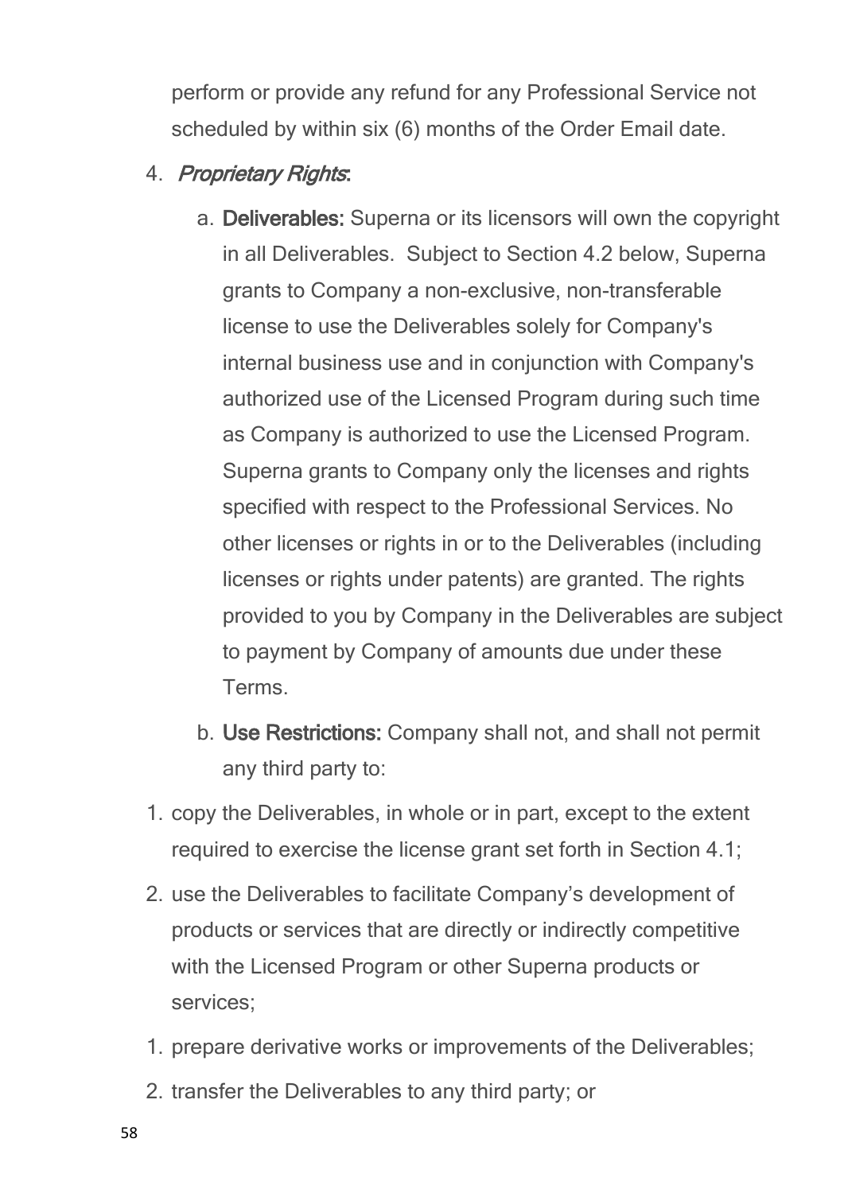perform or provide any refund for any Professional Service not scheduled by within six (6) months of the Order Email date.

- 4. *Proprietary Rights***:**
	- a. **Deliverables:** Superna or its licensors will own the copyright in all Deliverables. Subject to Section 4.2 below, Superna grants to Company a non-exclusive, non-transferable license to use the Deliverables solely for Company's internal business use and in conjunction with Company's authorized use of the Licensed Program during such time as Company is authorized to use the Licensed Program. Superna grants to Company only the licenses and rights specified with respect to the Professional Services. No other licenses or rights in or to the Deliverables (including licenses or rights under patents) are granted. The rights provided to you by Company in the Deliverables are subject to payment by Company of amounts due under these Terms.
	- b. **Use Restrictions:** Company shall not, and shall not permit any third party to:
- 1. copy the Deliverables, in whole or in part, except to the extent required to exercise the license grant set forth in Section 4.1;
- 2. use the Deliverables to facilitate Company's development of products or services that are directly or indirectly competitive with the Licensed Program or other Superna products or services;
- 1. prepare derivative works or improvements of the Deliverables;
- 2. transfer the Deliverables to any third party; or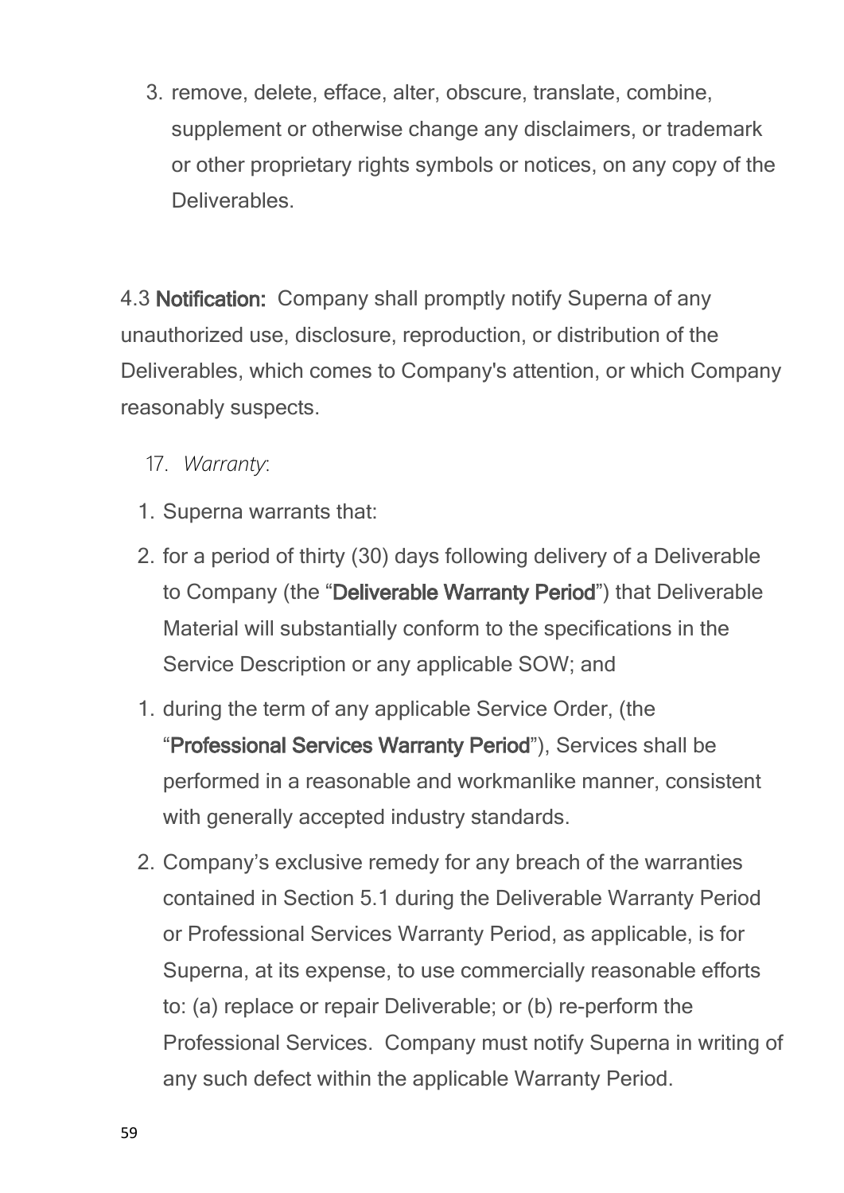3. remove, delete, efface, alter, obscure, translate, combine, supplement or otherwise change any disclaimers, or trademark or other proprietary rights symbols or notices, on any copy of the Deliverables.

4.3 **Notification:** Company shall promptly notify Superna of any unauthorized use, disclosure, reproduction, or distribution of the Deliverables, which comes to Company's attention, or which Company reasonably suspects.

17. *Warranty*:

- 1. Superna warrants that:
- 2. for a period of thirty (30) days following delivery of a Deliverable to Company (the "**Deliverable Warranty Period**") that Deliverable Material will substantially conform to the specifications in the Service Description or any applicable SOW; and
- 1. during the term of any applicable Service Order, (the "**Professional Services Warranty Period**"), Services shall be performed in a reasonable and workmanlike manner, consistent with generally accepted industry standards.
- 2. Company's exclusive remedy for any breach of the warranties contained in Section 5.1 during the Deliverable Warranty Period or Professional Services Warranty Period, as applicable, is for Superna, at its expense, to use commercially reasonable efforts to: (a) replace or repair Deliverable; or (b) re-perform the Professional Services. Company must notify Superna in writing of any such defect within the applicable Warranty Period.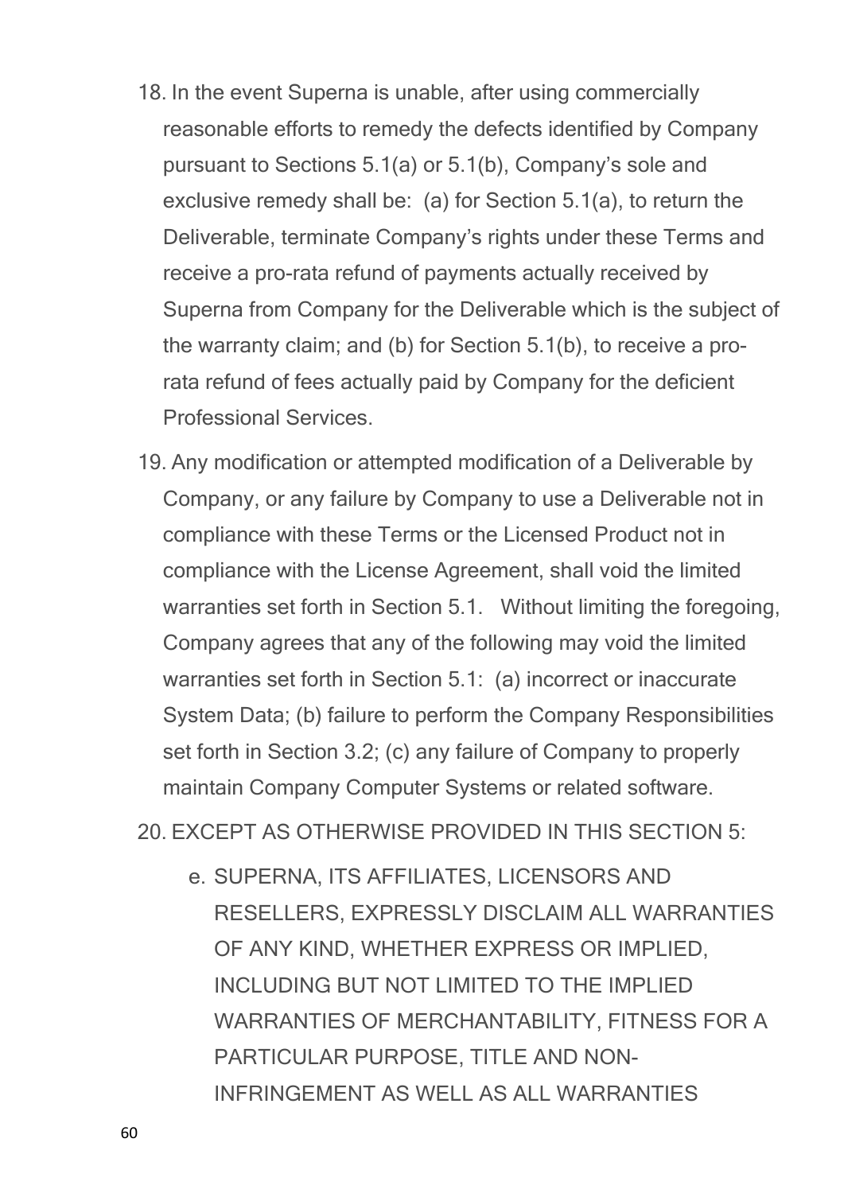- 18. In the event Superna is unable, after using commercially reasonable efforts to remedy the defects identified by Company pursuant to Sections 5.1(a) or 5.1(b), Company's sole and exclusive remedy shall be: (a) for Section 5.1(a), to return the Deliverable, terminate Company's rights under these Terms and receive a pro-rata refund of payments actually received by Superna from Company for the Deliverable which is the subject of the warranty claim; and (b) for Section 5.1(b), to receive a prorata refund of fees actually paid by Company for the deficient Professional Services.
- 19. Any modification or attempted modification of a Deliverable by Company, or any failure by Company to use a Deliverable not in compliance with these Terms or the Licensed Product not in compliance with the License Agreement, shall void the limited warranties set forth in Section 5.1. Without limiting the foregoing, Company agrees that any of the following may void the limited warranties set forth in Section 5.1: (a) incorrect or inaccurate System Data; (b) failure to perform the Company Responsibilities set forth in Section 3.2; (c) any failure of Company to properly maintain Company Computer Systems or related software.

20. EXCEPT AS OTHERWISE PROVIDED IN THIS SECTION 5:

e. SUPERNA, ITS AFFILIATES, LICENSORS AND RESELLERS, EXPRESSLY DISCLAIM ALL WARRANTIES OF ANY KIND, WHETHER EXPRESS OR IMPLIED, INCLUDING BUT NOT LIMITED TO THE IMPLIED WARRANTIES OF MERCHANTABILITY, FITNESS FOR A PARTICULAR PURPOSE, TITLE AND NON-INFRINGEMENT AS WELL AS ALL WARRANTIES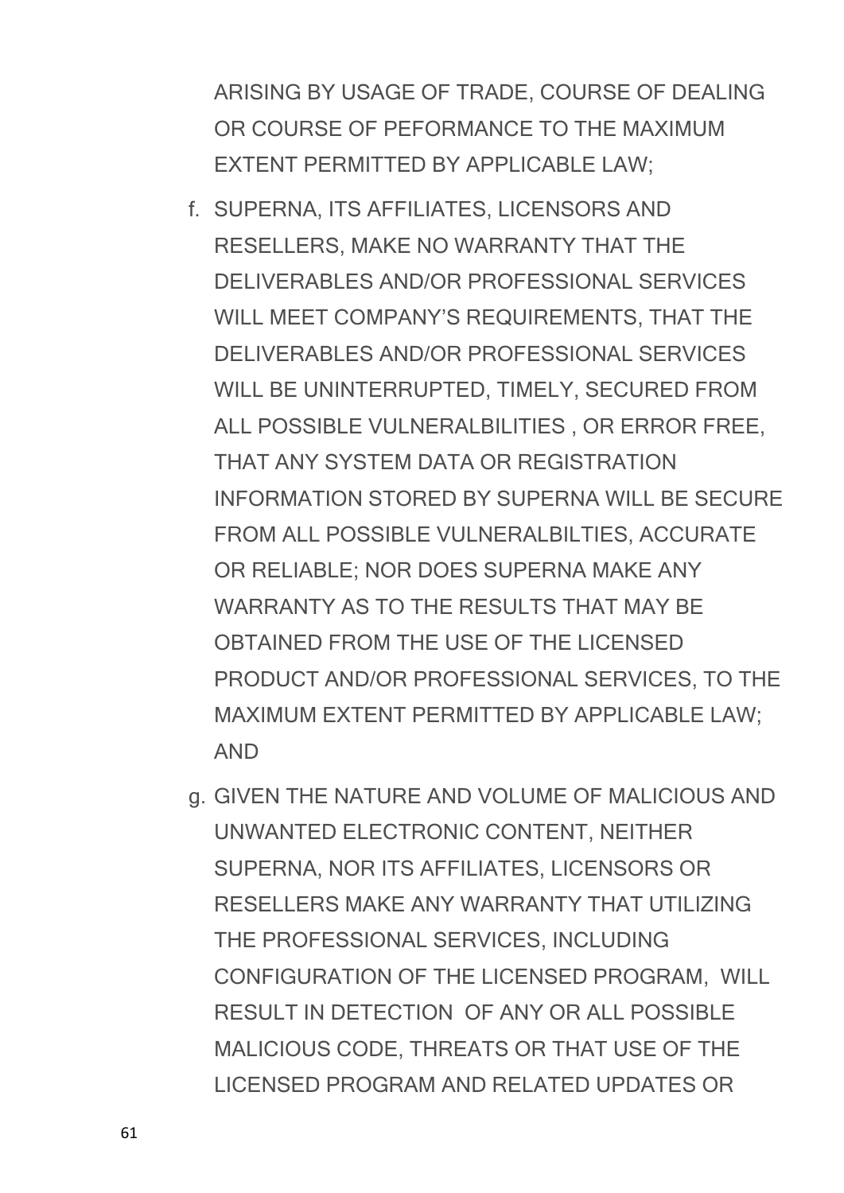ARISING BY USAGE OF TRADE, COURSE OF DEALING OR COURSE OF PEFORMANCE TO THE MAXIMUM EXTENT PERMITTED BY APPLICABLE LAW;

- f. SUPERNA, ITS AFFILIATES, LICENSORS AND RESELLERS, MAKE NO WARRANTY THAT THE DELIVERABLES AND/OR PROFESSIONAL SERVICES WILL MEET COMPANY'S REQUIREMENTS, THAT THE DELIVERABLES AND/OR PROFESSIONAL SERVICES WILL BE UNINTERRUPTED, TIMELY, SECURED FROM ALL POSSIBLE VULNERALBILITIES , OR ERROR FREE, THAT ANY SYSTEM DATA OR REGISTRATION INFORMATION STORED BY SUPERNA WILL BE SECURE FROM ALL POSSIBLE VULNERALBILTIES, ACCURATE OR RELIABLE; NOR DOES SUPERNA MAKE ANY WARRANTY AS TO THE RESULTS THAT MAY BE OBTAINED FROM THE USE OF THE LICENSED PRODUCT AND/OR PROFESSIONAL SERVICES, TO THE MAXIMUM EXTENT PERMITTED BY APPLICABLE LAW; AND
- g. GIVEN THE NATURE AND VOLUME OF MALICIOUS AND UNWANTED ELECTRONIC CONTENT, NEITHER SUPERNA, NOR ITS AFFILIATES, LICENSORS OR RESELLERS MAKE ANY WARRANTY THAT UTILIZING THE PROFESSIONAL SERVICES, INCLUDING CONFIGURATION OF THE LICENSED PROGRAM, WILL RESULT IN DETECTION OF ANY OR ALL POSSIBLE MALICIOUS CODE, THREATS OR THAT USE OF THE LICENSED PROGRAM AND RELATED UPDATES OR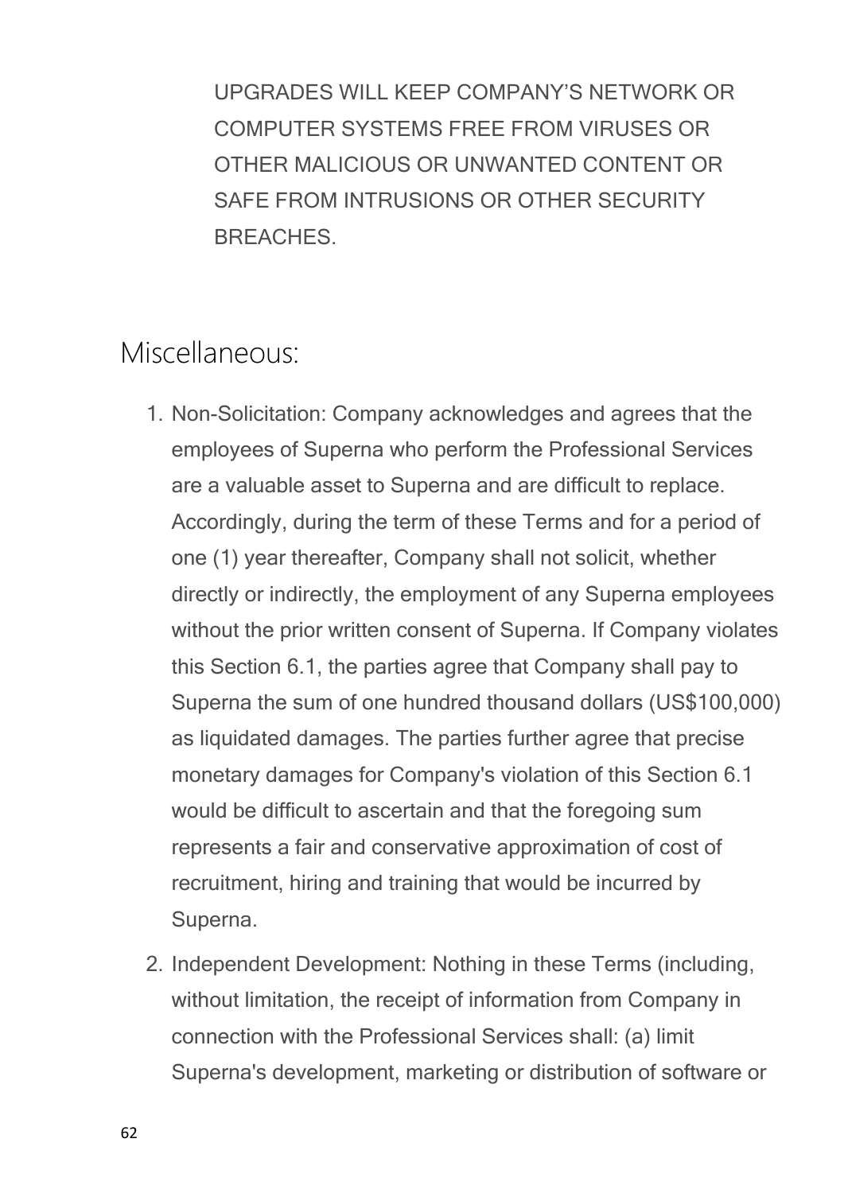UPGRADES WILL KEEP COMPANY'S NETWORK OR COMPUTER SYSTEMS FREE FROM VIRUSES OR OTHER MALICIOUS OR UNWANTED CONTENT OR SAFE FROM INTRUSIONS OR OTHER SECURITY BREACHES.

#### Miscellaneous:

- 1. Non-Solicitation: Company acknowledges and agrees that the employees of Superna who perform the Professional Services are a valuable asset to Superna and are difficult to replace. Accordingly, during the term of these Terms and for a period of one (1) year thereafter, Company shall not solicit, whether directly or indirectly, the employment of any Superna employees without the prior written consent of Superna. If Company violates this Section 6.1, the parties agree that Company shall pay to Superna the sum of one hundred thousand dollars (US\$100,000) as liquidated damages. The parties further agree that precise monetary damages for Company's violation of this Section 6.1 would be difficult to ascertain and that the foregoing sum represents a fair and conservative approximation of cost of recruitment, hiring and training that would be incurred by Superna.
- 2. Independent Development: Nothing in these Terms (including, without limitation, the receipt of information from Company in connection with the Professional Services shall: (a) limit Superna's development, marketing or distribution of software or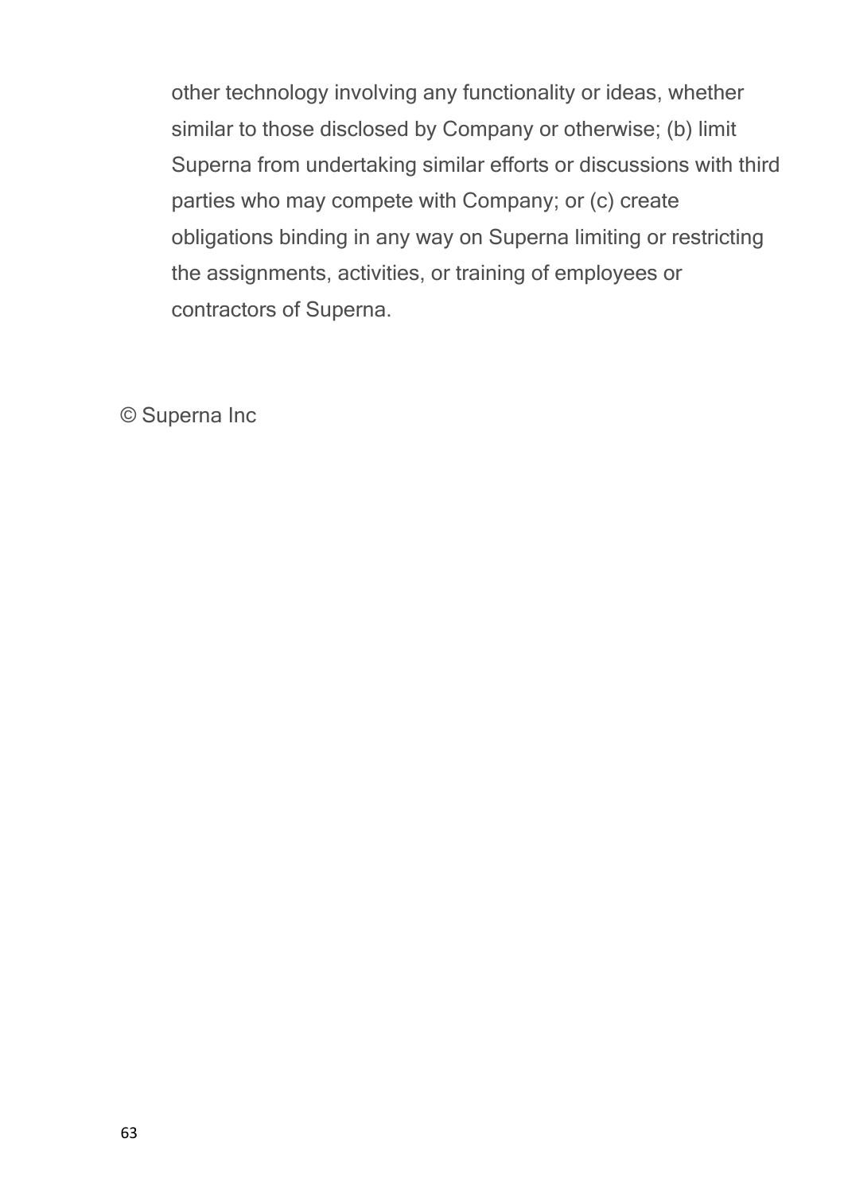other technology involving any functionality or ideas, whether similar to those disclosed by Company or otherwise; (b) limit Superna from undertaking similar efforts or discussions with third parties who may compete with Company; or (c) create obligations binding in any way on Superna limiting or restricting the assignments, activities, or training of employees or contractors of Superna.

© Superna Inc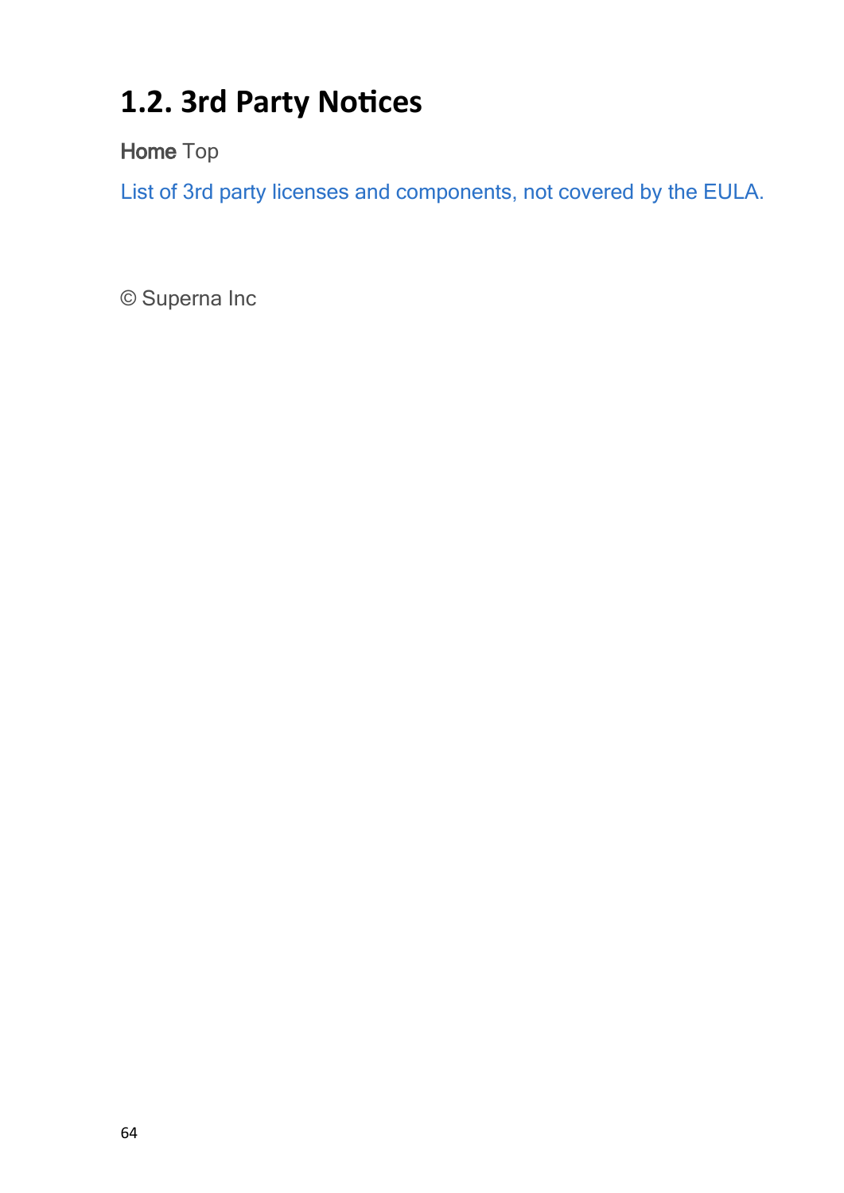## **1.2. 3rd Party Notices**

**Home** Top

[List](file:///C:/Windows/TEMP/ysl3oxbc.qvw/Storage/superna-eyeglass-agreements/3rd party Eyeglass-eca-search-lp15.2 OSS Licenses v2.pdf) [of](file:///C:/Windows/TEMP/ysl3oxbc.qvw/Storage/superna-eyeglass-agreements/3rd party Eyeglass-eca-search-lp15.2 OSS Licenses v2.pdf) [3rd](file:///C:/Windows/TEMP/ysl3oxbc.qvw/Storage/superna-eyeglass-agreements/3rd party Eyeglass-eca-search-lp15.2 OSS Licenses v2.pdf) [party](file:///C:/Windows/TEMP/ysl3oxbc.qvw/Storage/superna-eyeglass-agreements/3rd party Eyeglass-eca-search-lp15.2 OSS Licenses v2.pdf) [licenses](file:///C:/Windows/TEMP/ysl3oxbc.qvw/Storage/superna-eyeglass-agreements/3rd party Eyeglass-eca-search-lp15.2 OSS Licenses v2.pdf) [and](file:///C:/Windows/TEMP/ysl3oxbc.qvw/Storage/superna-eyeglass-agreements/3rd party Eyeglass-eca-search-lp15.2 OSS Licenses v2.pdf) [components,](file:///C:/Windows/TEMP/ysl3oxbc.qvw/Storage/superna-eyeglass-agreements/3rd party Eyeglass-eca-search-lp15.2 OSS Licenses v2.pdf) [not](file:///C:/Windows/TEMP/ysl3oxbc.qvw/Storage/superna-eyeglass-agreements/3rd party Eyeglass-eca-search-lp15.2 OSS Licenses v2.pdf) [covered](file:///C:/Windows/TEMP/ysl3oxbc.qvw/Storage/superna-eyeglass-agreements/3rd party Eyeglass-eca-search-lp15.2 OSS Licenses v2.pdf) [by](file:///C:/Windows/TEMP/ysl3oxbc.qvw/Storage/superna-eyeglass-agreements/3rd party Eyeglass-eca-search-lp15.2 OSS Licenses v2.pdf) [the](file:///C:/Windows/TEMP/ysl3oxbc.qvw/Storage/superna-eyeglass-agreements/3rd party Eyeglass-eca-search-lp15.2 OSS Licenses v2.pdf) [EULA.](file:///C:/Windows/TEMP/ysl3oxbc.qvw/Storage/superna-eyeglass-agreements/3rd party Eyeglass-eca-search-lp15.2 OSS Licenses v2.pdf)

© Superna Inc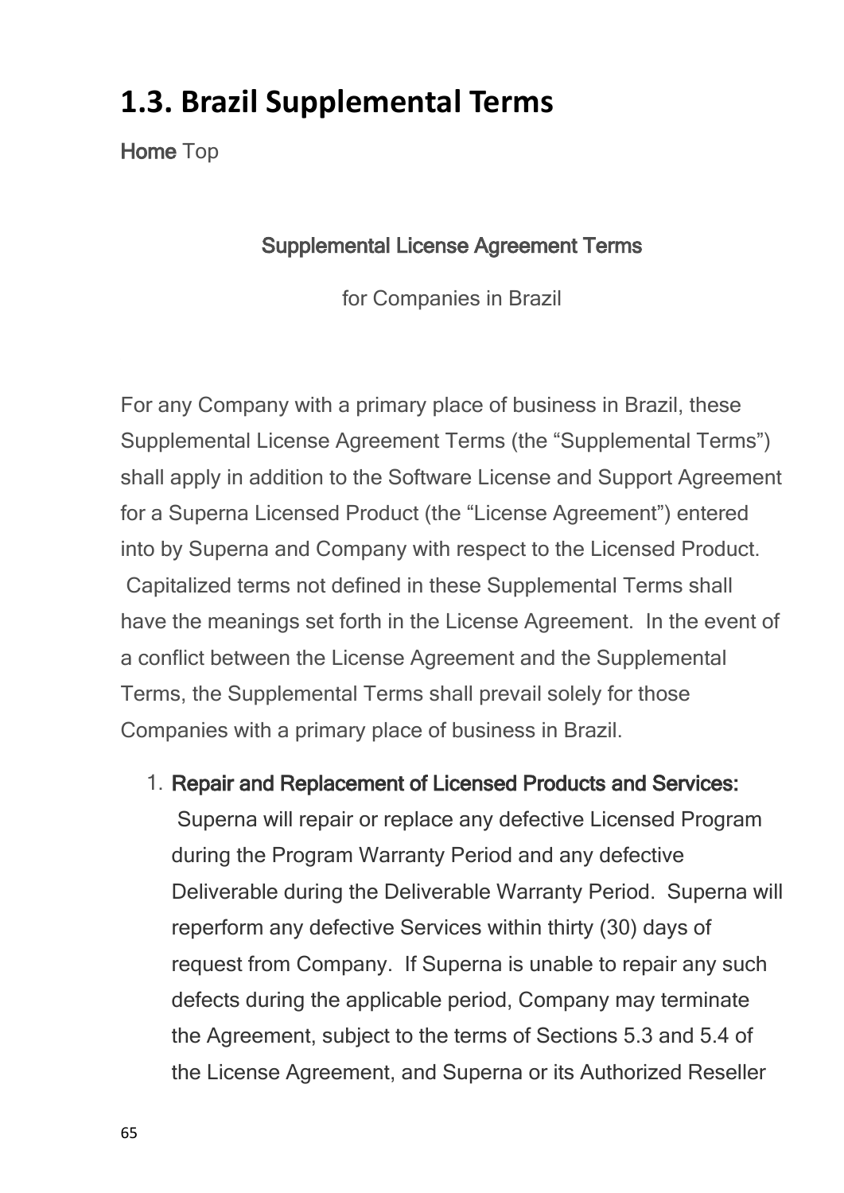## <span id="page-64-0"></span>**1.3. Brazil Supplemental Terms**

**Home** Top

#### **Supplemental License Agreement Terms**

for Companies in Brazil

For any Company with a primary place of business in Brazil, these Supplemental License Agreement Terms (the "Supplemental Terms") shall apply in addition to the Software License and Support Agreement for a Superna Licensed Product (the "License Agreement") entered into by Superna and Company with respect to the Licensed Product. Capitalized terms not defined in these Supplemental Terms shall have the meanings set forth in the License Agreement. In the event of a conflict between the License Agreement and the Supplemental Terms, the Supplemental Terms shall prevail solely for those Companies with a primary place of business in Brazil.

1. **Repair and Replacement of Licensed Products and Services:**

 Superna will repair or replace any defective Licensed Program during the Program Warranty Period and any defective Deliverable during the Deliverable Warranty Period. Superna will reperform any defective Services within thirty (30) days of request from Company. If Superna is unable to repair any such defects during the applicable period, Company may terminate the Agreement, subject to the terms of Sections 5.3 and 5.4 of the License Agreement, and Superna or its Authorized Reseller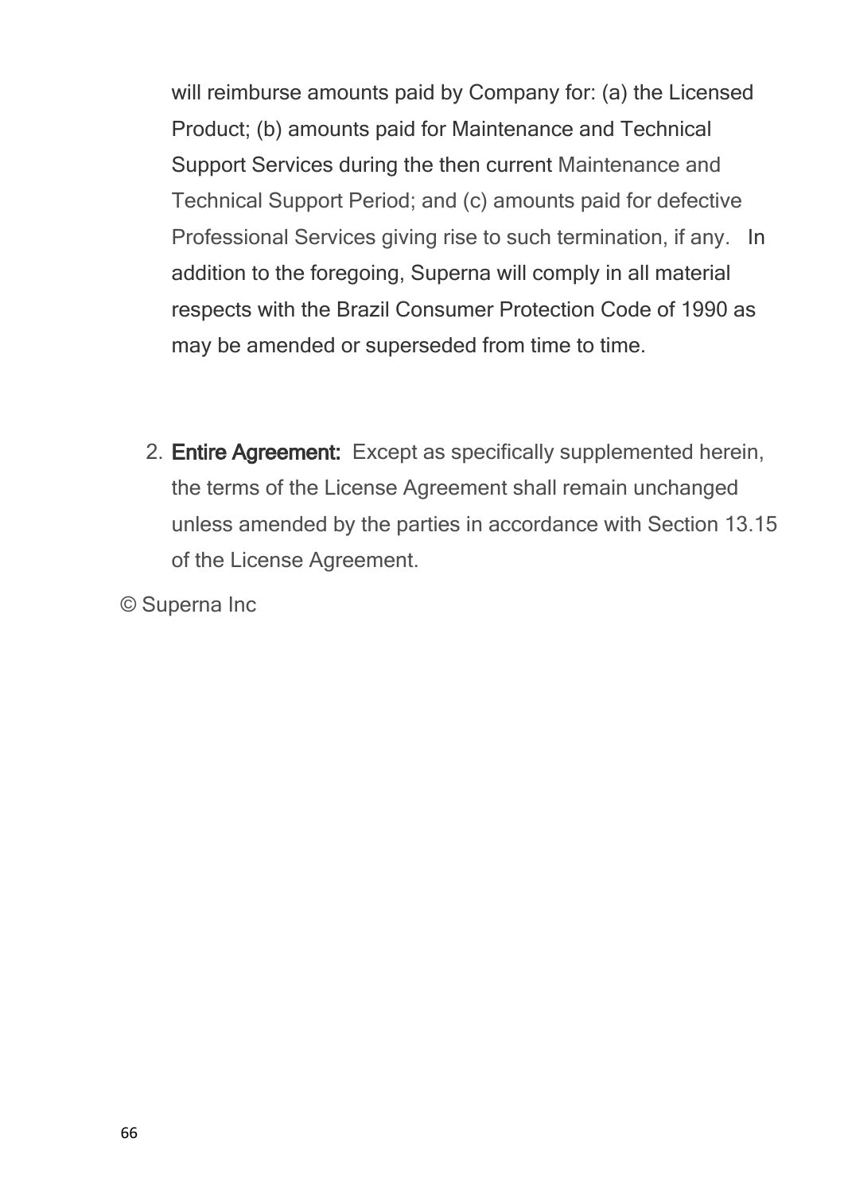will reimburse amounts paid by Company for: (a) the Licensed Product; (b) amounts paid for Maintenance and Technical Support Services during the then current Maintenance and Technical Support Period; and (c) amounts paid for defective Professional Services giving rise to such termination, if any. In addition to the foregoing, Superna will comply in all material respects with the Brazil Consumer Protection Code of 1990 as may be amended or superseded from time to time.

2. **Entire Agreement:** Except as specifically supplemented herein, the terms of the License Agreement shall remain unchanged unless amended by the parties in accordance with Section 13.15 of the License Agreement.

© Superna Inc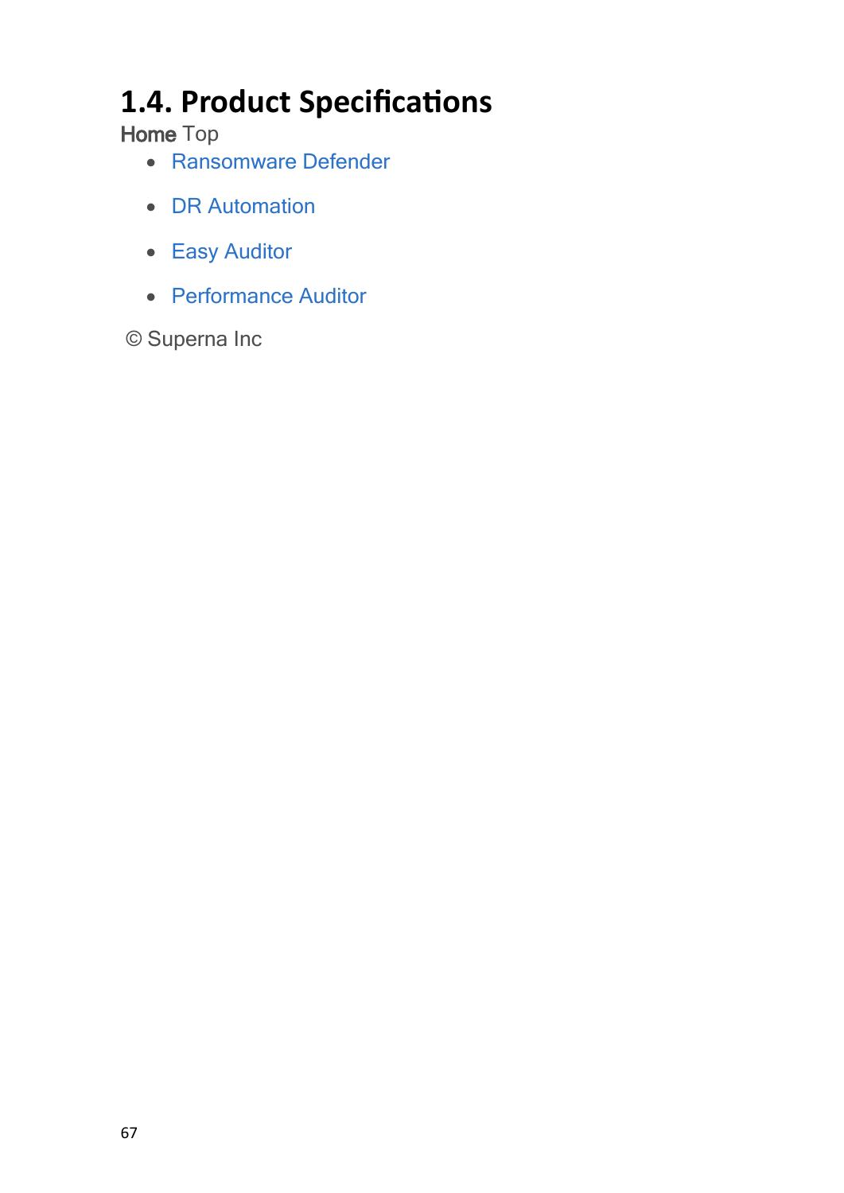# **1.4. Product Specifications**

**Home** Top

- · [Ransomware](#page-67-0) [Defender](#page-67-0)
- · [DR](#page-79-0) [Automation](#page-79-0)
- · [Easy](#page-87-0) [Auditor](#page-87-0)
- · [Performance](#page-92-0) [Auditor](#page-92-0)

© Superna Inc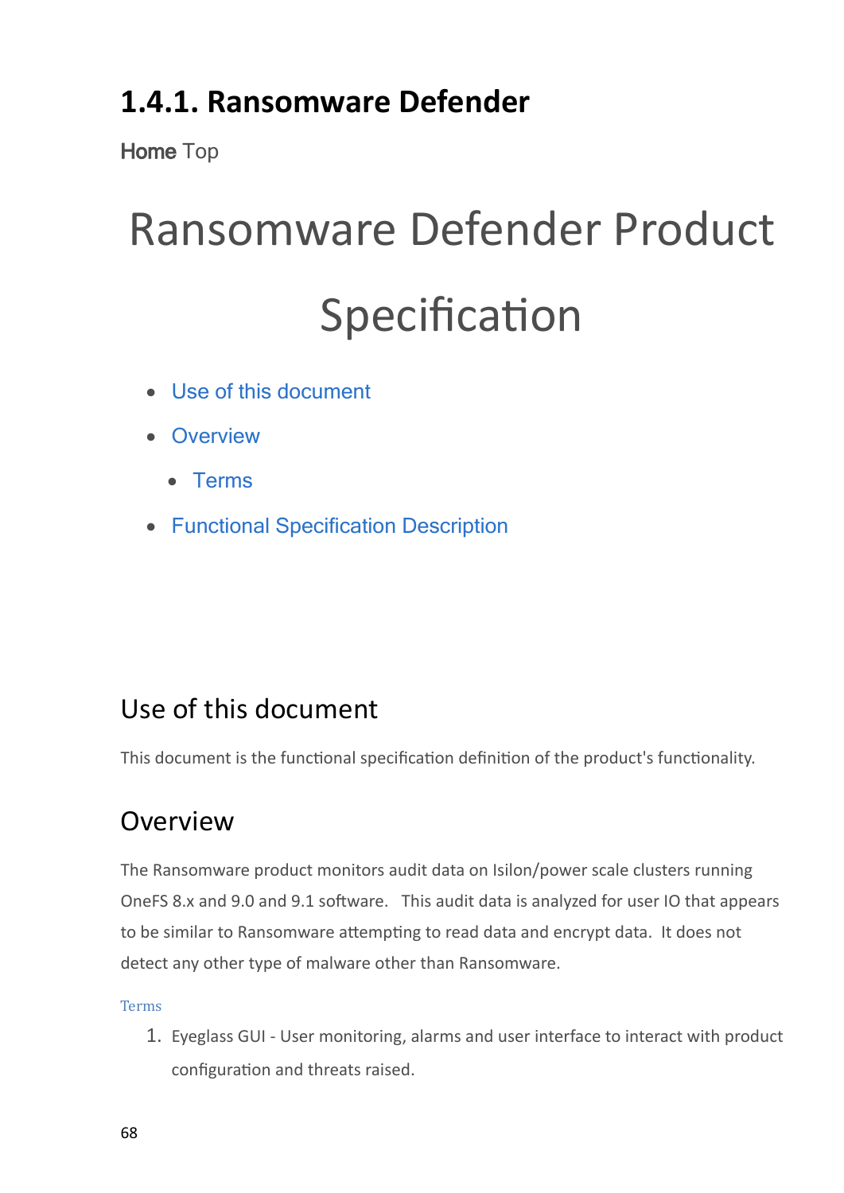## <span id="page-67-0"></span>**1.4.1. Ransomware Defender**

**Home** Top

# Ransomware Defender Product Specification

- · [Use](#page-67-1) [of](#page-67-1) [this](#page-67-1) [document](#page-67-1)
- · [Overview](#page-67-2)
	- · [Terms](#page-67-3)
- · [Functional](#page-68-0) [Specification](#page-68-0) [Description](#page-68-0)

#### <span id="page-67-1"></span>Use of this document

This document is the functional specification definition of the product's functionality.

#### <span id="page-67-2"></span>Overview

The Ransomware product monitors audit data on Isilon/power scale clusters running OneFS 8.x and 9.0 and 9.1 software. This audit data is analyzed for user IO that appears to be similar to Ransomware attempting to read data and encrypt data. It does not detect any other type of malware other than Ransomware.

#### <span id="page-67-3"></span>Terms

1. Eyeglass GUI - User monitoring, alarms and user interface to interact with product configuration and threats raised.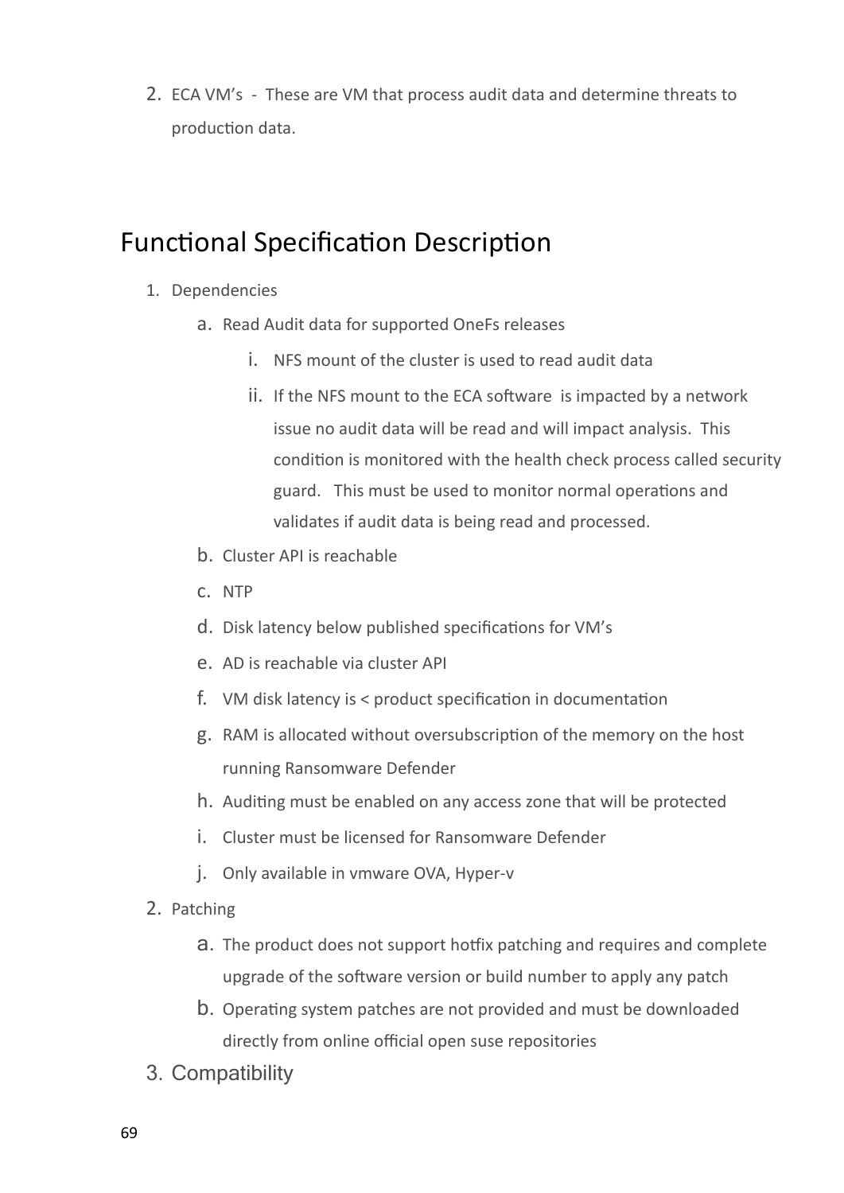2. ECA VM's - These are VM that process audit data and determine threats to production data.

#### <span id="page-68-0"></span>Functional Specification Description

- 1. Dependencies
	- a. Read Audit data for supported OneFs releases
		- i. NFS mount of the cluster is used to read audit data
		- ii. If the NFS mount to the ECA software is impacted by a network issue no audit data will be read and will impact analysis. This condition is monitored with the health check process called security guard. This must be used to monitor normal operations and validates if audit data is being read and processed.
	- b. Cluster API is reachable
	- c. NTP
	- d. Disk latency below published specifications for VM's
	- e. AD is reachable via cluster API
	- f. VM disk latency is < product specification in documentation
	- g. RAM is allocated without oversubscription of the memory on the host running Ransomware Defender
	- h. Auditing must be enabled on any access zone that will be protected
	- i. Cluster must be licensed for Ransomware Defender
	- j. Only available in vmware OVA, Hyper-v
- 2. Patching
	- a. The product does not support hotfix patching and requires and complete upgrade of the software version or build number to apply any patch
	- b. Operating system patches are not provided and must be downloaded directly from online official open suse repositories
- 3. Compatibility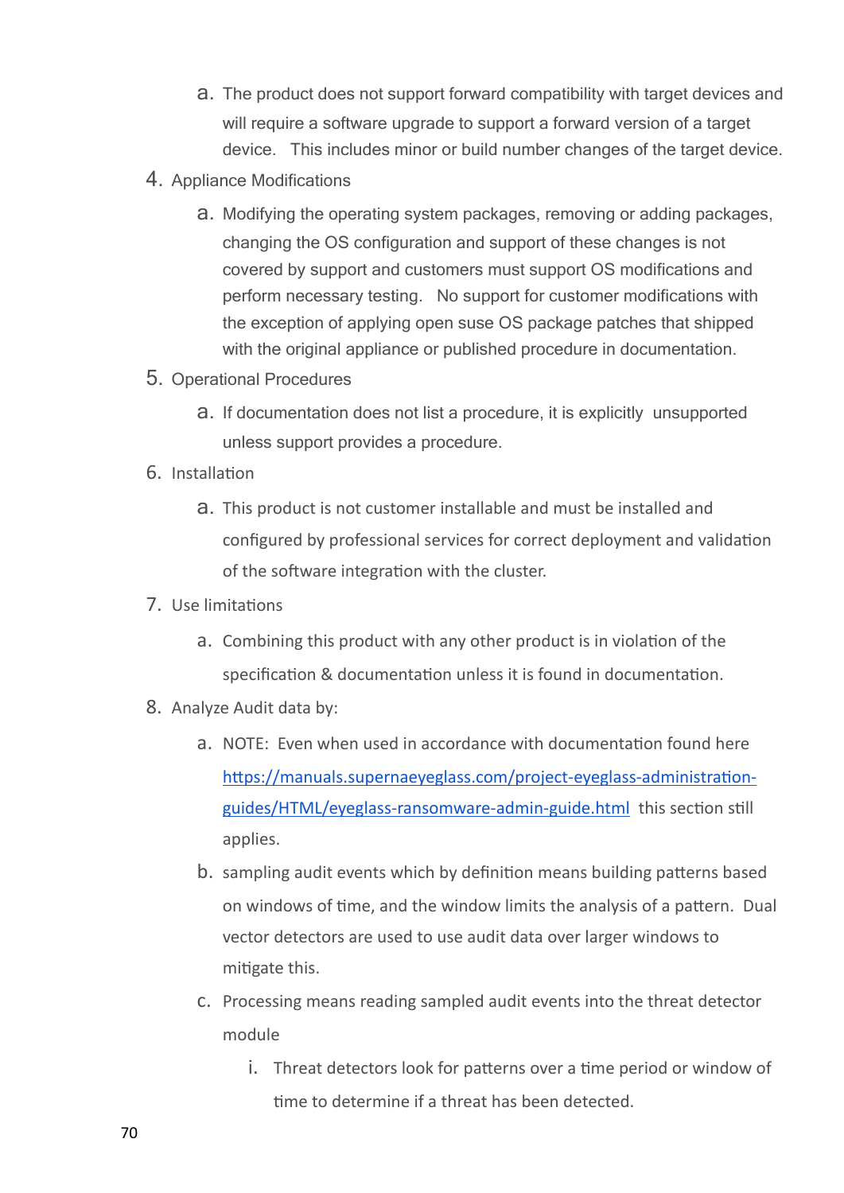- a. The product does not support forward compatibility with target devices and will require a software upgrade to support a forward version of a target device. This includes minor or build number changes of the target device.
- 4. Appliance Modifications
	- a. Modifying the operating system packages, removing or adding packages, changing the OS configuration and support of these changes is not covered by support and customers must support OS modifications and perform necessary testing. No support for customer modifications with the exception of applying open suse OS package patches that shipped with the original appliance or published procedure in documentation.
- 5. Operational Procedures
	- a. If documentation does not list a procedure, it is explicitly unsupported unless support provides a procedure.
- 6. Installation
	- a. This product is not customer installable and must be installed and configured by professional services for correct deployment and validation of the software integration with the cluster.
- 7. Use limitations
	- a. Combining this product with any other product is in violation of the specification & documentation unless it is found in documentation.
- 8. Analyze Audit data by:
	- a. NOTE: Even when used in accordance with documentation found here [https://manuals.supernaeyeglass.com/project-eyeglass-administration](https://manuals.supernaeyeglass.com/project-eyeglass-administration-guides/HTML/eyeglass-ransomware-admin-guide.html)[guides/HTML/eyeglass-ransomware-admin-guide.html](https://manuals.supernaeyeglass.com/project-eyeglass-administration-guides/HTML/eyeglass-ransomware-admin-guide.html) this section still applies.
	- b. sampling audit events which by definition means building patterns based on windows of time, and the window limits the analysis of a pattern. Dual vector detectors are used to use audit data over larger windows to mitigate this.
	- c. Processing means reading sampled audit events into the threat detector module
		- i. Threat detectors look for patterns over a time period or window of time to determine if a threat has been detected.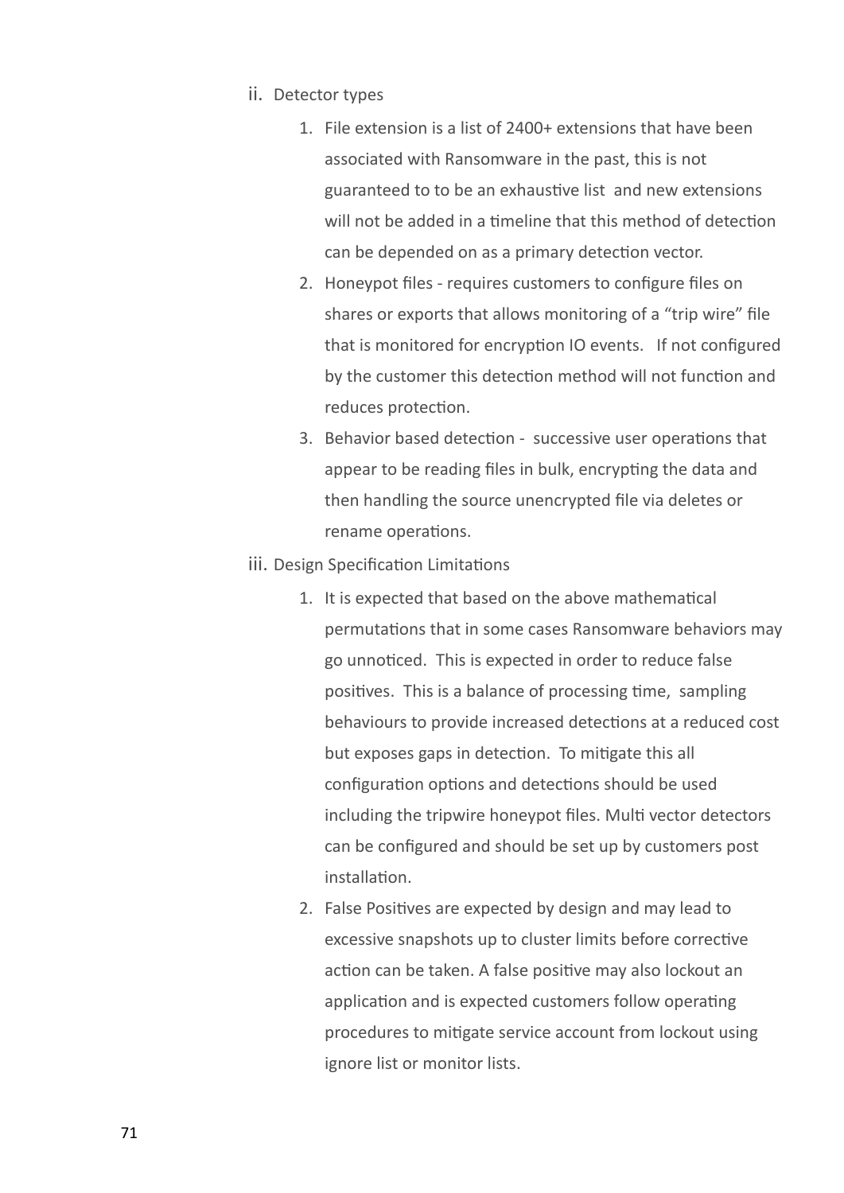- ii. Detector types
	- 1. File extension is a list of 2400+ extensions that have been associated with Ransomware in the past, this is not guaranteed to to be an exhaustive list and new extensions will not be added in a timeline that this method of detection can be depended on as a primary detection vector.
	- 2. Honeypot files requires customers to configure files on shares or exports that allows monitoring of a "trip wire" file that is monitored for encryption IO events. If not configured by the customer this detection method will not function and reduces protection.
	- 3. Behavior based detection successive user operations that appear to be reading files in bulk, encrypting the data and then handling the source unencrypted file via deletes or rename operations.
- iii. Design Specification Limitations
	- 1. It is expected that based on the above mathematical permutations that in some cases Ransomware behaviors may go unnoticed. This is expected in order to reduce false positives. This is a balance of processing time, sampling behaviours to provide increased detections at a reduced cost but exposes gaps in detection. To mitigate this all configuration options and detections should be used including the tripwire honeypot files. Multi vector detectors can be configured and should be set up by customers post installation.
	- 2. False Positives are expected by design and may lead to excessive snapshots up to cluster limits before corrective action can be taken. A false positive may also lockout an application and is expected customers follow operating procedures to mitigate service account from lockout using ignore list or monitor lists.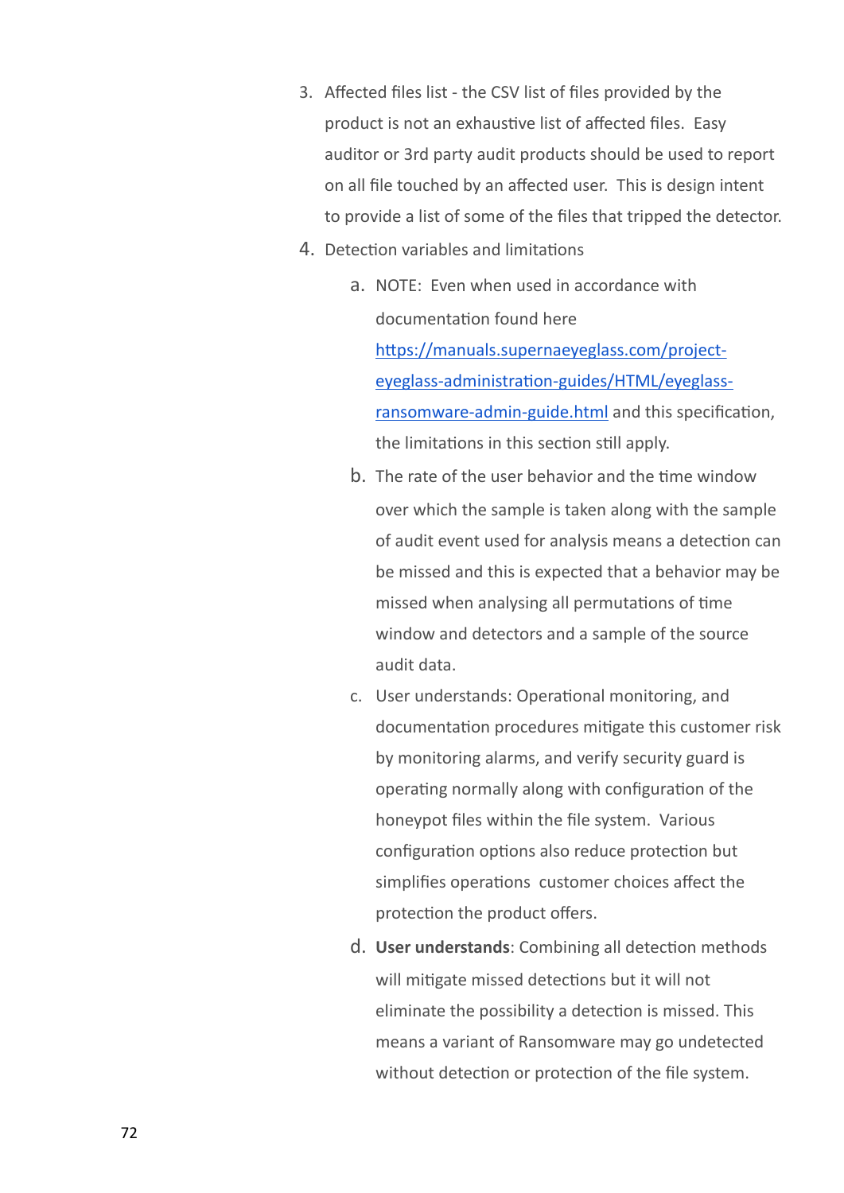- 3. Affected files list the CSV list of files provided by the product is not an exhaustive list of affected files. Easy auditor or 3rd party audit products should be used to report on all file touched by an affected user. This is design intent to provide a list of some of the files that tripped the detector.
- 4. Detection variables and limitations
	- a. NOTE: Even when used in accordance with documentation found here [https://manuals.supernaeyeglass.com/project](https://manuals.supernaeyeglass.com/project-eyeglass-administration-guides/HTML/eyeglass-ransomware-admin-guide.html)[eyeglass-administration-guides/HTML/eyeglass](https://manuals.supernaeyeglass.com/project-eyeglass-administration-guides/HTML/eyeglass-ransomware-admin-guide.html)[ransomware-admin-guide.html](https://manuals.supernaeyeglass.com/project-eyeglass-administration-guides/HTML/eyeglass-ransomware-admin-guide.html) and this specification, the limitations in this section still apply.
	- b. The rate of the user behavior and the time window over which the sample is taken along with the sample of audit event used for analysis means a detection can be missed and this is expected that a behavior may be missed when analysing all permutations of time window and detectors and a sample of the source audit data.
	- c. User understands: Operational monitoring, and documentation procedures mitigate this customer risk by monitoring alarms, and verify security guard is operating normally along with configuration of the honeypot files within the file system. Various configuration options also reduce protection but simplifies operations customer choices affect the protection the product offers.
	- d. **User understands**: Combining all detection methods will mitigate missed detections but it will not eliminate the possibility a detection is missed. This means a variant of Ransomware may go undetected without detection or protection of the file system.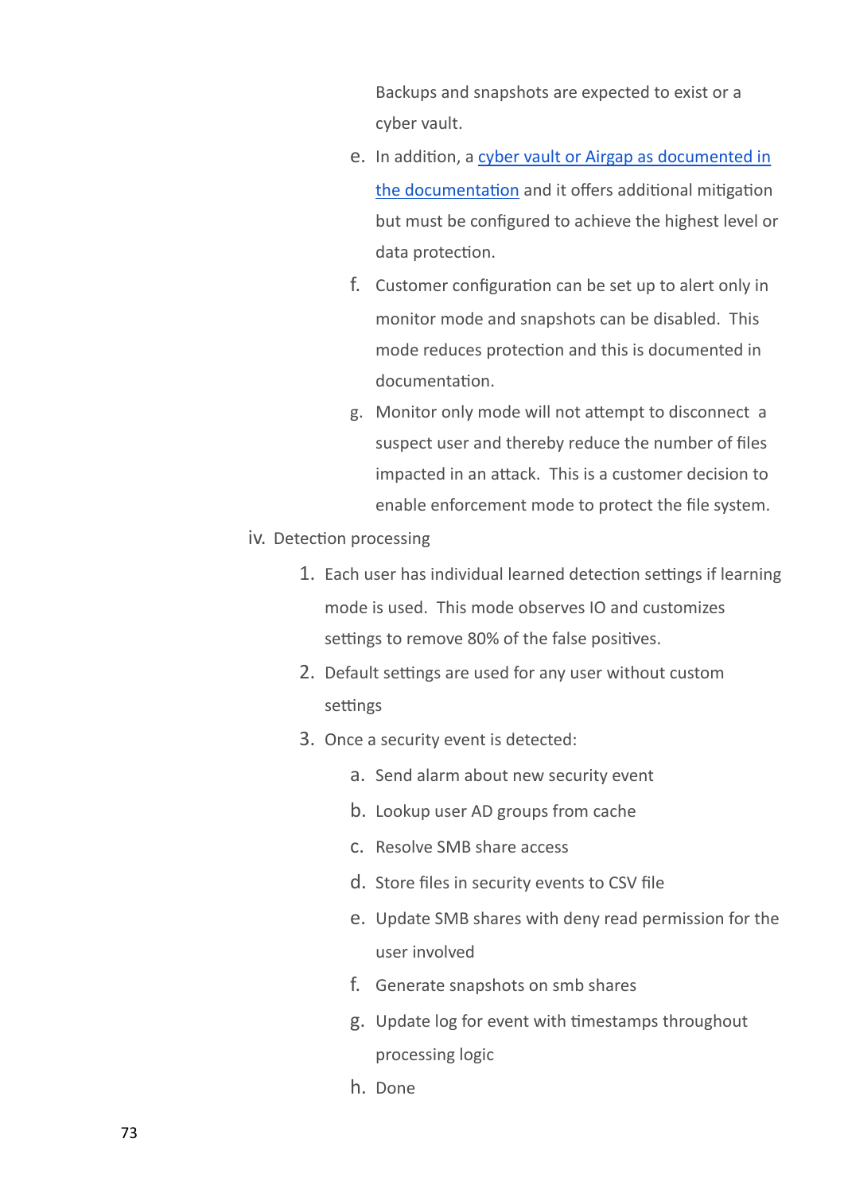Backups and snapshots are expected to exist or a cyber vault.

- e. In addition, a [cyber](https://manuals.supernaeyeglass.com/project-eyeglass-administration-guides/HTML/airgapguide.html) [vault](https://manuals.supernaeyeglass.com/project-eyeglass-administration-guides/HTML/airgapguide.html) [or](https://manuals.supernaeyeglass.com/project-eyeglass-administration-guides/HTML/airgapguide.html) [Airgap](https://manuals.supernaeyeglass.com/project-eyeglass-administration-guides/HTML/airgapguide.html) [as](https://manuals.supernaeyeglass.com/project-eyeglass-administration-guides/HTML/airgapguide.html) [documented](https://manuals.supernaeyeglass.com/project-eyeglass-administration-guides/HTML/airgapguide.html) [in](https://manuals.supernaeyeglass.com/project-eyeglass-administration-guides/HTML/airgapguide.html) [the](https://manuals.supernaeyeglass.com/project-eyeglass-administration-guides/HTML/airgapguide.html) [documentation](https://manuals.supernaeyeglass.com/project-eyeglass-administration-guides/HTML/airgapguide.html) and it offers additional mitigation but must be configured to achieve the highest level or data protection.
- f. Customer configuration can be set up to alert only in monitor mode and snapshots can be disabled. This mode reduces protection and this is documented in documentation.
- g. Monitor only mode will not attempt to disconnect a suspect user and thereby reduce the number of files impacted in an attack. This is a customer decision to enable enforcement mode to protect the file system.
- iv. Detection processing
	- 1. Each user has individual learned detection settings if learning mode is used. This mode observes IO and customizes settings to remove 80% of the false positives.
	- 2. Default settings are used for any user without custom settings
	- 3. Once a security event is detected:
		- a. Send alarm about new security event
		- b. Lookup user AD groups from cache
		- c. Resolve SMB share access
		- d. Store files in security events to CSV file
		- e. Update SMB shares with deny read permission for the user involved
		- f. Generate snapshots on smb shares
		- g. Update log for event with timestamps throughout processing logic
		- h. Done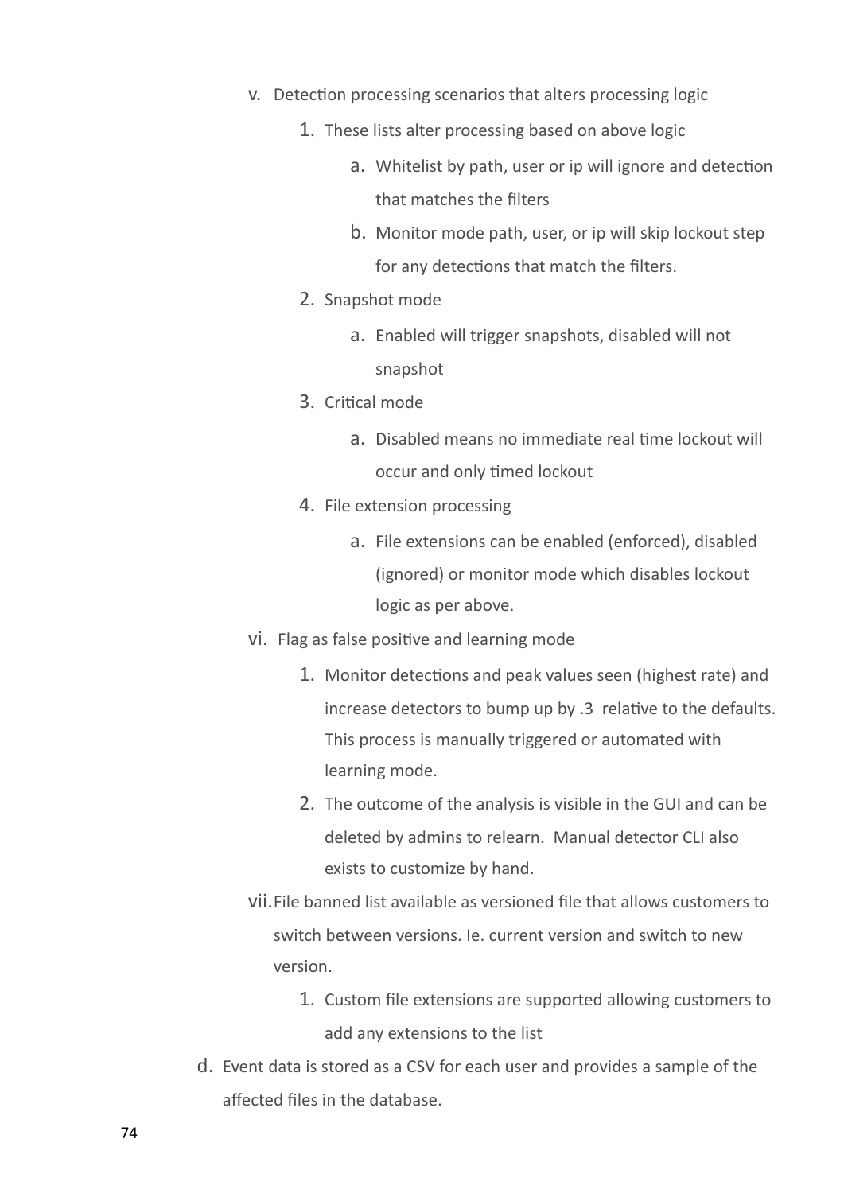- v. Detection processing scenarios that alters processing logic
	- 1. These lists alter processing based on above logic
		- a. Whitelist by path, user or ip will ignore and detection that matches the filters
		- b. Monitor mode path, user, or ip will skip lockout step for any detections that match the filters.
	- 2. Snapshot mode
		- a. Enabled will trigger snapshots, disabled will not snapshot
	- 3. Critical mode
		- a. Disabled means no immediate real time lockout will occur and only timed lockout
	- 4. File extension processing
		- a. File extensions can be enabled (enforced), disabled (ignored) or monitor mode which disables lockout logic as per above.
- vi. Flag as false positive and learning mode
	- 1. Monitor detections and peak values seen (highest rate) and increase detectors to bump up by .3 relative to the defaults. This process is manually triggered or automated with learning mode.
	- 2. The outcome of the analysis is visible in the GUI and can be deleted by admins to relearn. Manual detector CLI also exists to customize by hand.
- vii.File banned list available as versioned file that allows customers to switch between versions. Ie. current version and switch to new version.
	- 1. Custom file extensions are supported allowing customers to add any extensions to the list
- d. Event data is stored as a CSV for each user and provides a sample of the affected files in the database.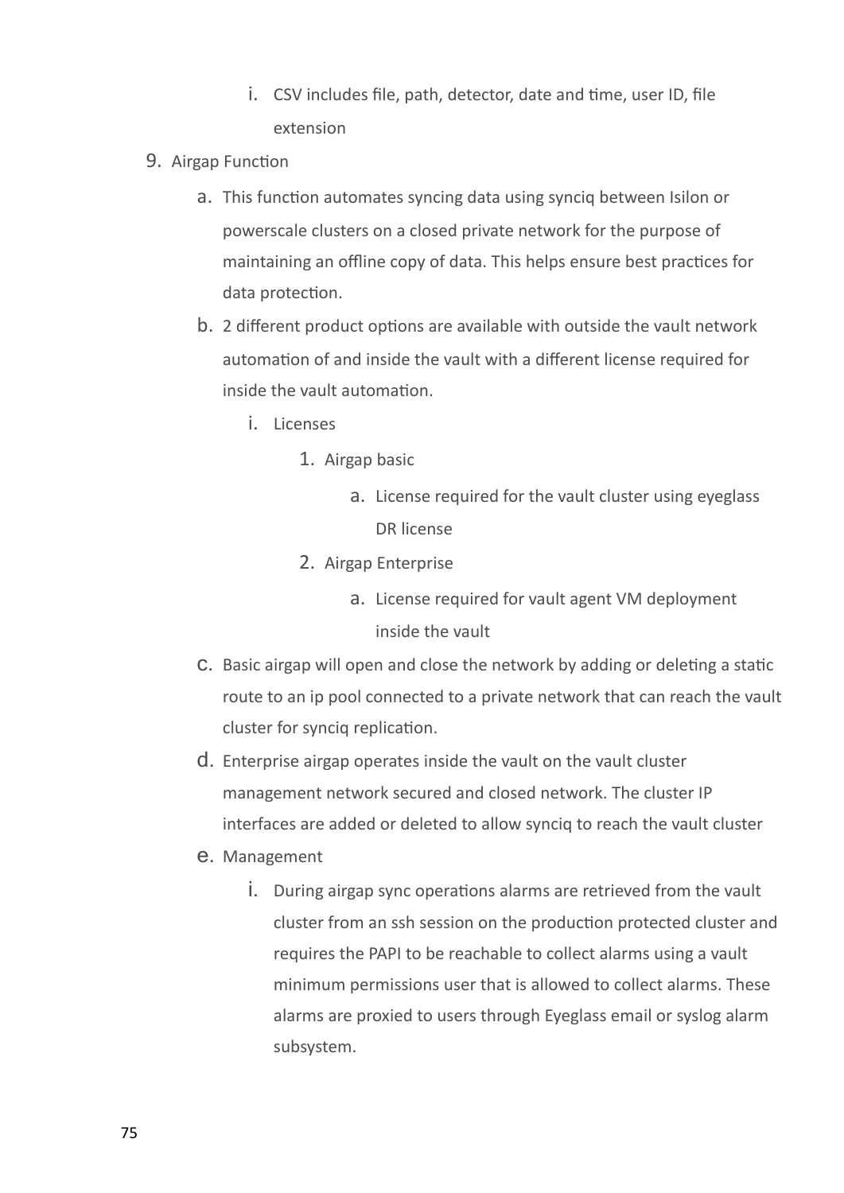- i. CSV includes file, path, detector, date and time, user ID, file extension
- 9. Airgap Function
	- a. This function automates syncing data using synciq between Isilon or powerscale clusters on a closed private network for the purpose of maintaining an offline copy of data. This helps ensure best practices for data protection.
	- b. 2 different product options are available with outside the vault network automation of and inside the vault with a different license required for inside the vault automation.
		- i. Licenses
			- 1. Airgap basic
				- a. License required for the vault cluster using eyeglass DR license
			- 2. Airgap Enterprise
				- a. License required for vault agent VM deployment inside the vault
	- c. Basic airgap will open and close the network by adding or deleting a static route to an ip pool connected to a private network that can reach the vault cluster for synciq replication.
	- d. Enterprise airgap operates inside the vault on the vault cluster management network secured and closed network. The cluster IP interfaces are added or deleted to allow synciq to reach the vault cluster
	- e. Management
		- i. During airgap sync operations alarms are retrieved from the vault cluster from an ssh session on the production protected cluster and requires the PAPI to be reachable to collect alarms using a vault minimum permissions user that is allowed to collect alarms. These alarms are proxied to users through Eyeglass email or syslog alarm subsystem.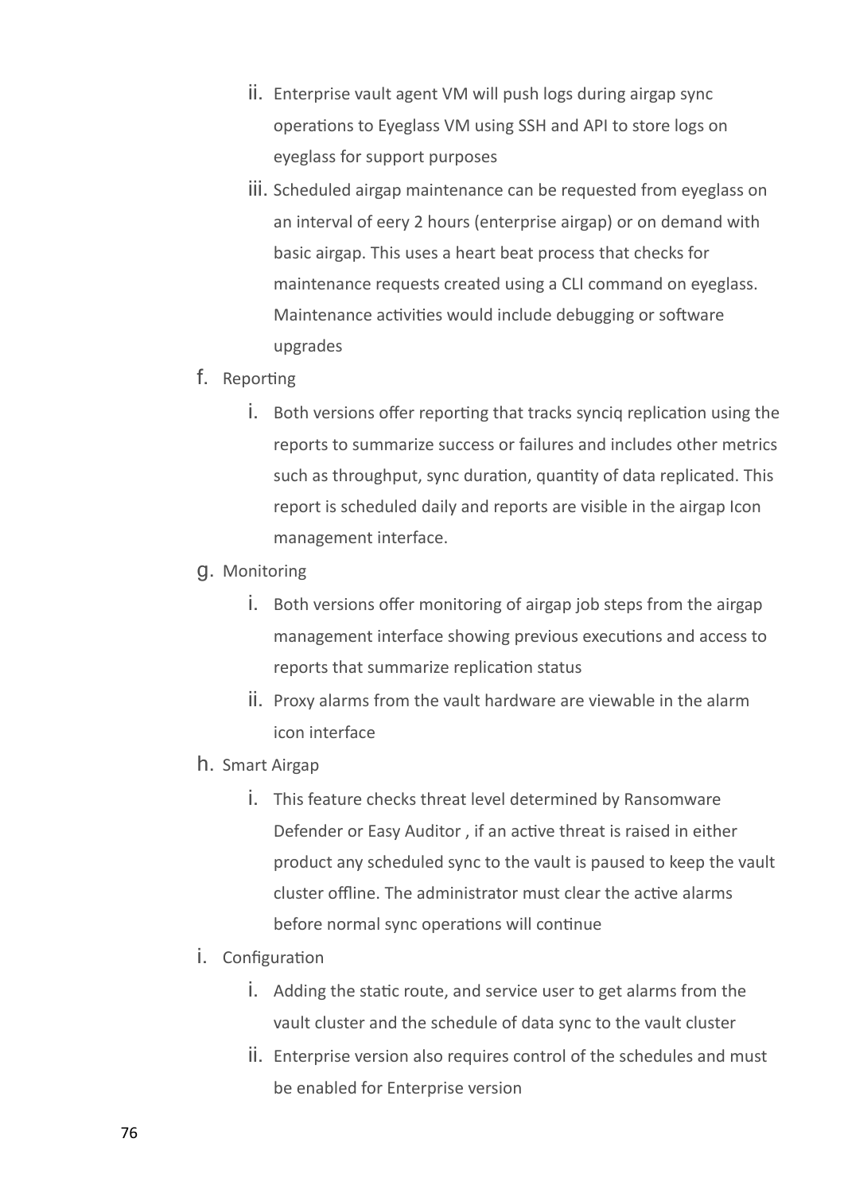- ii. Enterprise vault agent VM will push logs during airgap sync operations to Eyeglass VM using SSH and API to store logs on eyeglass for support purposes
- iii. Scheduled airgap maintenance can be requested from eyeglass on an interval of eery 2 hours (enterprise airgap) or on demand with basic airgap. This uses a heart beat process that checks for maintenance requests created using a CLI command on eyeglass. Maintenance activities would include debugging or software upgrades
- f. Reporting
	- i. Both versions offer reporting that tracks synciq replication using the reports to summarize success or failures and includes other metrics such as throughput, sync duration, quantity of data replicated. This report is scheduled daily and reports are visible in the airgap Icon management interface.
- g. Monitoring
	- i. Both versions offer monitoring of airgap job steps from the airgap management interface showing previous executions and access to reports that summarize replication status
	- ii. Proxy alarms from the vault hardware are viewable in the alarm icon interface
- h. Smart Airgap
	- i. This feature checks threat level determined by Ransomware Defender or Easy Auditor , if an active threat is raised in either product any scheduled sync to the vault is paused to keep the vault cluster offline. The administrator must clear the active alarms before normal sync operations will continue
- i. Configuration
	- i. Adding the static route, and service user to get alarms from the vault cluster and the schedule of data sync to the vault cluster
	- ii. Enterprise version also requires control of the schedules and must be enabled for Enterprise version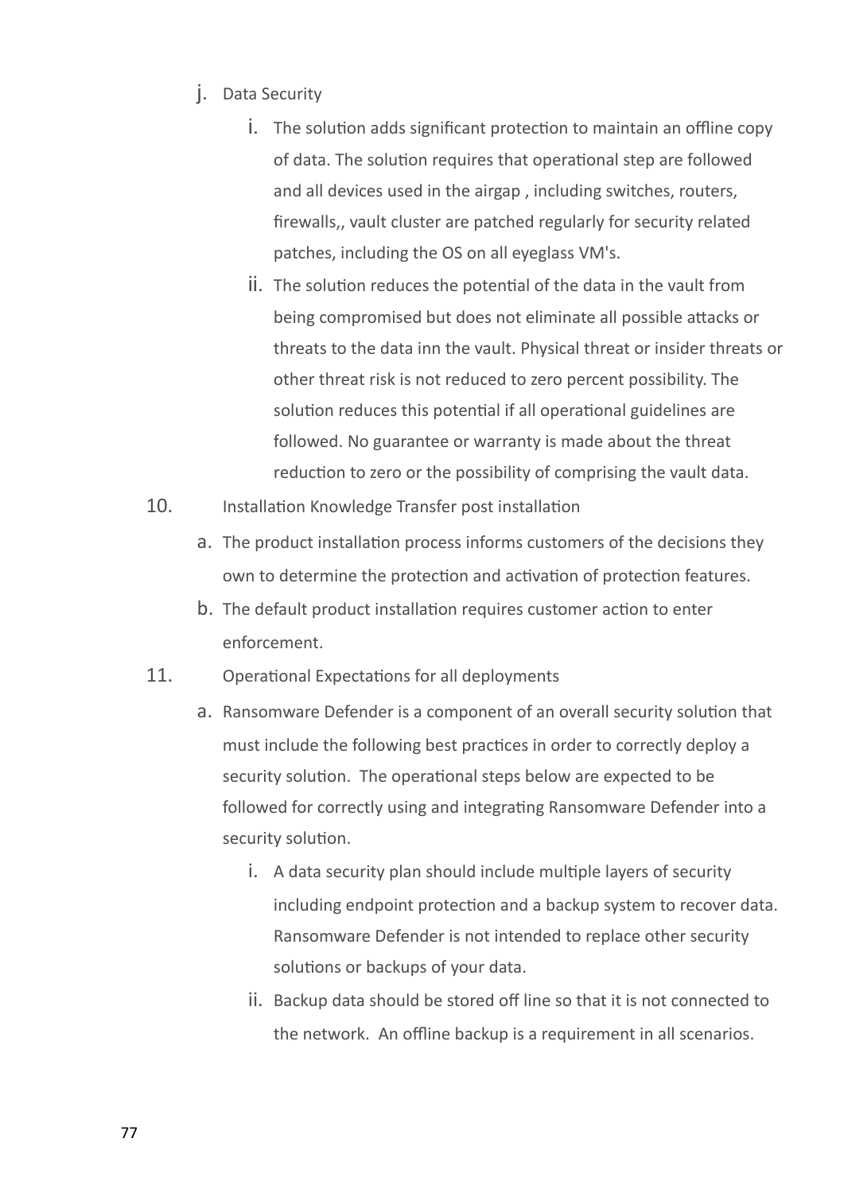- j. Data Security
	- i. The solution adds significant protection to maintain an offline copy of data. The solution requires that operational step are followed and all devices used in the airgap , including switches, routers, firewalls,, vault cluster are patched regularly for security related patches, including the OS on all eyeglass VM's.
	- ii. The solution reduces the potential of the data in the vault from being compromised but does not eliminate all possible attacks or threats to the data inn the vault. Physical threat or insider threats or other threat risk is not reduced to zero percent possibility. The solution reduces this potential if all operational guidelines are followed. No guarantee or warranty is made about the threat reduction to zero or the possibility of comprising the vault data.
- 10. Installation Knowledge Transfer post installation
	- a. The product installation process informs customers of the decisions they own to determine the protection and activation of protection features.
	- b. The default product installation requires customer action to enter enforcement.
- 11. Operational Expectations for all deployments
	- a. Ransomware Defender is a component of an overall security solution that must include the following best practices in order to correctly deploy a security solution. The operational steps below are expected to be followed for correctly using and integrating Ransomware Defender into a security solution.
		- i. A data security plan should include multiple layers of security including endpoint protection and a backup system to recover data. Ransomware Defender is not intended to replace other security solutions or backups of your data.
		- ii. Backup data should be stored off line so that it is not connected to the network. An offline backup is a requirement in all scenarios.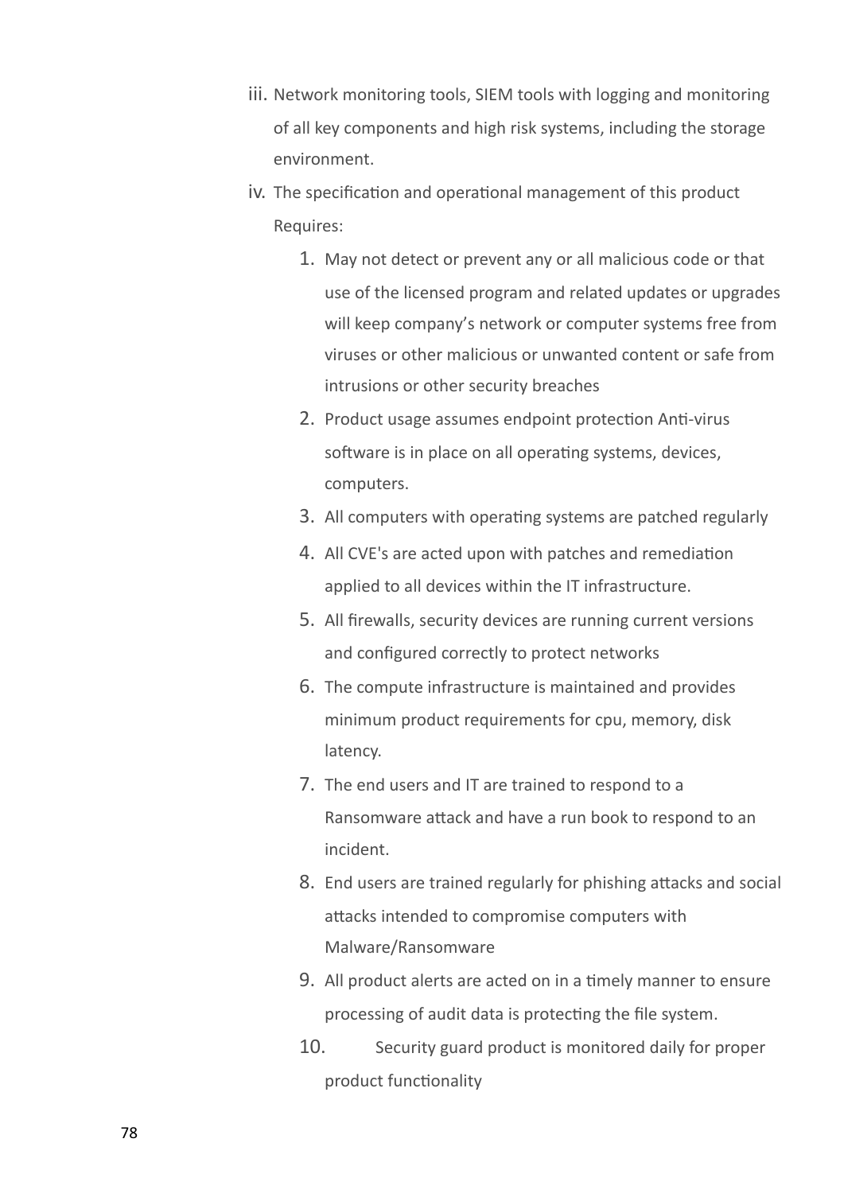- iii. Network monitoring tools, SIEM tools with logging and monitoring of all key components and high risk systems, including the storage environment.
- iv. The specification and operational management of this product Requires:
	- 1. May not detect or prevent any or all malicious code or that use of the licensed program and related updates or upgrades will keep company's network or computer systems free from viruses or other malicious or unwanted content or safe from intrusions or other security breaches
	- 2. Product usage assumes endpoint protection Anti-virus software is in place on all operating systems, devices, computers.
	- 3. All computers with operating systems are patched regularly
	- 4. All CVE's are acted upon with patches and remediation applied to all devices within the IT infrastructure.
	- 5. All firewalls, security devices are running current versions and configured correctly to protect networks
	- 6. The compute infrastructure is maintained and provides minimum product requirements for cpu, memory, disk latency.
	- 7. The end users and IT are trained to respond to a Ransomware attack and have a run book to respond to an incident.
	- 8. End users are trained regularly for phishing attacks and social attacks intended to compromise computers with Malware/Ransomware
	- 9. All product alerts are acted on in a timely manner to ensure processing of audit data is protecting the file system.
	- 10. Security guard product is monitored daily for proper product functionality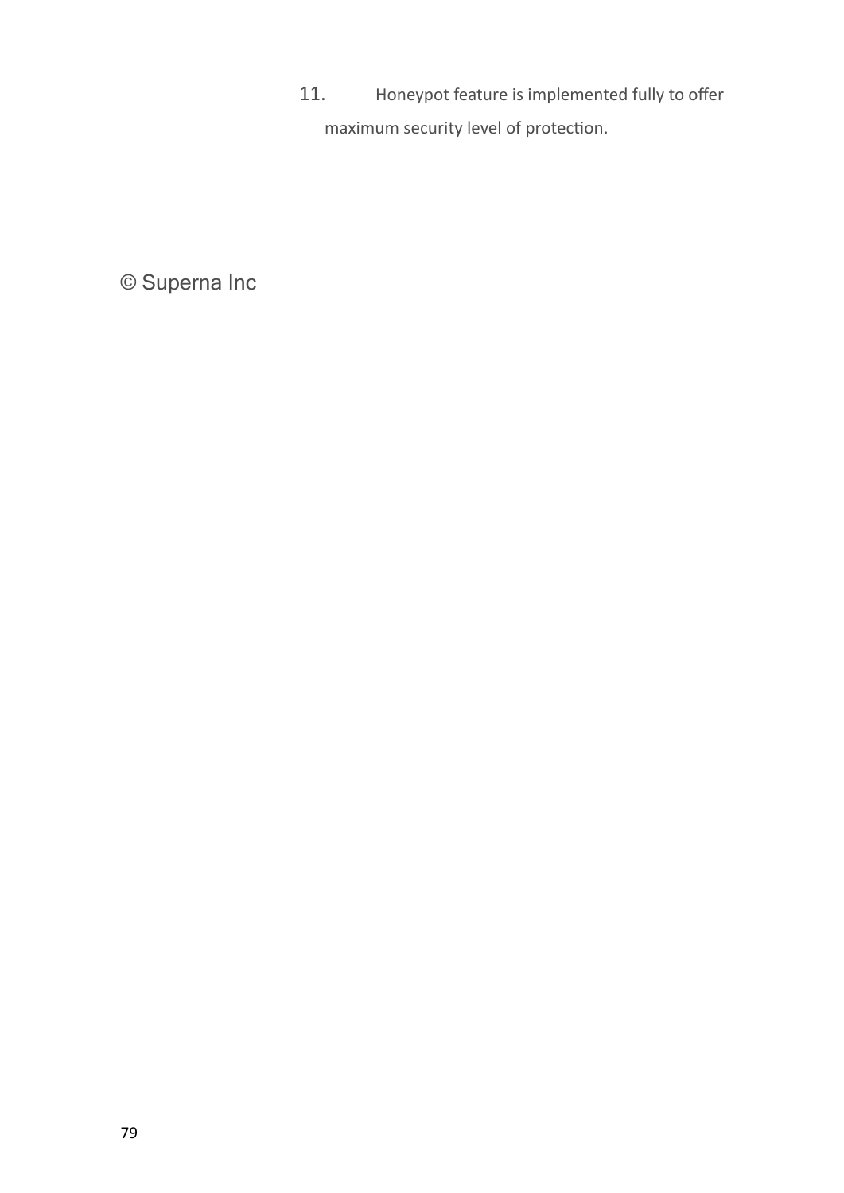11. Honeypot feature is implemented fully to offer maximum security level of protection.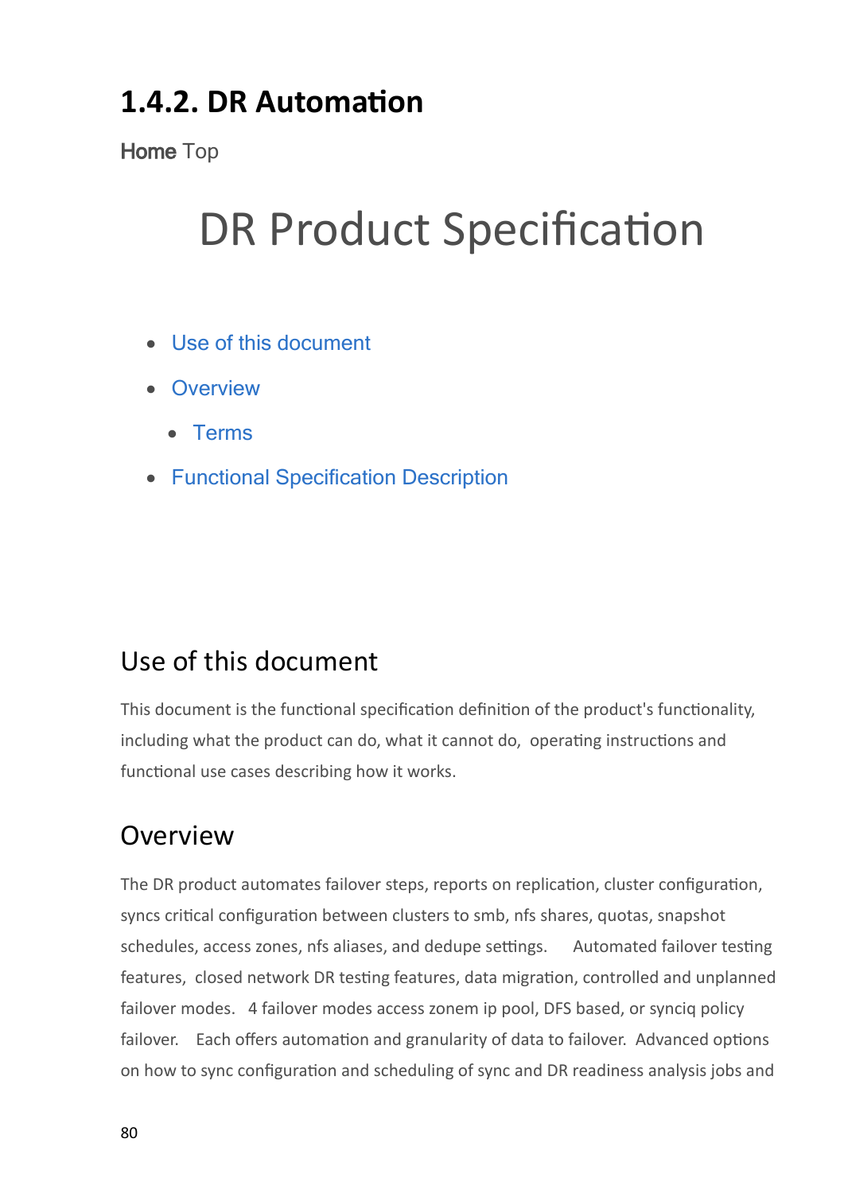## **1.4.2. DR Automation**

**Home** Top

## DR Product Specification

- · [Use](#page-79-0) [of](#page-79-0) [this](#page-79-0) [document](#page-79-0)
- · [Overview](#page-79-1)
	- · [Terms](#page-80-0)
- · [Functional](#page-80-1) [Specification](#page-80-1) [Description](#page-80-1)

## <span id="page-79-0"></span>Use of this document

This document is the functional specification definition of the product's functionality, including what the product can do, what it cannot do, operating instructions and functional use cases describing how it works.

## <span id="page-79-1"></span>Overview

The DR product automates failover steps, reports on replication, cluster configuration, syncs critical configuration between clusters to smb, nfs shares, quotas, snapshot schedules, access zones, nfs aliases, and dedupe settings. Automated failover testing features, closed network DR testing features, data migration, controlled and unplanned failover modes. 4 failover modes access zonem ip pool, DFS based, or synciq policy failover. Each offers automation and granularity of data to failover. Advanced options on how to sync configuration and scheduling of sync and DR readiness analysis jobs and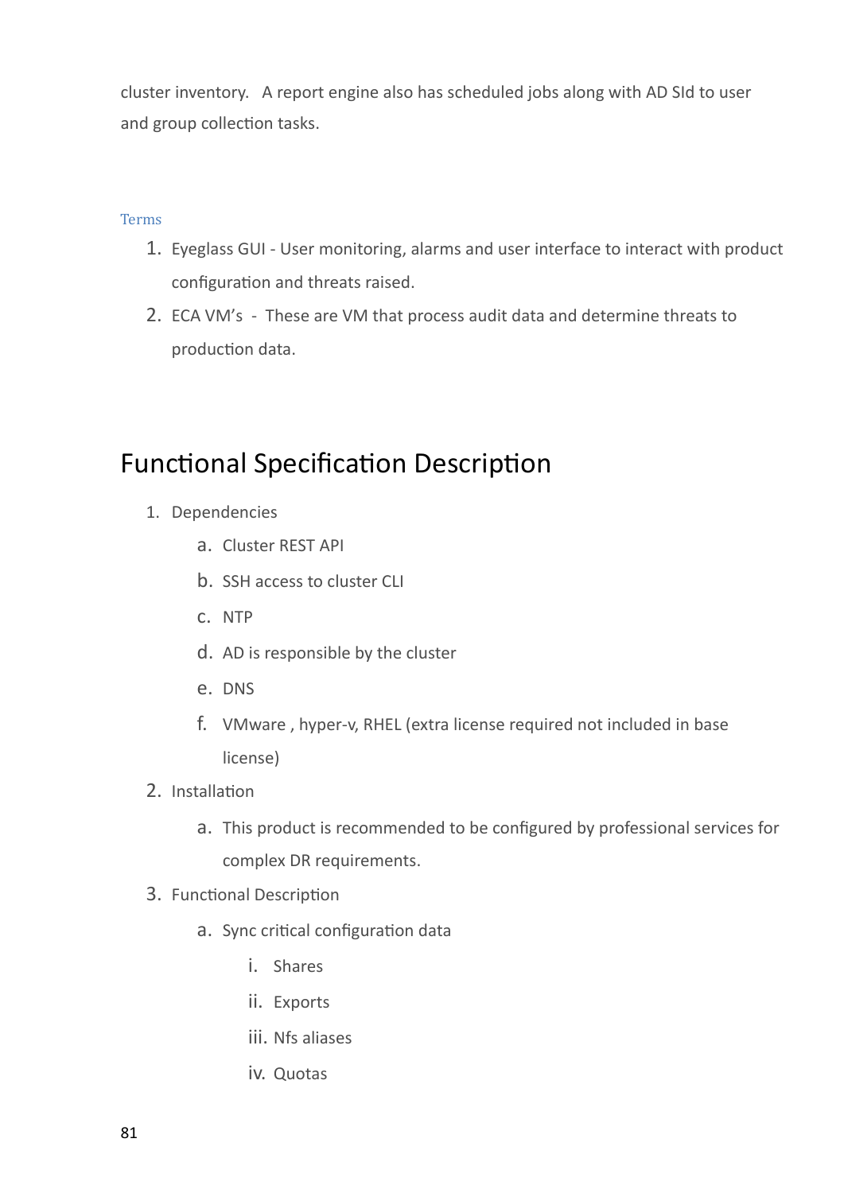cluster inventory. A report engine also has scheduled jobs along with AD SId to user and group collection tasks.

### <span id="page-80-0"></span>Terms

- 1. Eyeglass GUI User monitoring, alarms and user interface to interact with product configuration and threats raised.
- 2. ECA VM's These are VM that process audit data and determine threats to production data.

### <span id="page-80-1"></span>Functional Specification Description

- 1. Dependencies
	- a. Cluster REST API
	- b. SSH access to cluster CLI
	- c. NTP
	- d. AD is responsible by the cluster
	- e. DNS
	- f. VMware , hyper-v, RHEL (extra license required not included in base license)
- 2. Installation
	- a. This product is recommended to be configured by professional services for complex DR requirements.
- 3. Functional Description
	- a. Sync critical configuration data
		- i. Shares
		- ii. Exports
		- iii. Nfs aliases
		- iv. Quotas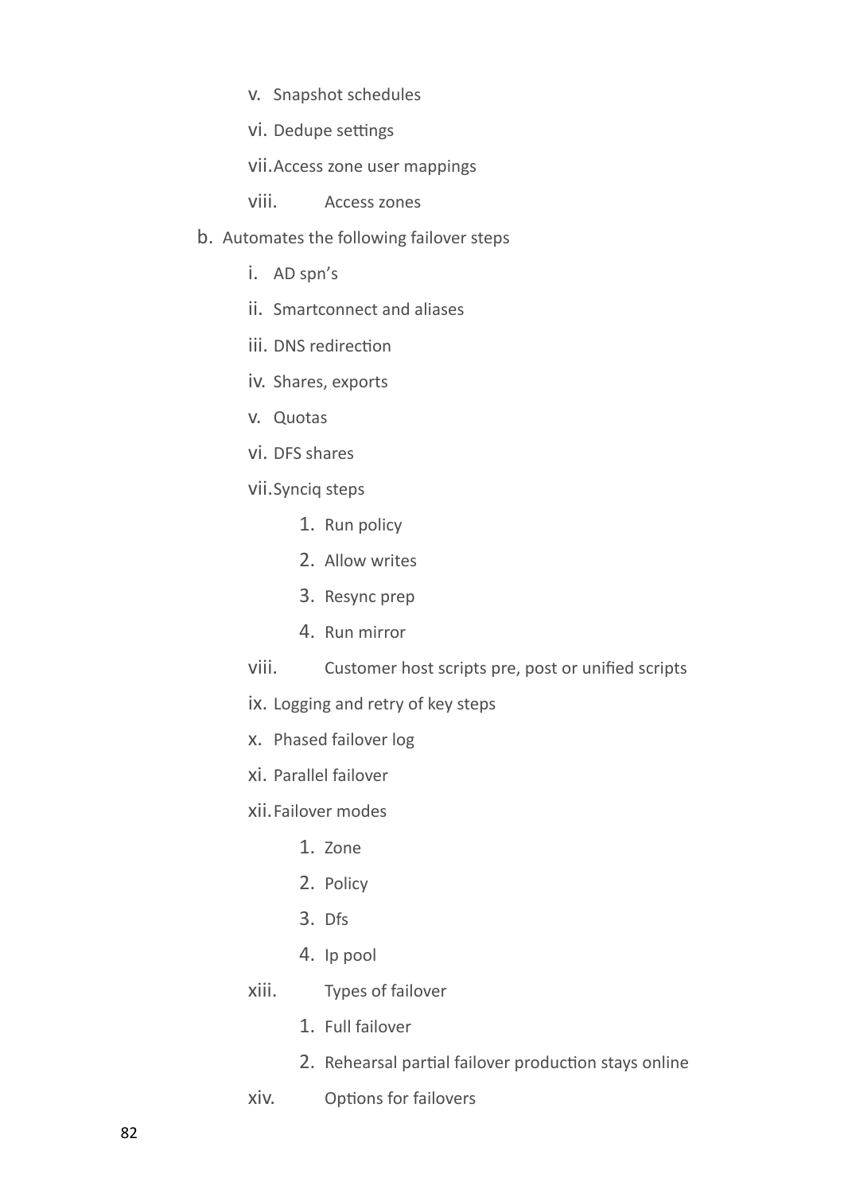v. Snapshot schedules

vi. Dedupe settings

vii.Access zone user mappings

viii. Access zones

- b. Automates the following failover steps
	- i. AD spn's
	- ii. Smartconnect and aliases
	- iii. DNS redirection
	- iv. Shares, exports
	- v. Quotas
	- vi. DFS shares
	- vii.Synciq steps
		- 1. Run policy
		- 2. Allow writes
		- 3. Resync prep
		- 4. Run mirror
	- viii. Customer host scripts pre, post or unified scripts
	- ix. Logging and retry of key steps
	- x. Phased failover log
	- xi. Parallel failover
	- xii.Failover modes
		- 1. Zone
		- 2. Policy
		- 3. Dfs
		- 4. Ip pool
	- xiii. Types of failover
		- 1. Full failover
		- 2. Rehearsal partial failover production stays online
	- xiv. Options for failovers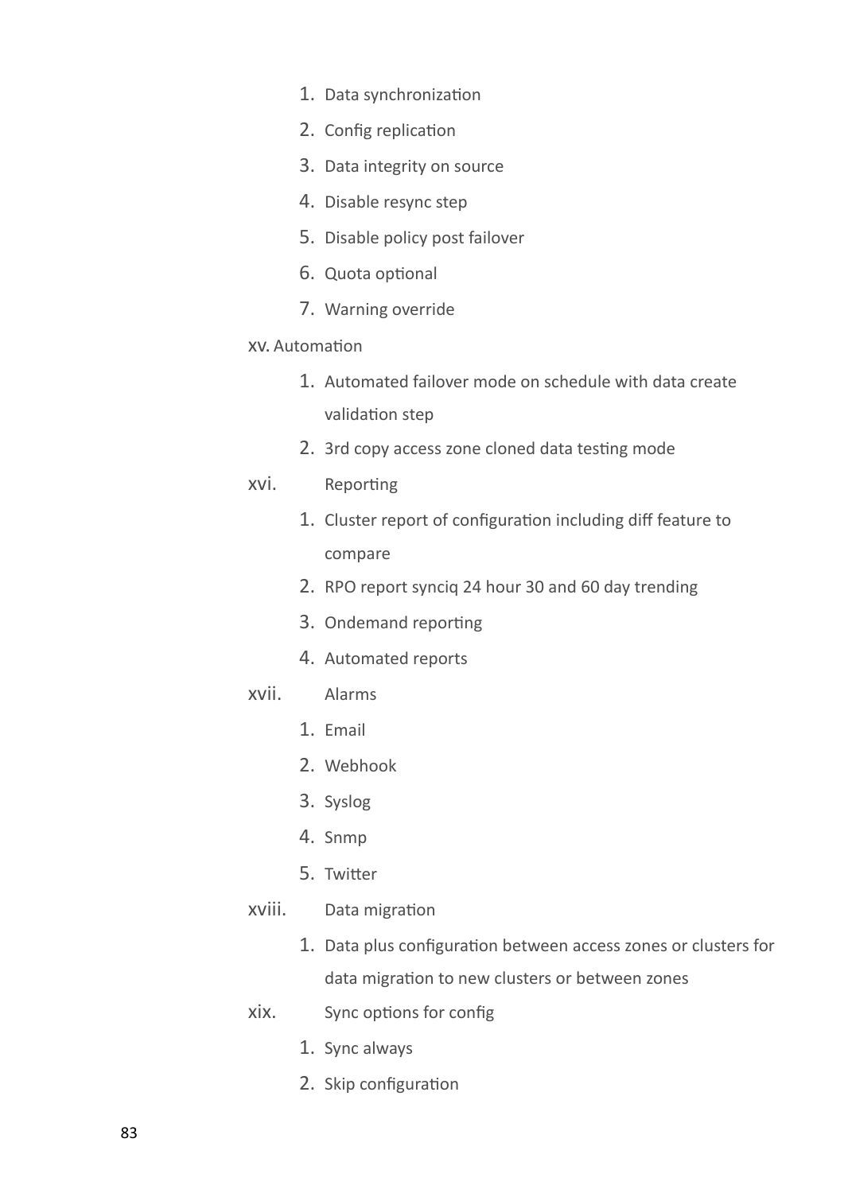- 1. Data synchronization
- 2. Config replication
- 3. Data integrity on source
- 4. Disable resync step
- 5. Disable policy post failover
- 6. Quota optional
- 7. Warning override

#### xv. Automation

- 1. Automated failover mode on schedule with data create validation step
- 2. 3rd copy access zone cloned data testing mode
- xvi. Reporting
	- 1. Cluster report of configuration including diff feature to compare
	- 2. RPO report synciq 24 hour 30 and 60 day trending
	- 3. Ondemand reporting
	- 4. Automated reports
- xvii. Alarms
	- 1. Email
	- 2. Webhook
	- 3. Syslog
	- 4. Snmp
	- 5. Twitter
- xviii. Data migration
	- 1. Data plus configuration between access zones or clusters for data migration to new clusters or between zones
- xix. Sync options for config
	- 1. Sync always
	- 2. Skip configuration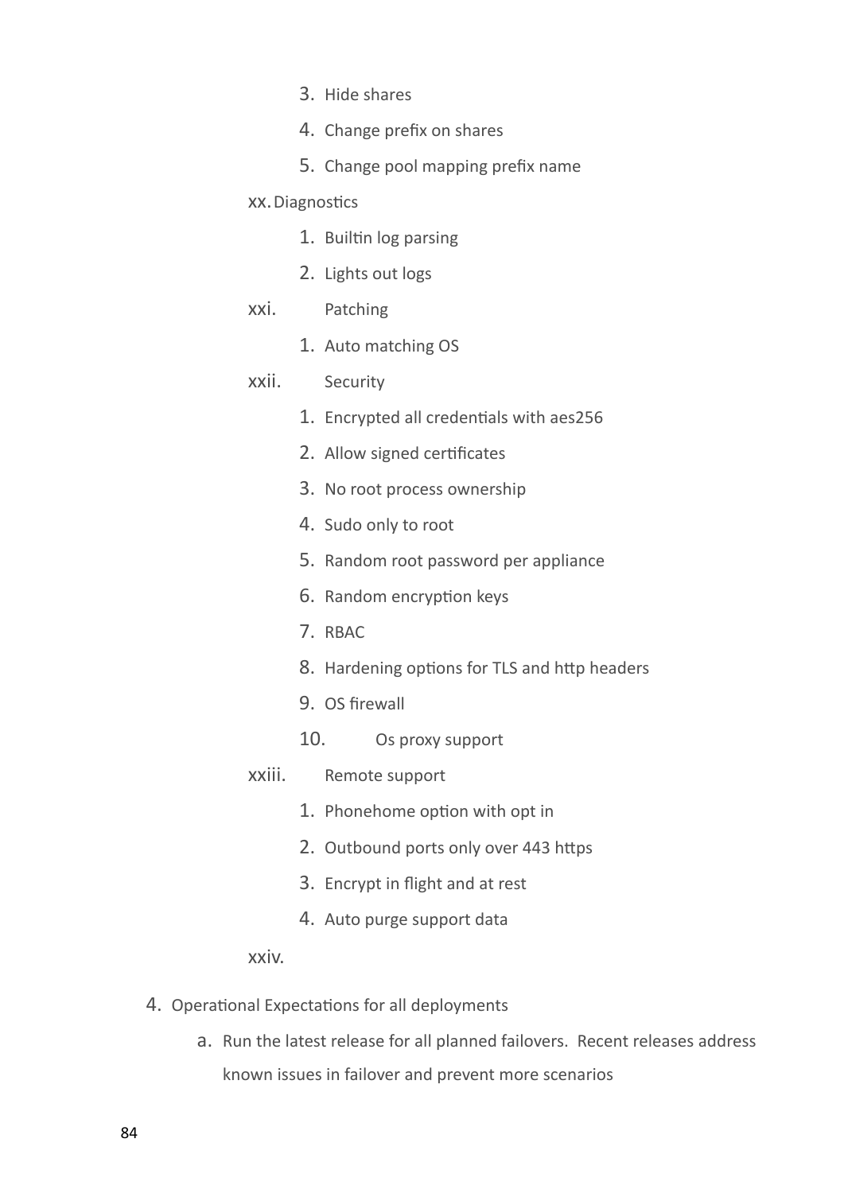- 3. Hide shares
- 4. Change prefix on shares
- 5. Change pool mapping prefix name

### xx.Diagnostics

- 1. Builtin log parsing
- 2. Lights out logs

### xxi. Patching

1. Auto matching OS

### xxii. Security

- 1. Encrypted all credentials with aes256
- 2. Allow signed certificates
- 3. No root process ownership
- 4. Sudo only to root
- 5. Random root password per appliance
- 6. Random encryption keys
- 7. RBAC
- 8. Hardening options for TLS and http headers
- 9. OS firewall
- 10. Os proxy support

### xxiii. Remote support

- 1. Phonehome option with opt in
- 2. Outbound ports only over 443 https
- 3. Encrypt in flight and at rest
- 4. Auto purge support data

### xxiv.

- 4. Operational Expectations for all deployments
	- a. Run the latest release for all planned failovers. Recent releases address known issues in failover and prevent more scenarios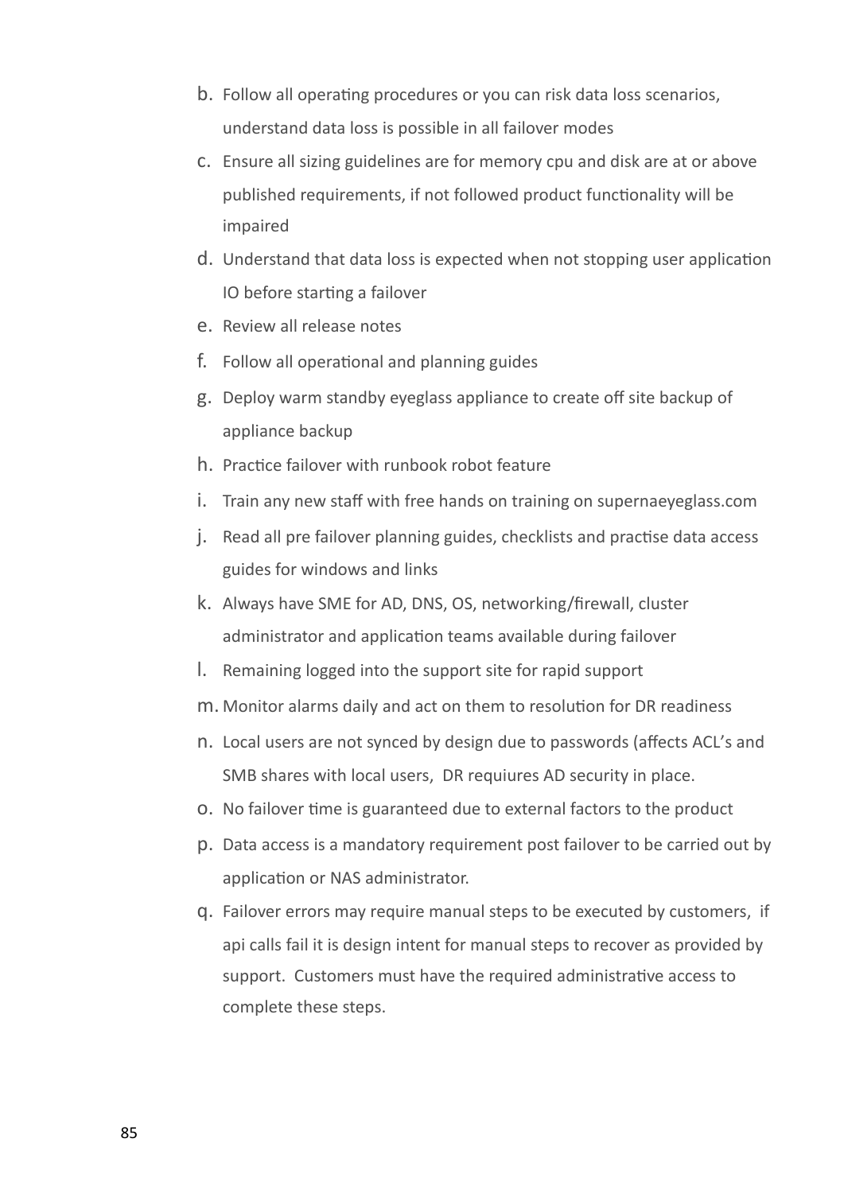- b. Follow all operating procedures or you can risk data loss scenarios, understand data loss is possible in all failover modes
- c. Ensure all sizing guidelines are for memory cpu and disk are at or above published requirements, if not followed product functionality will be impaired
- d. Understand that data loss is expected when not stopping user application IO before starting a failover
- e. Review all release notes
- f. Follow all operational and planning guides
- g. Deploy warm standby eyeglass appliance to create off site backup of appliance backup
- h. Practice failover with runbook robot feature
- i. Train any new staff with free hands on training on supernaeyeglass.com
- j. Read all pre failover planning guides, checklists and practise data access guides for windows and links
- k. Always have SME for AD, DNS, OS, networking/firewall, cluster administrator and application teams available during failover
- l. Remaining logged into the support site for rapid support
- m. Monitor alarms daily and act on them to resolution for DR readiness
- n. Local users are not synced by design due to passwords (affects ACL's and SMB shares with local users, DR requiures AD security in place.
- o. No failover time is guaranteed due to external factors to the product
- p. Data access is a mandatory requirement post failover to be carried out by application or NAS administrator.
- q. Failover errors may require manual steps to be executed by customers, if api calls fail it is design intent for manual steps to recover as provided by support. Customers must have the required administrative access to complete these steps.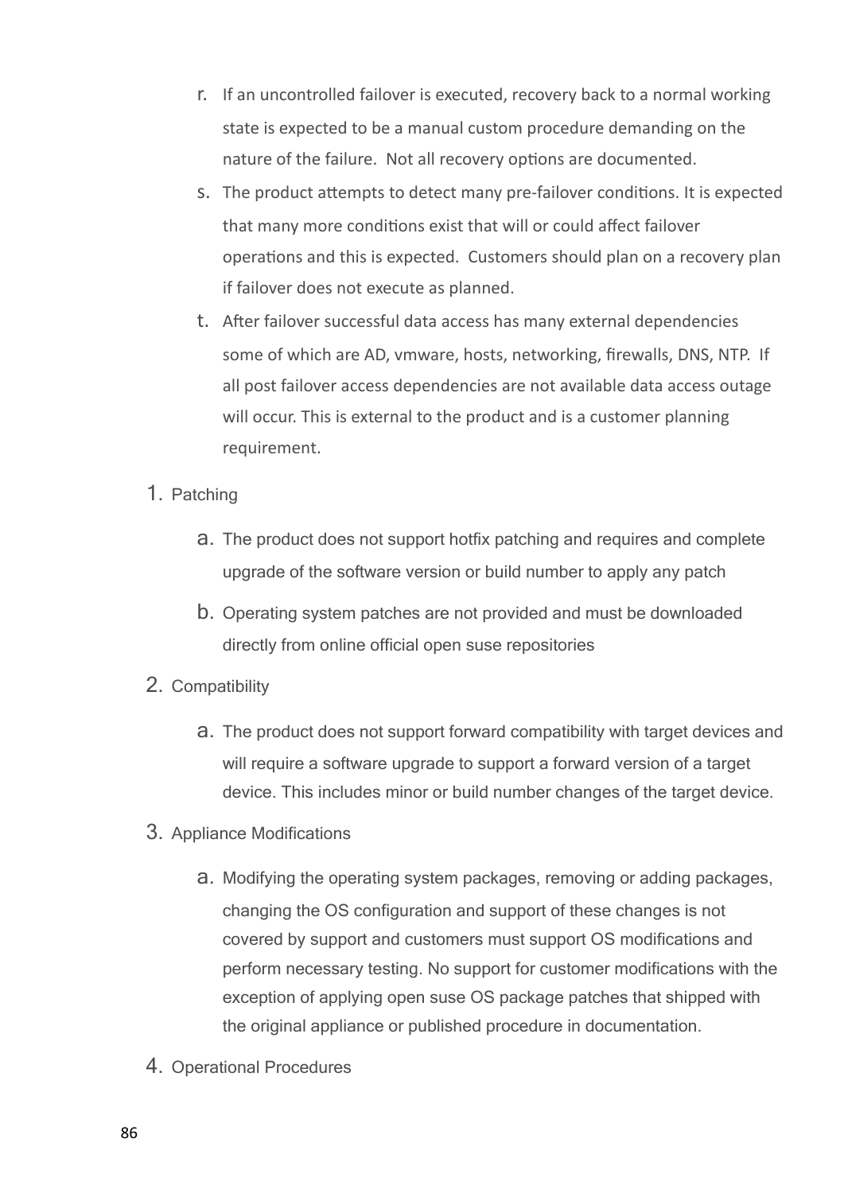- r. If an uncontrolled failover is executed, recovery back to a normal working state is expected to be a manual custom procedure demanding on the nature of the failure. Not all recovery options are documented.
- s. The product attempts to detect many pre-failover conditions. It is expected that many more conditions exist that will or could affect failover operations and this is expected. Customers should plan on a recovery plan if failover does not execute as planned.
- t. After failover successful data access has many external dependencies some of which are AD, vmware, hosts, networking, firewalls, DNS, NTP. If all post failover access dependencies are not available data access outage will occur. This is external to the product and is a customer planning requirement.
- 1. Patching
	- a. The product does not support hotfix patching and requires and complete upgrade of the software version or build number to apply any patch
	- b. Operating system patches are not provided and must be downloaded directly from online official open suse repositories
- 2. Compatibility
	- a. The product does not support forward compatibility with target devices and will require a software upgrade to support a forward version of a target device. This includes minor or build number changes of the target device.
- 3. Appliance Modifications
	- a. Modifying the operating system packages, removing or adding packages, changing the OS configuration and support of these changes is not covered by support and customers must support OS modifications and perform necessary testing. No support for customer modifications with the exception of applying open suse OS package patches that shipped with the original appliance or published procedure in documentation.
- 4. Operational Procedures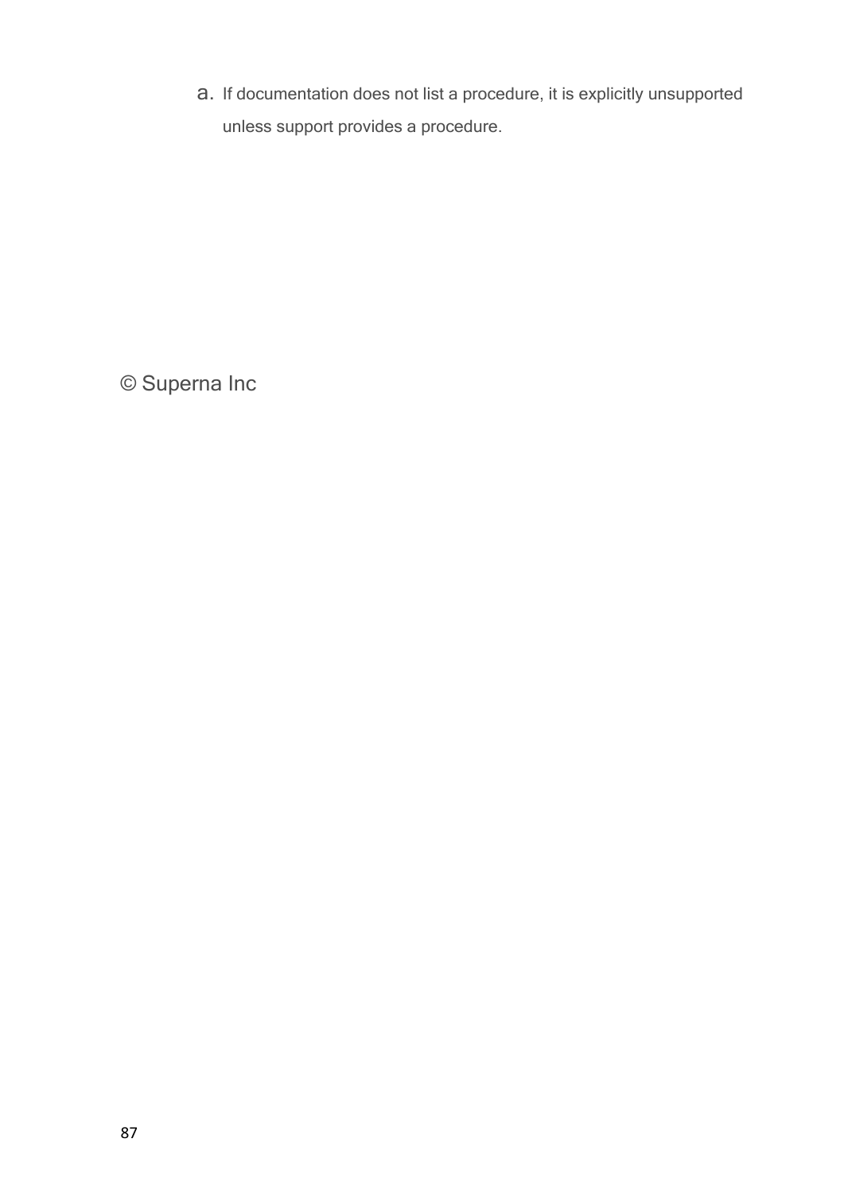a. If documentation does not list a procedure, it is explicitly unsupported unless support provides a procedure.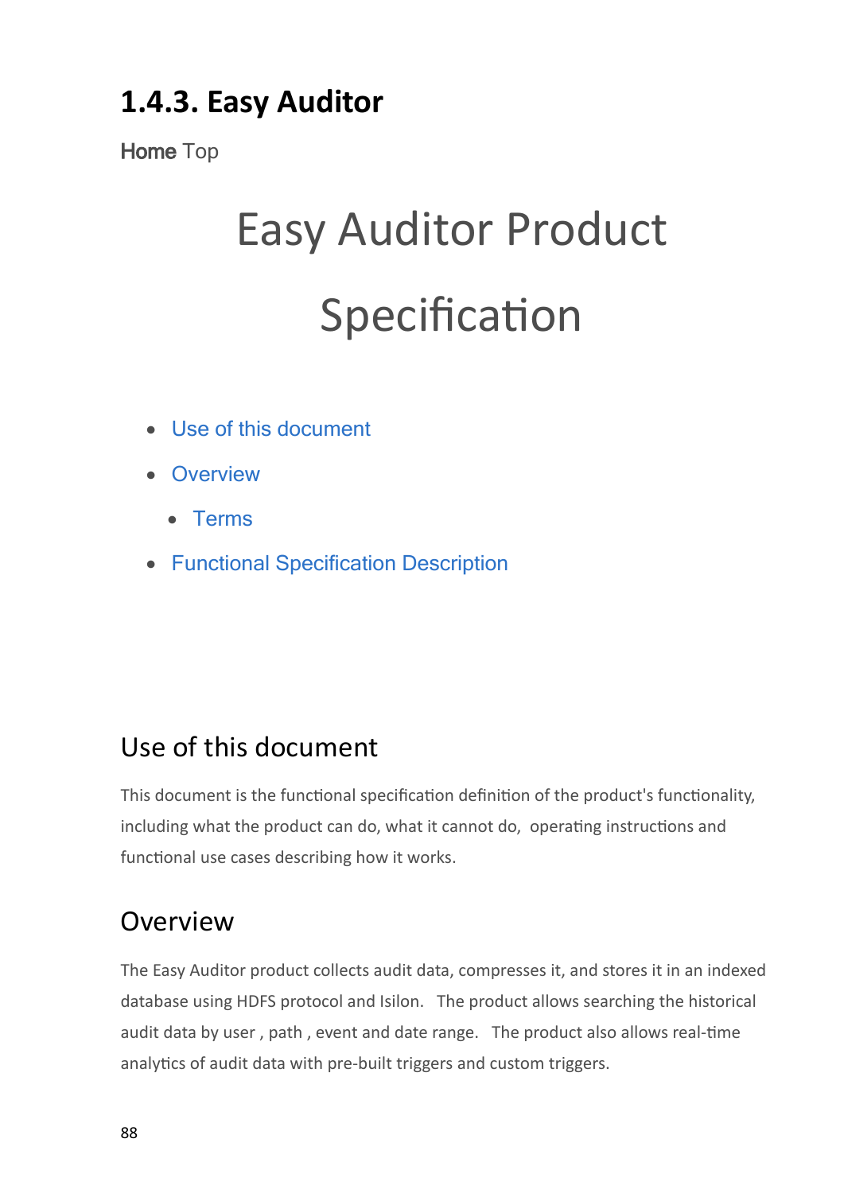## **1.4.3. Easy Auditor**

**Home** Top

## Easy Auditor Product Specification

- · [Use](#page-87-0) [of](#page-87-0) [this](#page-87-0) [document](#page-87-0)
- · [Overview](#page-87-1)
	- · [Terms](#page-88-0)
- · [Functional](#page-88-1) [Specification](#page-88-1) [Description](#page-88-1)

## <span id="page-87-0"></span>Use of this document

This document is the functional specification definition of the product's functionality, including what the product can do, what it cannot do, operating instructions and functional use cases describing how it works.

### <span id="page-87-1"></span>Overview

The Easy Auditor product collects audit data, compresses it, and stores it in an indexed database using HDFS protocol and Isilon. The product allows searching the historical audit data by user , path , event and date range. The product also allows real-time analytics of audit data with pre-built triggers and custom triggers.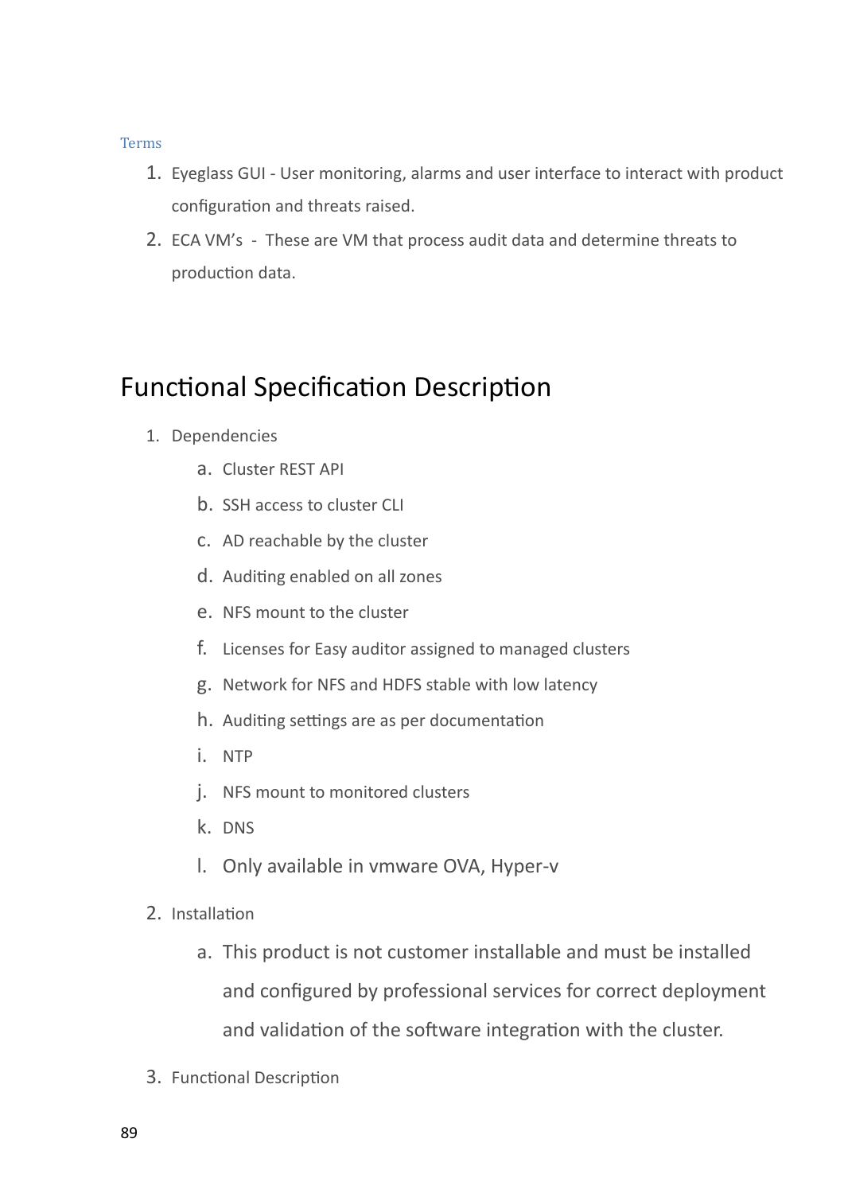### <span id="page-88-0"></span>Terms

- 1. Eyeglass GUI User monitoring, alarms and user interface to interact with product configuration and threats raised.
- 2. ECA VM's These are VM that process audit data and determine threats to production data.

### <span id="page-88-1"></span>Functional Specification Description

- 1. Dependencies
	- a. Cluster REST API
	- b. SSH access to cluster CLI
	- c. AD reachable by the cluster
	- d. Auditing enabled on all zones
	- e. NFS mount to the cluster
	- f. Licenses for Easy auditor assigned to managed clusters
	- g. Network for NFS and HDFS stable with low latency
	- h. Auditing settings are as per documentation
	- i. NTP
	- j. NFS mount to monitored clusters
	- k. DNS
	- l. Only available in vmware OVA, Hyper-v
- 2. Installation
	- a. This product is not customer installable and must be installed and configured by professional services for correct deployment and validation of the software integration with the cluster.
- 3. Functional Description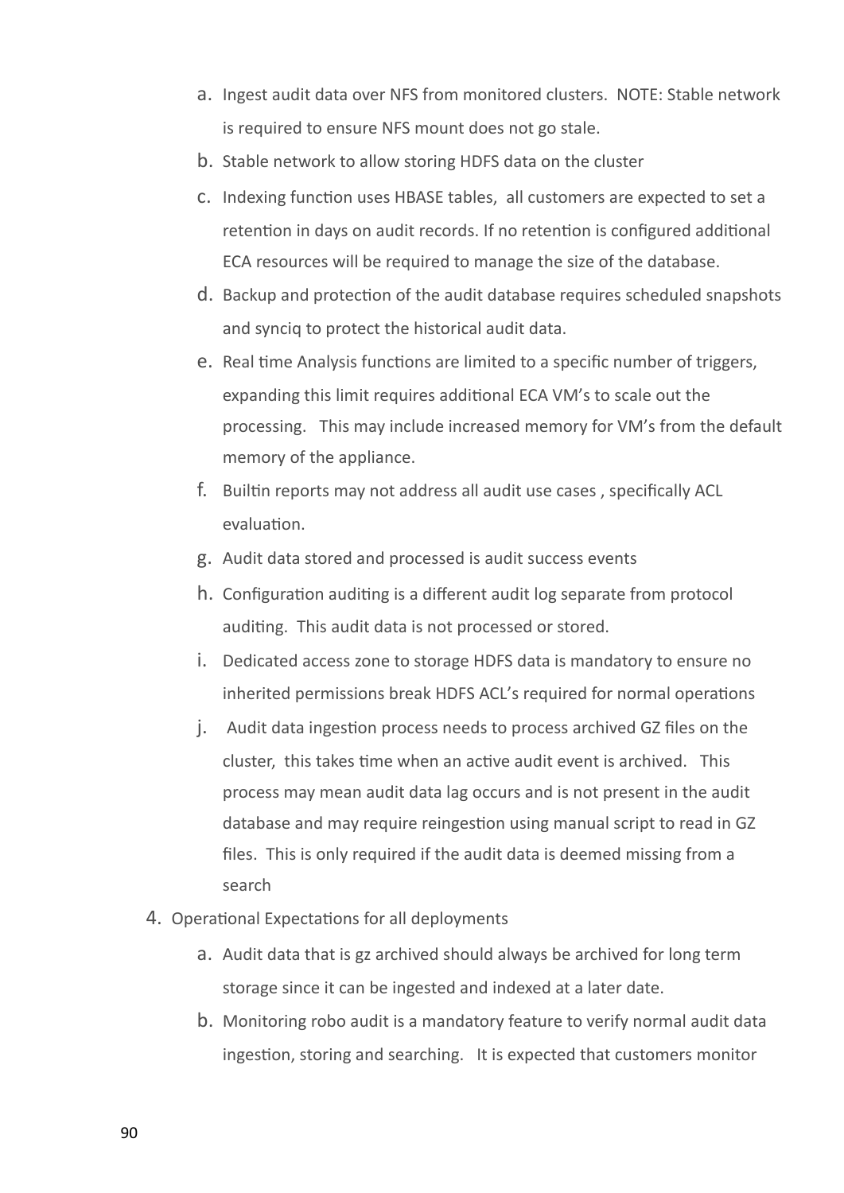- a. Ingest audit data over NFS from monitored clusters. NOTE: Stable network is required to ensure NFS mount does not go stale.
- b. Stable network to allow storing HDFS data on the cluster
- c. Indexing function uses HBASE tables, all customers are expected to set a retention in days on audit records. If no retention is configured additional ECA resources will be required to manage the size of the database.
- d. Backup and protection of the audit database requires scheduled snapshots and synciq to protect the historical audit data.
- e. Real time Analysis functions are limited to a specific number of triggers, expanding this limit requires additional ECA VM's to scale out the processing. This may include increased memory for VM's from the default memory of the appliance.
- f. Builtin reports may not address all audit use cases , specifically ACL evaluation.
- g. Audit data stored and processed is audit success events
- h. Configuration auditing is a different audit log separate from protocol auditing. This audit data is not processed or stored.
- i. Dedicated access zone to storage HDFS data is mandatory to ensure no inherited permissions break HDFS ACL's required for normal operations
- j. Audit data ingestion process needs to process archived GZ files on the cluster, this takes time when an active audit event is archived. This process may mean audit data lag occurs and is not present in the audit database and may require reingestion using manual script to read in GZ files. This is only required if the audit data is deemed missing from a search
- 4. Operational Expectations for all deployments
	- a. Audit data that is gz archived should always be archived for long term storage since it can be ingested and indexed at a later date.
	- b. Monitoring robo audit is a mandatory feature to verify normal audit data ingestion, storing and searching. It is expected that customers monitor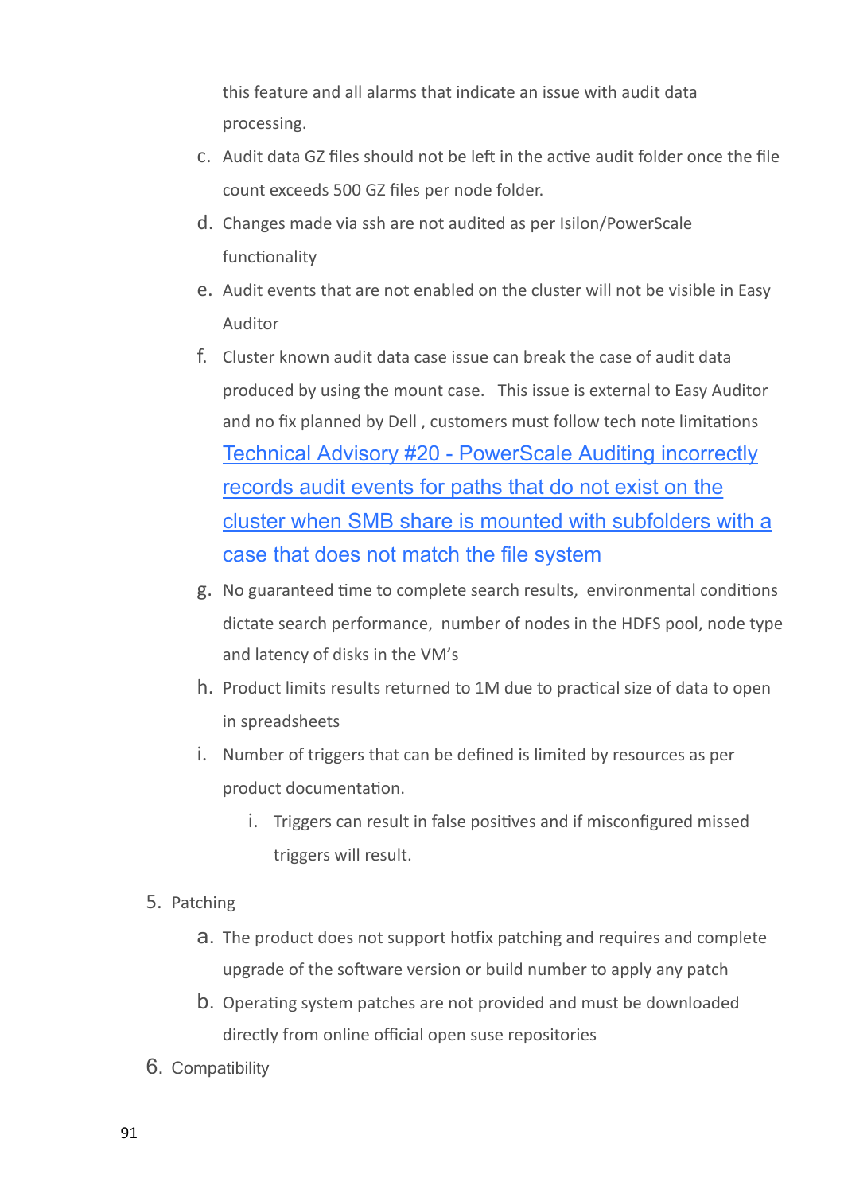this feature and all alarms that indicate an issue with audit data processing.

- c. Audit data GZ files should not be left in the active audit folder once the file count exceeds 500 GZ files per node folder.
- d. Changes made via ssh are not audited as per Isilon/PowerScale functionality
- e. Audit events that are not enabled on the cluster will not be visible in Easy Auditor
- f. Cluster known audit data case issue can break the case of audit data produced by using the mount case. This issue is external to Easy Auditor and no fix planned by Dell , customers must follow tech note limitations [Technical](https://manuals.supernaeyeglass.com/project-technical-advisories-all-products/HTML/technical-advisories.html#h2_931774756) [Advisory](https://manuals.supernaeyeglass.com/project-technical-advisories-all-products/HTML/technical-advisories.html#h2_931774756) [#20](https://manuals.supernaeyeglass.com/project-technical-advisories-all-products/HTML/technical-advisories.html#h2_931774756) [-](https://manuals.supernaeyeglass.com/project-technical-advisories-all-products/HTML/technical-advisories.html#h2_931774756) [PowerScale](https://manuals.supernaeyeglass.com/project-technical-advisories-all-products/HTML/technical-advisories.html#h2_931774756) [Auditing](https://manuals.supernaeyeglass.com/project-technical-advisories-all-products/HTML/technical-advisories.html#h2_931774756) [incorrectly](https://manuals.supernaeyeglass.com/project-technical-advisories-all-products/HTML/technical-advisories.html#h2_931774756) [records](https://manuals.supernaeyeglass.com/project-technical-advisories-all-products/HTML/technical-advisories.html#h2_931774756) [audit](https://manuals.supernaeyeglass.com/project-technical-advisories-all-products/HTML/technical-advisories.html#h2_931774756) [events](https://manuals.supernaeyeglass.com/project-technical-advisories-all-products/HTML/technical-advisories.html#h2_931774756) [for](https://manuals.supernaeyeglass.com/project-technical-advisories-all-products/HTML/technical-advisories.html#h2_931774756) [paths](https://manuals.supernaeyeglass.com/project-technical-advisories-all-products/HTML/technical-advisories.html#h2_931774756) [that](https://manuals.supernaeyeglass.com/project-technical-advisories-all-products/HTML/technical-advisories.html#h2_931774756) [do](https://manuals.supernaeyeglass.com/project-technical-advisories-all-products/HTML/technical-advisories.html#h2_931774756) [not](https://manuals.supernaeyeglass.com/project-technical-advisories-all-products/HTML/technical-advisories.html#h2_931774756) [exist](https://manuals.supernaeyeglass.com/project-technical-advisories-all-products/HTML/technical-advisories.html#h2_931774756) [on](https://manuals.supernaeyeglass.com/project-technical-advisories-all-products/HTML/technical-advisories.html#h2_931774756) [the](https://manuals.supernaeyeglass.com/project-technical-advisories-all-products/HTML/technical-advisories.html#h2_931774756) [cluster](https://manuals.supernaeyeglass.com/project-technical-advisories-all-products/HTML/technical-advisories.html#h2_931774756) [when](https://manuals.supernaeyeglass.com/project-technical-advisories-all-products/HTML/technical-advisories.html#h2_931774756) [SMB](https://manuals.supernaeyeglass.com/project-technical-advisories-all-products/HTML/technical-advisories.html#h2_931774756) [share](https://manuals.supernaeyeglass.com/project-technical-advisories-all-products/HTML/technical-advisories.html#h2_931774756) [is](https://manuals.supernaeyeglass.com/project-technical-advisories-all-products/HTML/technical-advisories.html#h2_931774756) [mounted](https://manuals.supernaeyeglass.com/project-technical-advisories-all-products/HTML/technical-advisories.html#h2_931774756) [with](https://manuals.supernaeyeglass.com/project-technical-advisories-all-products/HTML/technical-advisories.html#h2_931774756) [subfolders](https://manuals.supernaeyeglass.com/project-technical-advisories-all-products/HTML/technical-advisories.html#h2_931774756) [with](https://manuals.supernaeyeglass.com/project-technical-advisories-all-products/HTML/technical-advisories.html#h2_931774756) [a](https://manuals.supernaeyeglass.com/project-technical-advisories-all-products/HTML/technical-advisories.html#h2_931774756) [case](https://manuals.supernaeyeglass.com/project-technical-advisories-all-products/HTML/technical-advisories.html#h2_931774756) [that](https://manuals.supernaeyeglass.com/project-technical-advisories-all-products/HTML/technical-advisories.html#h2_931774756) [does](https://manuals.supernaeyeglass.com/project-technical-advisories-all-products/HTML/technical-advisories.html#h2_931774756) [not](https://manuals.supernaeyeglass.com/project-technical-advisories-all-products/HTML/technical-advisories.html#h2_931774756) [match](https://manuals.supernaeyeglass.com/project-technical-advisories-all-products/HTML/technical-advisories.html#h2_931774756) [the](https://manuals.supernaeyeglass.com/project-technical-advisories-all-products/HTML/technical-advisories.html#h2_931774756) [file](https://manuals.supernaeyeglass.com/project-technical-advisories-all-products/HTML/technical-advisories.html#h2_931774756) [system](https://manuals.supernaeyeglass.com/project-technical-advisories-all-products/HTML/technical-advisories.html#h2_931774756)
- g. No guaranteed time to complete search results, environmental conditions dictate search performance, number of nodes in the HDFS pool, node type and latency of disks in the VM's
- h. Product limits results returned to 1M due to practical size of data to open in spreadsheets
- i. Number of triggers that can be defined is limited by resources as per product documentation.
	- i. Triggers can result in false positives and if misconfigured missed triggers will result.
- 5. Patching
	- a. The product does not support hotfix patching and requires and complete upgrade of the software version or build number to apply any patch
	- b. Operating system patches are not provided and must be downloaded directly from online official open suse repositories
- 6. Compatibility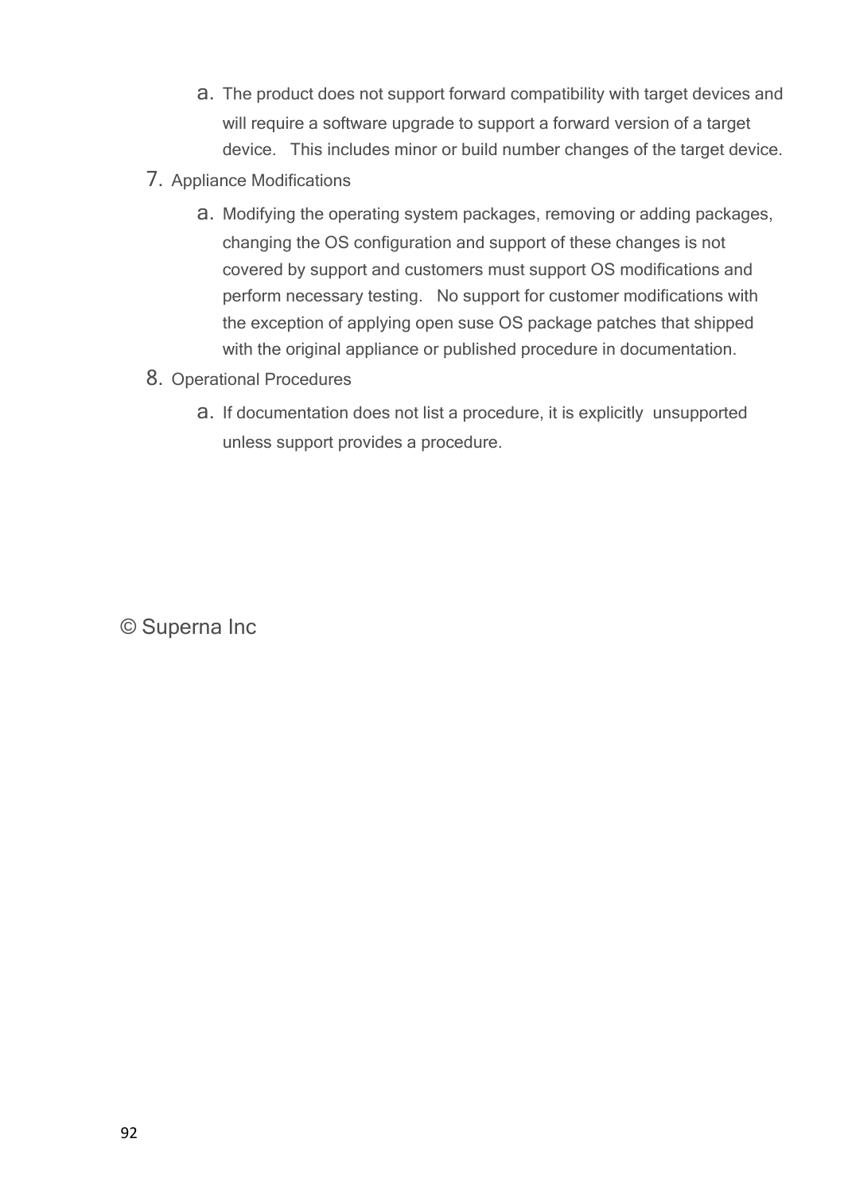- a. The product does not support forward compatibility with target devices and will require a software upgrade to support a forward version of a target device. This includes minor or build number changes of the target device.
- 7. Appliance Modifications
	- a. Modifying the operating system packages, removing or adding packages, changing the OS configuration and support of these changes is not covered by support and customers must support OS modifications and perform necessary testing. No support for customer modifications with the exception of applying open suse OS package patches that shipped with the original appliance or published procedure in documentation.
- 8. Operational Procedures
	- a. If documentation does not list a procedure, it is explicitly unsupported unless support provides a procedure.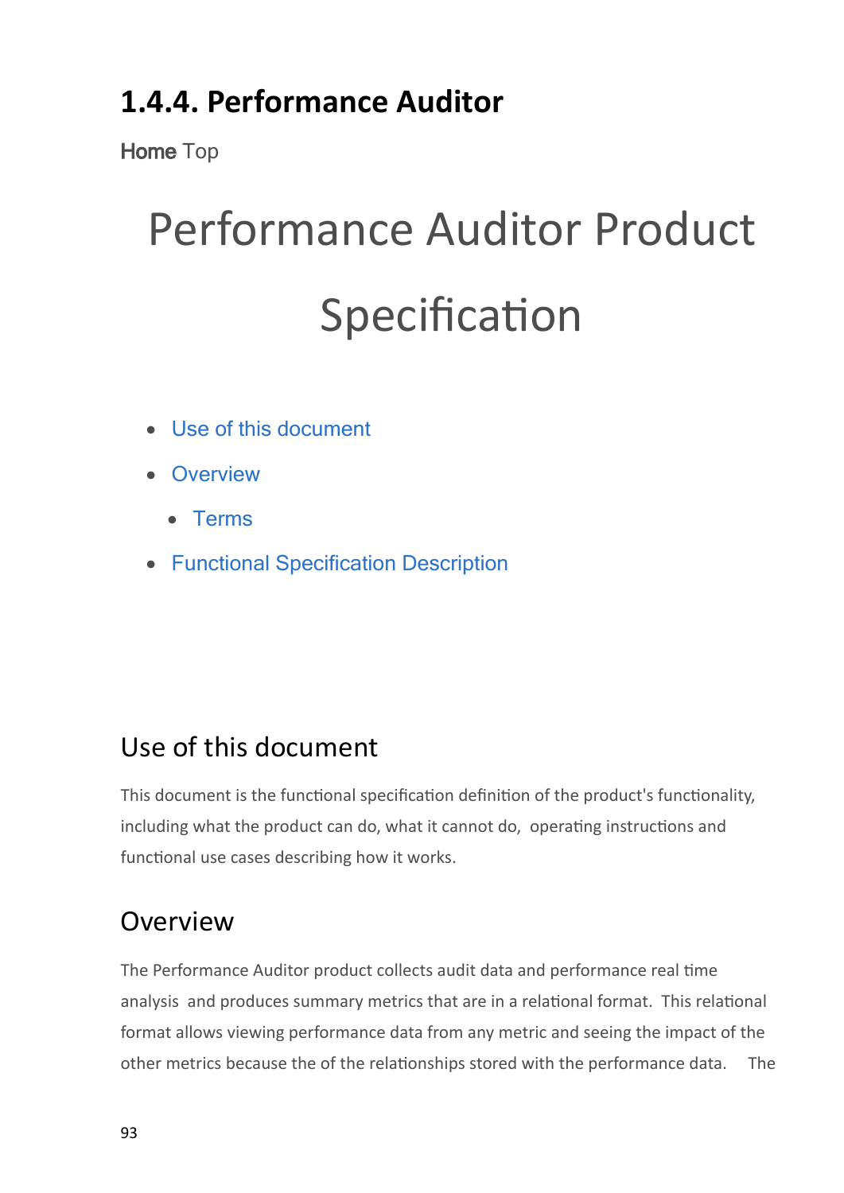## **1.4.4. Performance Auditor**

**Home** Top

# Performance Auditor Product Specification

- · [Use](#page-92-0) [of](#page-92-0) [this](#page-92-0) [document](#page-92-0)
- · [Overview](#page-92-1)
	- · [Terms](#page-93-0)
- · [Functional](#page-93-1) [Specification](#page-93-1) [Description](#page-93-1)

## <span id="page-92-0"></span>Use of this document

This document is the functional specification definition of the product's functionality, including what the product can do, what it cannot do, operating instructions and functional use cases describing how it works.

## <span id="page-92-1"></span>Overview

The Performance Auditor product collects audit data and performance real time analysis and produces summary metrics that are in a relational format. This relational format allows viewing performance data from any metric and seeing the impact of the other metrics because the of the relationships stored with the performance data. The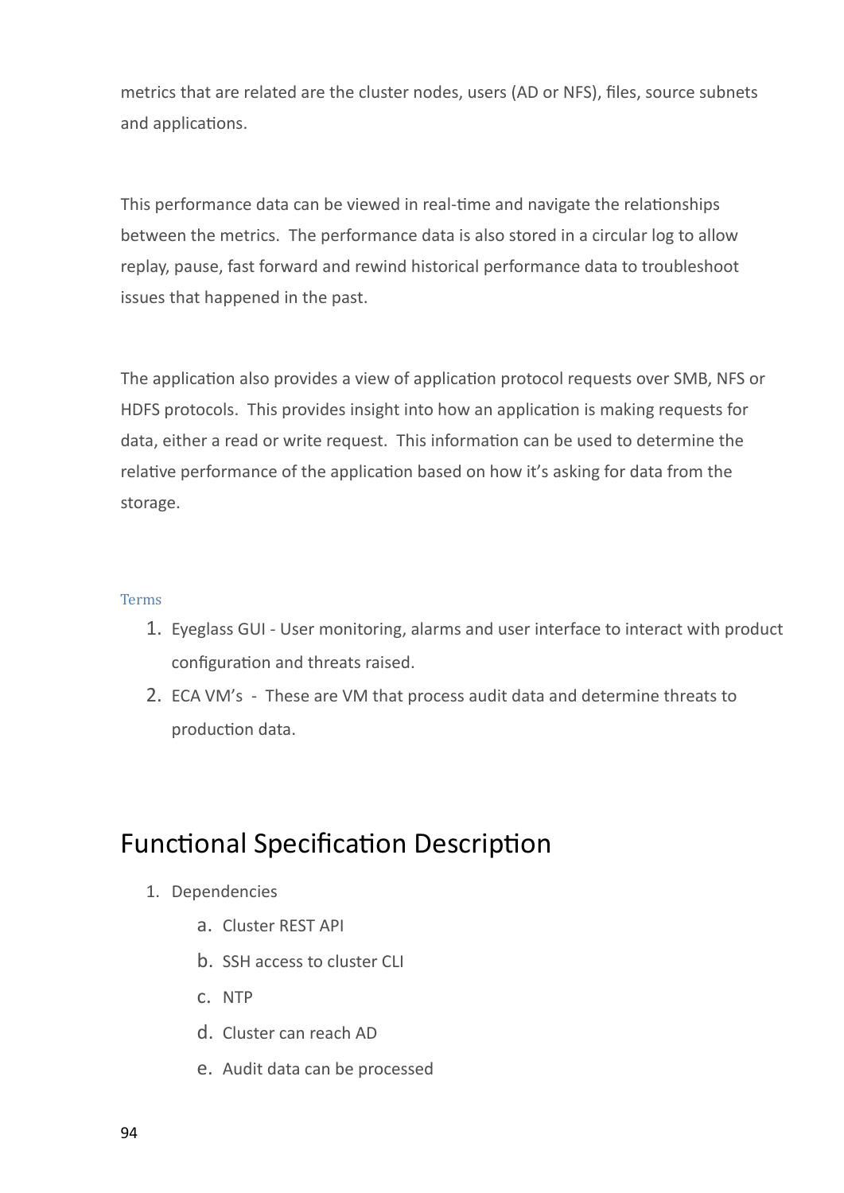metrics that are related are the cluster nodes, users (AD or NFS), files, source subnets and applications.

This performance data can be viewed in real-time and navigate the relationships between the metrics. The performance data is also stored in a circular log to allow replay, pause, fast forward and rewind historical performance data to troubleshoot issues that happened in the past.

The application also provides a view of application protocol requests over SMB, NFS or HDFS protocols. This provides insight into how an application is making requests for data, either a read or write request. This information can be used to determine the relative performance of the application based on how it's asking for data from the storage.

#### <span id="page-93-0"></span>Terms

- 1. Eyeglass GUI User monitoring, alarms and user interface to interact with product configuration and threats raised.
- 2. ECA VM's These are VM that process audit data and determine threats to production data.

### <span id="page-93-1"></span>Functional Specification Description

- 1. Dependencies
	- a. Cluster REST API
	- b. SSH access to cluster CLI
	- c. NTP
	- d. Cluster can reach AD
	- e. Audit data can be processed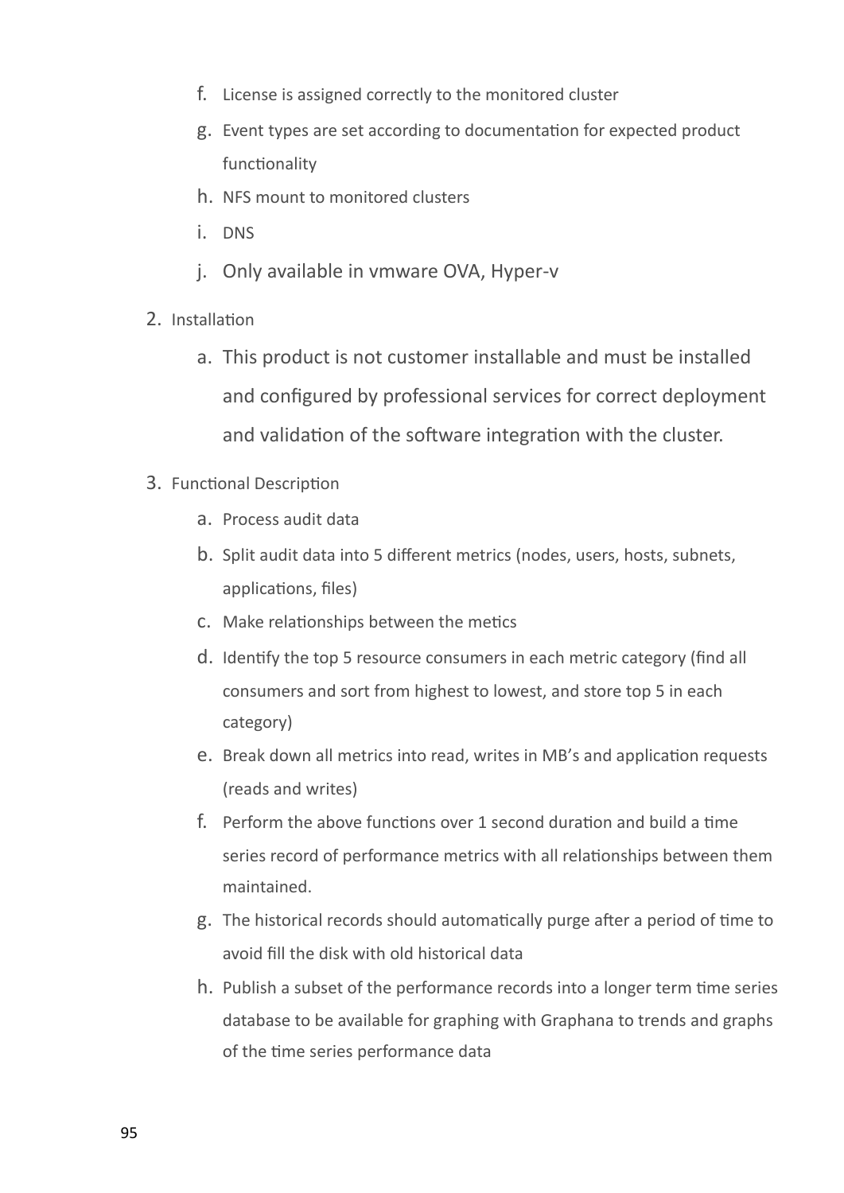- f. License is assigned correctly to the monitored cluster
- g. Event types are set according to documentation for expected product functionality
- h. NFS mount to monitored clusters
- i. DNS
- j. Only available in vmware OVA, Hyper-v
- 2. Installation
	- a. This product is not customer installable and must be installed and configured by professional services for correct deployment and validation of the software integration with the cluster.
- 3. Functional Description
	- a. Process audit data
	- b. Split audit data into 5 different metrics (nodes, users, hosts, subnets, applications, files)
	- c. Make relationships between the metics
	- d. Identify the top 5 resource consumers in each metric category (find all consumers and sort from highest to lowest, and store top 5 in each category)
	- e. Break down all metrics into read, writes in MB's and application requests (reads and writes)
	- f. Perform the above functions over 1 second duration and build a time series record of performance metrics with all relationships between them maintained.
	- g. The historical records should automatically purge after a period of time to avoid fill the disk with old historical data
	- h. Publish a subset of the performance records into a longer term time series database to be available for graphing with Graphana to trends and graphs of the time series performance data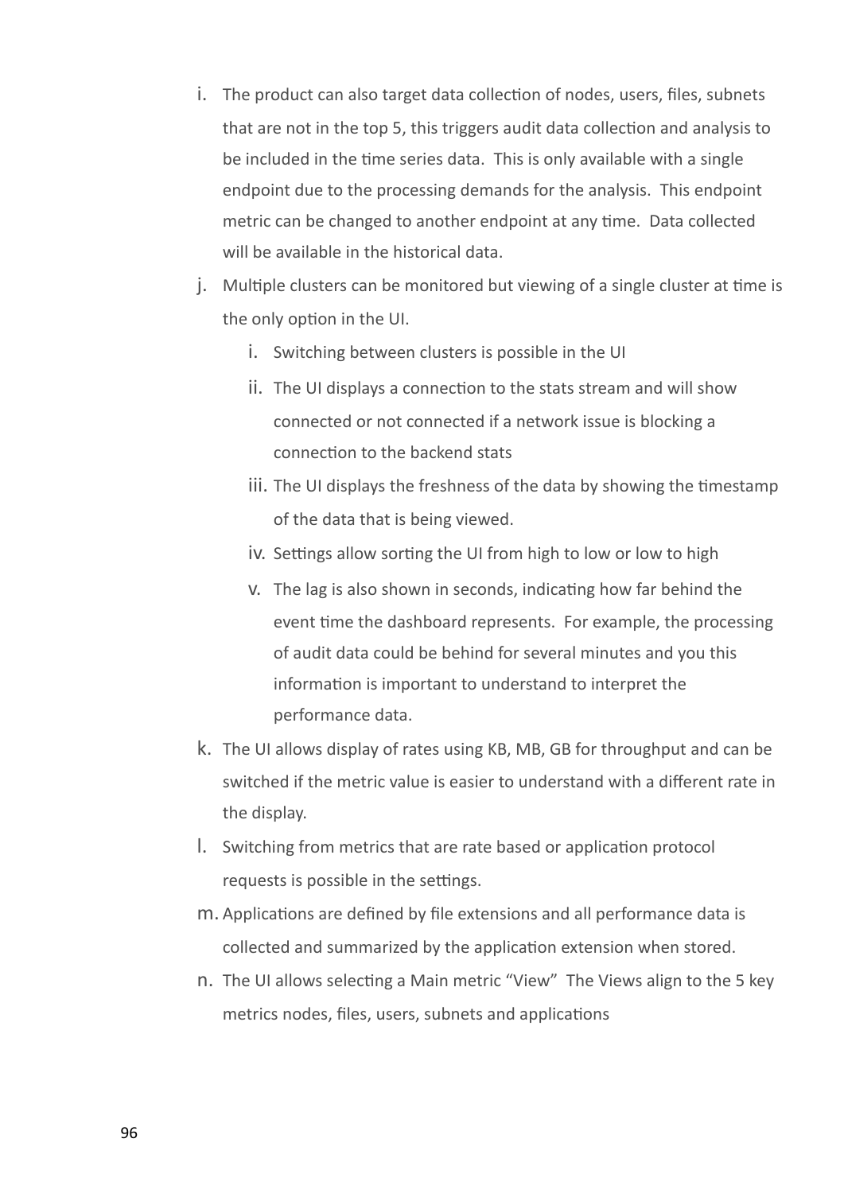- i. The product can also target data collection of nodes, users, files, subnets that are not in the top 5, this triggers audit data collection and analysis to be included in the time series data. This is only available with a single endpoint due to the processing demands for the analysis. This endpoint metric can be changed to another endpoint at any time. Data collected will be available in the historical data.
- j. Multiple clusters can be monitored but viewing of a single cluster at time is the only option in the UI.
	- i. Switching between clusters is possible in the UI
	- ii. The UI displays a connection to the stats stream and will show connected or not connected if a network issue is blocking a connection to the backend stats
	- iii. The UI displays the freshness of the data by showing the timestamp of the data that is being viewed.
	- iv. Settings allow sorting the UI from high to low or low to high
	- v. The lag is also shown in seconds, indicating how far behind the event time the dashboard represents. For example, the processing of audit data could be behind for several minutes and you this information is important to understand to interpret the performance data.
- k. The UI allows display of rates using KB, MB, GB for throughput and can be switched if the metric value is easier to understand with a different rate in the display.
- l. Switching from metrics that are rate based or application protocol requests is possible in the settings.
- m. Applications are defined by file extensions and all performance data is collected and summarized by the application extension when stored.
- n. The UI allows selecting a Main metric "View" The Views align to the 5 key metrics nodes, files, users, subnets and applications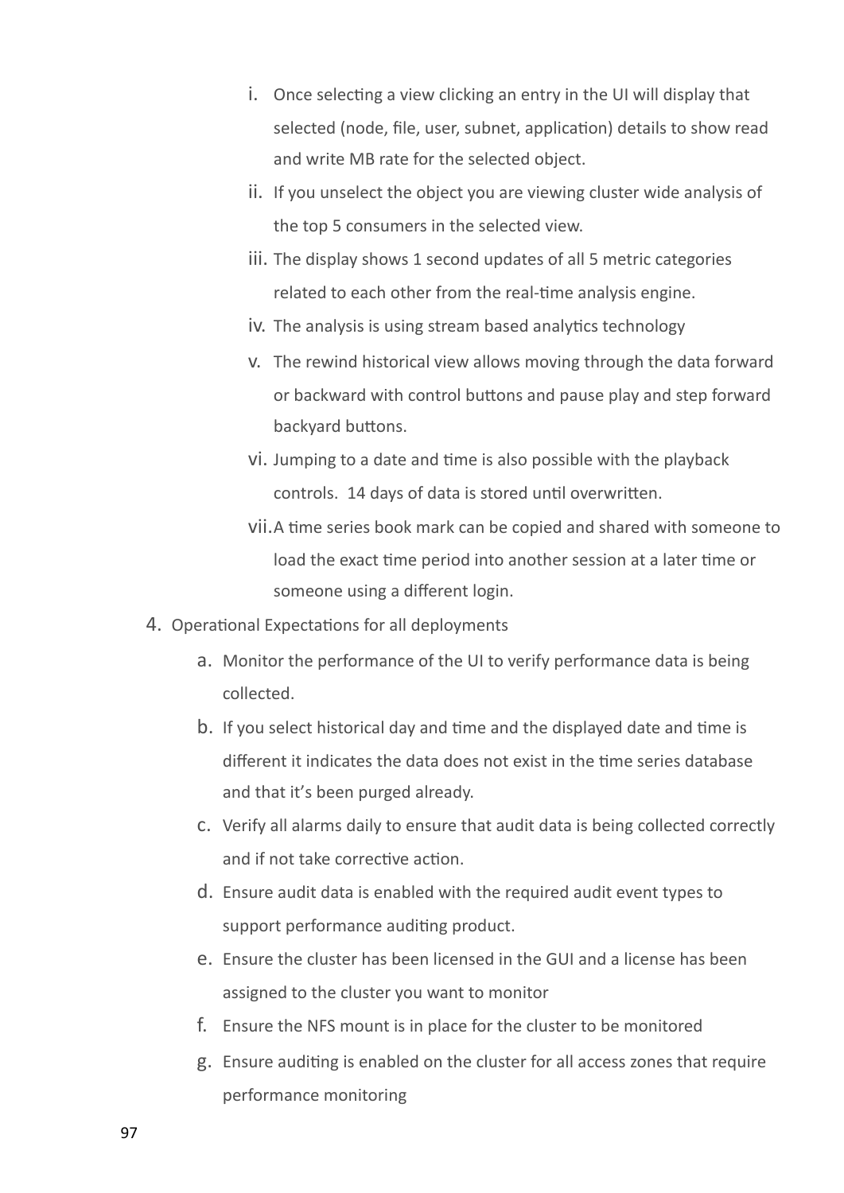- i. Once selecting a view clicking an entry in the UI will display that selected (node, file, user, subnet, application) details to show read and write MB rate for the selected object.
- ii. If you unselect the object you are viewing cluster wide analysis of the top 5 consumers in the selected view.
- iii. The display shows 1 second updates of all 5 metric categories related to each other from the real-time analysis engine.
- iv. The analysis is using stream based analytics technology
- v. The rewind historical view allows moving through the data forward or backward with control buttons and pause play and step forward backyard buttons.
- vi. Jumping to a date and time is also possible with the playback controls. 14 days of data is stored until overwritten.
- vii.A time series book mark can be copied and shared with someone to load the exact time period into another session at a later time or someone using a different login.
- 4. Operational Expectations for all deployments
	- a. Monitor the performance of the UI to verify performance data is being collected.
	- b. If you select historical day and time and the displayed date and time is different it indicates the data does not exist in the time series database and that it's been purged already.
	- c. Verify all alarms daily to ensure that audit data is being collected correctly and if not take corrective action.
	- d. Ensure audit data is enabled with the required audit event types to support performance auditing product.
	- e. Ensure the cluster has been licensed in the GUI and a license has been assigned to the cluster you want to monitor
	- f. Ensure the NFS mount is in place for the cluster to be monitored
	- g. Ensure auditing is enabled on the cluster for all access zones that require performance monitoring